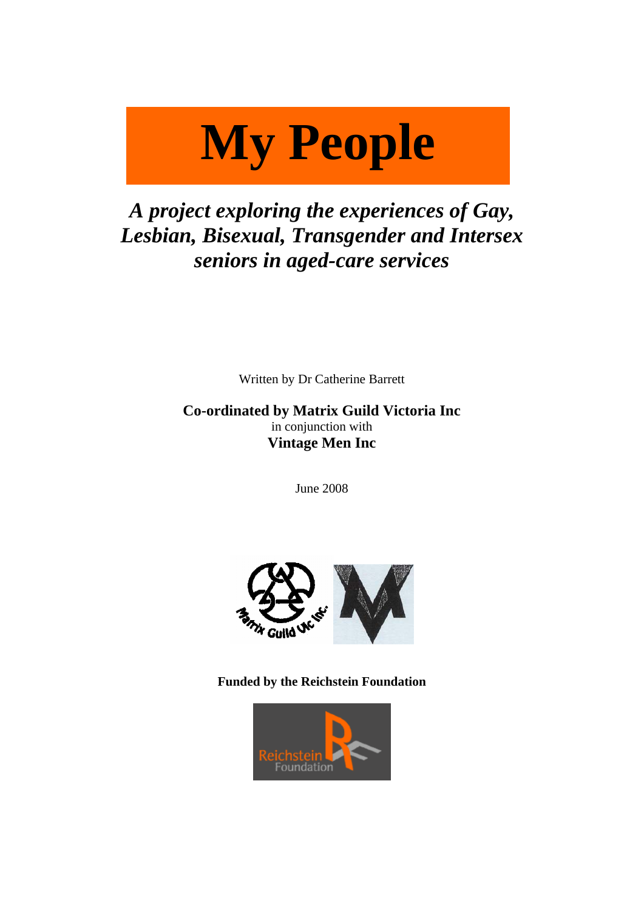# **My people My People**

# *A project exploring the experiences of Gay, Lesbian, Bisexual, Transgender and Intersex seniors in aged-care services*

Written by Dr Catherine Barrett

**Co-ordinated by Matrix Guild Victoria Inc**  in conjunction with **Vintage Men Inc** 

June 2008



**Funded by the Reichstein Foundation** 

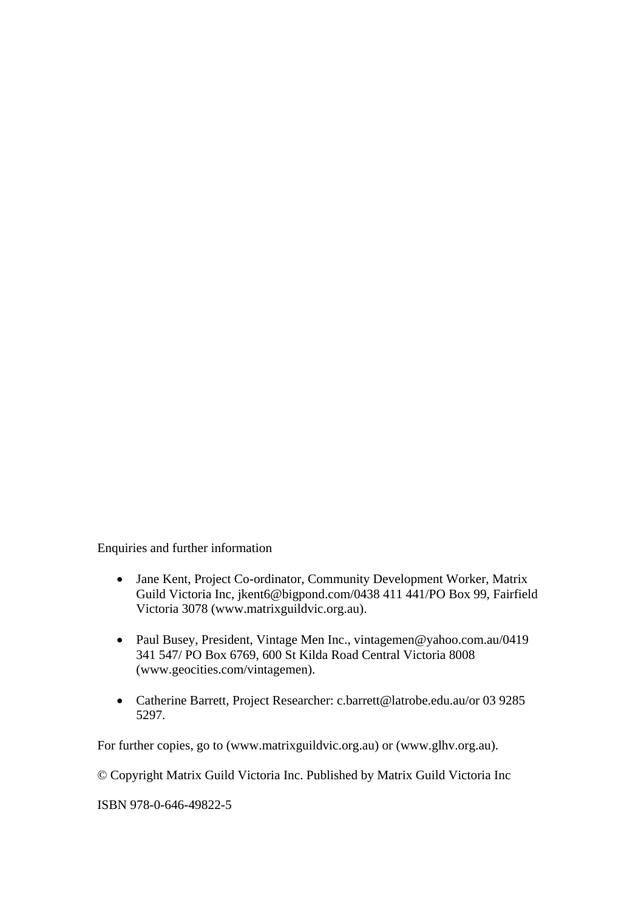Enquiries and further information

- Jane Kent, Project Co-ordinator, Community Development Worker, Matrix Guild Victoria Inc, jkent6@bigpond.com/0438 411 441/PO Box 99, Fairfield Victoria 3078 (www.matrixguildvic.org.au).
- Paul Busey, President, Vintage Men Inc., vintagemen@yahoo.com.au/0419 341 547/ PO Box 6769, 600 St Kilda Road Central Victoria 8008 (www.geocities.com/vintagemen).
- Catherine Barrett, Project Researcher: c.barrett@latrobe.edu.au/or 03 9285 5297.

For further copies, go to (www.matrixguildvic.org.au) or (www.glhv.org.au).

© Copyright Matrix Guild Victoria Inc. Published by Matrix Guild Victoria Inc

ISBN 978-0-646-49822-5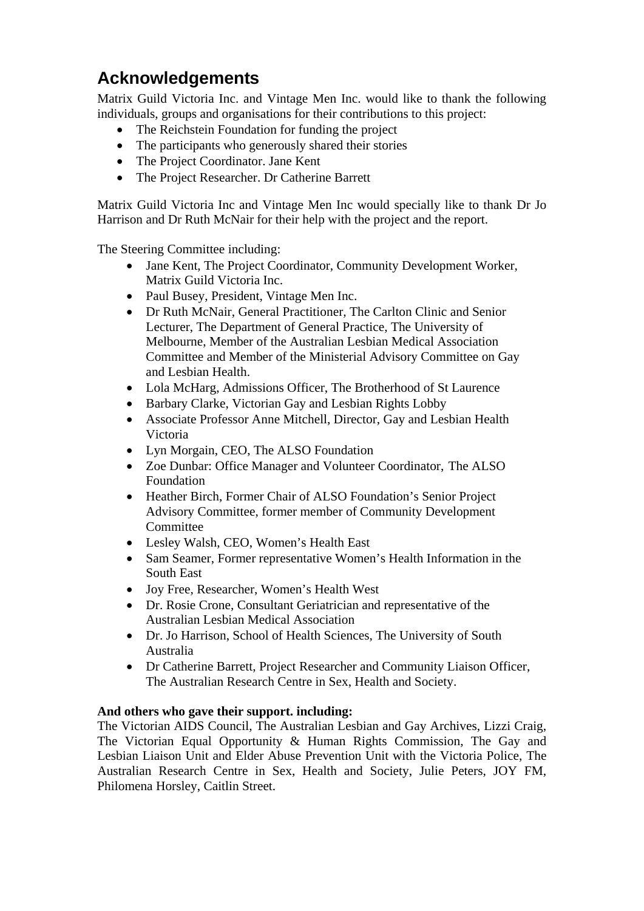# **Acknowledgements**

Matrix Guild Victoria Inc. and Vintage Men Inc. would like to thank the following individuals, groups and organisations for their contributions to this project:

- The Reichstein Foundation for funding the project
- The participants who generously shared their stories
- The Project Coordinator. Jane Kent
- The Project Researcher. Dr Catherine Barrett

Matrix Guild Victoria Inc and Vintage Men Inc would specially like to thank Dr Jo Harrison and Dr Ruth McNair for their help with the project and the report.

The Steering Committee including:

- Jane Kent, The Project Coordinator, Community Development Worker, Matrix Guild Victoria Inc.
- Paul Busey, President, Vintage Men Inc.
- Dr Ruth McNair, General Practitioner, The Carlton Clinic and Senior Lecturer, The Department of General Practice, The University of Melbourne, Member of the Australian Lesbian Medical Association Committee and Member of the Ministerial Advisory Committee on Gay and Lesbian Health.
- Lola McHarg, Admissions Officer, The Brotherhood of St Laurence
- Barbary Clarke, Victorian Gay and Lesbian Rights Lobby
- Associate Professor Anne Mitchell, Director, Gay and Lesbian Health Victoria
- Lyn Morgain, CEO, The ALSO Foundation
- Zoe Dunbar: Office Manager and Volunteer Coordinator, The ALSO Foundation
- Heather Birch, Former Chair of ALSO Foundation's Senior Project Advisory Committee, former member of Community Development Committee
- Lesley Walsh, CEO, Women's Health East
- Sam Seamer, Former representative Women's Health Information in the South East
- Joy Free, Researcher, Women's Health West
- Dr. Rosie Crone, Consultant Geriatrician and representative of the Australian Lesbian Medical Association
- Dr. Jo Harrison, School of Health Sciences, The University of South Australia
- Dr Catherine Barrett, Project Researcher and Community Liaison Officer, The Australian Research Centre in Sex, Health and Society.

#### **And others who gave their support. including:**

The Victorian AIDS Council, The Australian Lesbian and Gay Archives, Lizzi Craig, The Victorian Equal Opportunity & Human Rights Commission, The Gay and Lesbian Liaison Unit and Elder Abuse Prevention Unit with the Victoria Police, The Australian Research Centre in Sex, Health and Society, Julie Peters, JOY FM, Philomena Horsley, Caitlin Street.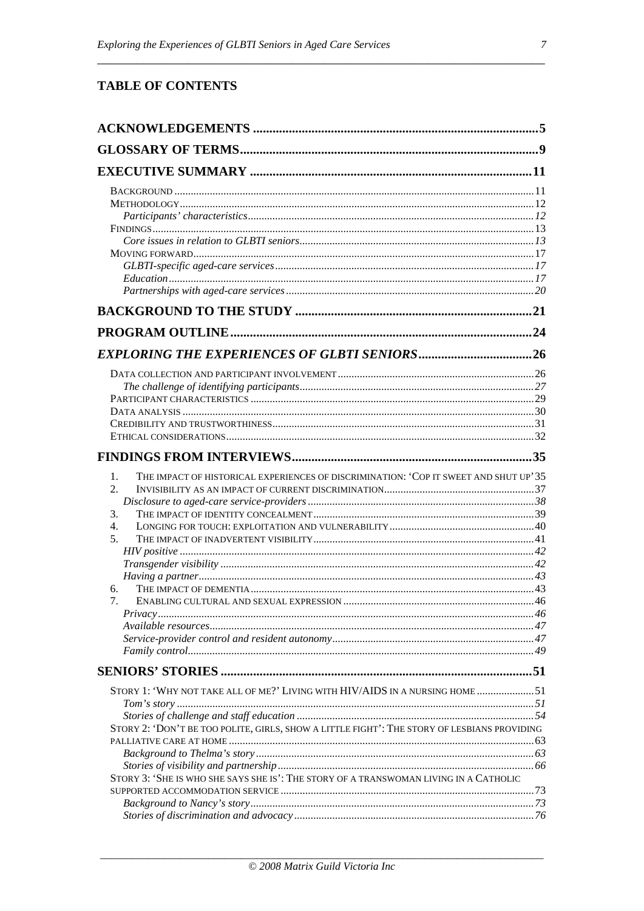## **TABLE OF CONTENTS**

| THE IMPACT OF HISTORICAL EXPERIENCES OF DISCRIMINATION: 'COP IT SWEET AND SHUT UP' 35<br>1. |  |
|---------------------------------------------------------------------------------------------|--|
| 2.                                                                                          |  |
|                                                                                             |  |
| 3.                                                                                          |  |
| 4.<br>5.                                                                                    |  |
|                                                                                             |  |
|                                                                                             |  |
|                                                                                             |  |
| 6.                                                                                          |  |
| 7.                                                                                          |  |
|                                                                                             |  |
|                                                                                             |  |
|                                                                                             |  |
|                                                                                             |  |
|                                                                                             |  |
| STORY 1: 'WHY NOT TAKE ALL OF ME?' LIVING WITH HIV/AIDS IN A NURSING HOME 51                |  |
|                                                                                             |  |
|                                                                                             |  |
| STORY 2: 'DON'T BE TOO POLITE, GIRLS, SHOW A LITTLE FIGHT': THE STORY OF LESBIANS PROVIDING |  |
|                                                                                             |  |
|                                                                                             |  |
|                                                                                             |  |
| STORY 3: 'SHE IS WHO SHE SAYS SHE IS': THE STORY OF A TRANSWOMAN LIVING IN A CATHOLIC       |  |
|                                                                                             |  |
|                                                                                             |  |
|                                                                                             |  |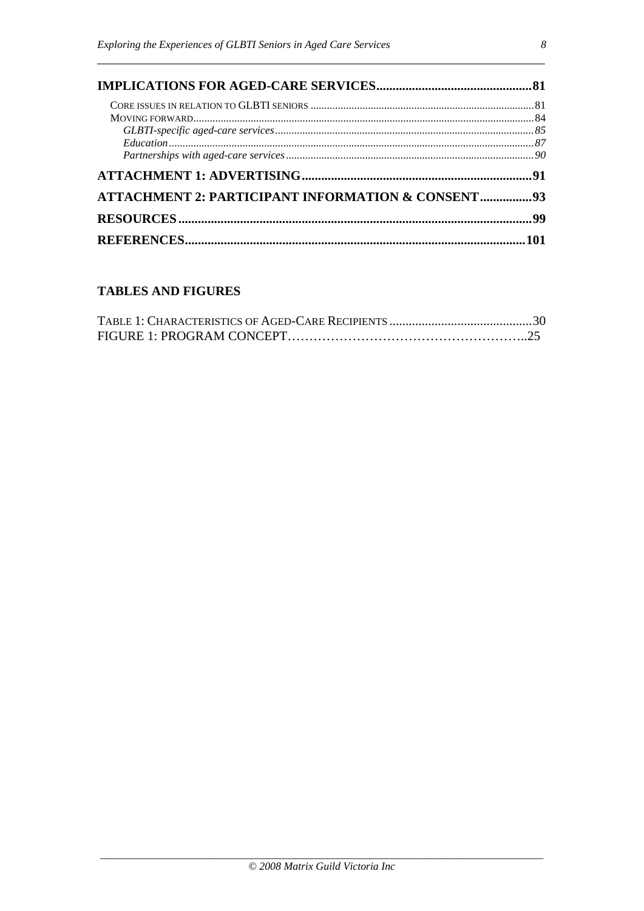| ATTACHMENT 2: PARTICIPANT INFORMATION & CONSENT93 |  |  |  |  |  |
|---------------------------------------------------|--|--|--|--|--|
|                                                   |  |  |  |  |  |
|                                                   |  |  |  |  |  |

# **TABLES AND FIGURES**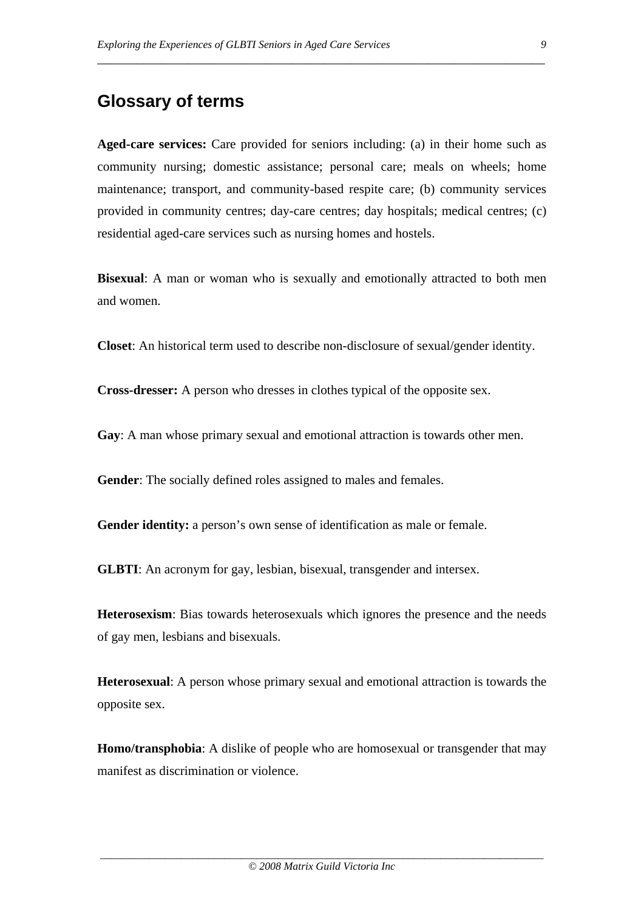# **Glossary of terms**

**Aged-care services:** Care provided for seniors including: (a) in their home such as community nursing; domestic assistance; personal care; meals on wheels; home maintenance; transport, and community-based respite care; (b) community services provided in community centres; day-care centres; day hospitals; medical centres; (c) residential aged-care services such as nursing homes and hostels.

\_\_\_\_\_\_\_\_\_\_\_\_\_\_\_\_\_\_\_\_\_\_\_\_\_\_\_\_\_\_\_\_\_\_\_\_\_\_\_\_\_\_\_\_\_\_\_\_\_\_\_\_\_\_\_\_\_\_\_\_\_\_\_\_\_\_\_\_\_

**Bisexual**: A man or woman who is sexually and emotionally attracted to both men and women.

**Closet**: An historical term used to describe non-disclosure of sexual/gender identity.

**Cross-dresser:** A person who dresses in clothes typical of the opposite sex.

**Gay**: A man whose primary sexual and emotional attraction is towards other men.

**Gender**: The socially defined roles assigned to males and females.

**Gender identity:** a person's own sense of identification as male or female.

**GLBTI:** An acronym for gay, lesbian, bisexual, transgender and intersex.

**Heterosexism**: Bias towards heterosexuals which ignores the presence and the needs of gay men, lesbians and bisexuals.

**Heterosexual**: A person whose primary sexual and emotional attraction is towards the opposite sex.

**Homo/transphobia**: A dislike of people who are homosexual or transgender that may manifest as discrimination or violence.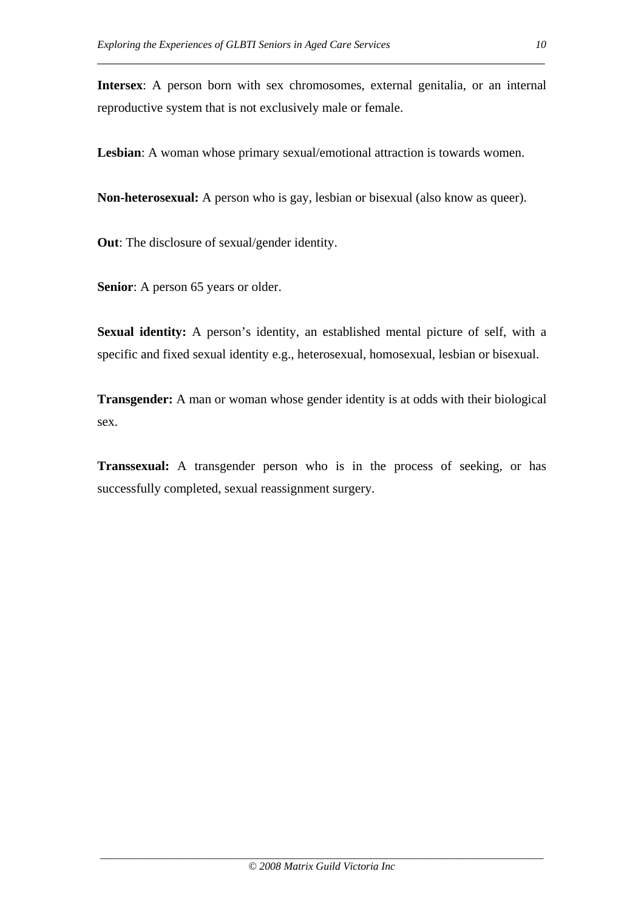**Intersex**: A person born with sex chromosomes, external genitalia, or an internal reproductive system that is not exclusively male or female.

\_\_\_\_\_\_\_\_\_\_\_\_\_\_\_\_\_\_\_\_\_\_\_\_\_\_\_\_\_\_\_\_\_\_\_\_\_\_\_\_\_\_\_\_\_\_\_\_\_\_\_\_\_\_\_\_\_\_\_\_\_\_\_\_\_\_\_\_\_

**Lesbian**: A woman whose primary sexual/emotional attraction is towards women.

**Non-heterosexual:** A person who is gay, lesbian or bisexual (also know as queer).

**Out**: The disclosure of sexual/gender identity.

**Senior**: A person 65 years or older.

**Sexual identity:** A person's identity, an established mental picture of self, with a specific and fixed sexual identity e.g., heterosexual, homosexual, lesbian or bisexual.

**Transgender:** A man or woman whose gender identity is at odds with their biological sex.

**Transsexual:** A transgender person who is in the process of seeking, or has successfully completed, sexual reassignment surgery.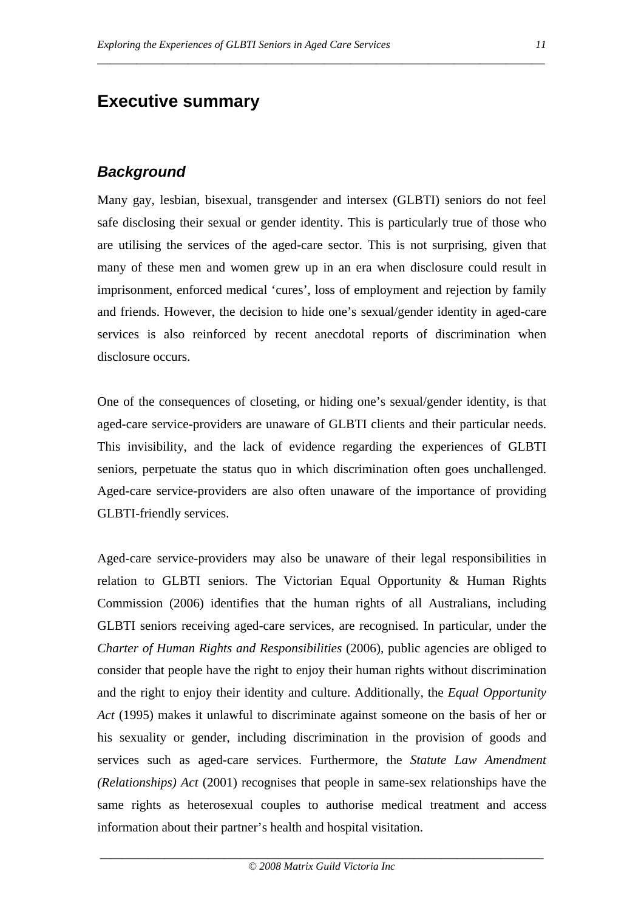# **Executive summary**

# *Background*

Many gay, lesbian, bisexual, transgender and intersex (GLBTI) seniors do not feel safe disclosing their sexual or gender identity. This is particularly true of those who are utilising the services of the aged-care sector. This is not surprising, given that many of these men and women grew up in an era when disclosure could result in imprisonment, enforced medical 'cures', loss of employment and rejection by family and friends. However, the decision to hide one's sexual/gender identity in aged-care services is also reinforced by recent anecdotal reports of discrimination when disclosure occurs.

\_\_\_\_\_\_\_\_\_\_\_\_\_\_\_\_\_\_\_\_\_\_\_\_\_\_\_\_\_\_\_\_\_\_\_\_\_\_\_\_\_\_\_\_\_\_\_\_\_\_\_\_\_\_\_\_\_\_\_\_\_\_\_\_\_\_\_\_\_

One of the consequences of closeting, or hiding one's sexual/gender identity, is that aged-care service-providers are unaware of GLBTI clients and their particular needs. This invisibility, and the lack of evidence regarding the experiences of GLBTI seniors, perpetuate the status quo in which discrimination often goes unchallenged. Aged-care service-providers are also often unaware of the importance of providing GLBTI-friendly services.

Aged-care service-providers may also be unaware of their legal responsibilities in relation to GLBTI seniors. The Victorian Equal Opportunity & Human Rights Commission (2006) identifies that the human rights of all Australians, including GLBTI seniors receiving aged-care services, are recognised. In particular, under the *Charter of Human Rights and Responsibilities* (2006), public agencies are obliged to consider that people have the right to enjoy their human rights without discrimination and the right to enjoy their identity and culture. Additionally, the *Equal Opportunity Act* (1995) makes it unlawful to discriminate against someone on the basis of her or his sexuality or gender, including discrimination in the provision of goods and services such as aged-care services. Furthermore, the *Statute Law Amendment (Relationships) Act* (2001) recognises that people in same-sex relationships have the same rights as heterosexual couples to authorise medical treatment and access information about their partner's health and hospital visitation.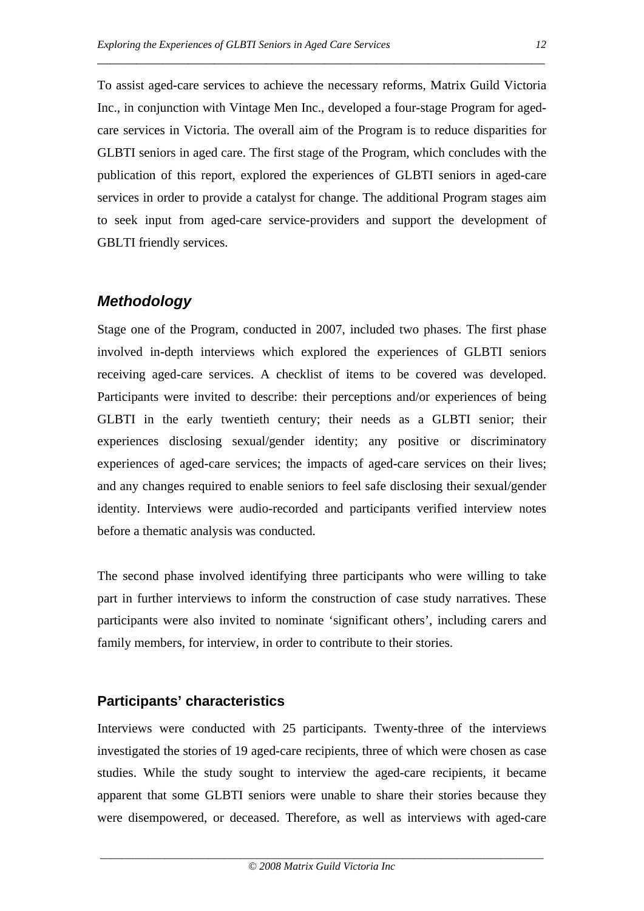To assist aged-care services to achieve the necessary reforms, Matrix Guild Victoria Inc., in conjunction with Vintage Men Inc., developed a four-stage Program for agedcare services in Victoria. The overall aim of the Program is to reduce disparities for GLBTI seniors in aged care. The first stage of the Program, which concludes with the publication of this report, explored the experiences of GLBTI seniors in aged-care services in order to provide a catalyst for change. The additional Program stages aim to seek input from aged-care service-providers and support the development of GBLTI friendly services.

\_\_\_\_\_\_\_\_\_\_\_\_\_\_\_\_\_\_\_\_\_\_\_\_\_\_\_\_\_\_\_\_\_\_\_\_\_\_\_\_\_\_\_\_\_\_\_\_\_\_\_\_\_\_\_\_\_\_\_\_\_\_\_\_\_\_\_\_\_

# *Methodology*

Stage one of the Program, conducted in 2007, included two phases. The first phase involved in-depth interviews which explored the experiences of GLBTI seniors receiving aged-care services. A checklist of items to be covered was developed. Participants were invited to describe: their perceptions and/or experiences of being GLBTI in the early twentieth century; their needs as a GLBTI senior; their experiences disclosing sexual/gender identity; any positive or discriminatory experiences of aged-care services; the impacts of aged-care services on their lives; and any changes required to enable seniors to feel safe disclosing their sexual/gender identity. Interviews were audio-recorded and participants verified interview notes before a thematic analysis was conducted.

The second phase involved identifying three participants who were willing to take part in further interviews to inform the construction of case study narratives. These participants were also invited to nominate 'significant others', including carers and family members, for interview, in order to contribute to their stories.

## **Participants' characteristics**

Interviews were conducted with 25 participants. Twenty-three of the interviews investigated the stories of 19 aged-care recipients, three of which were chosen as case studies. While the study sought to interview the aged-care recipients, it became apparent that some GLBTI seniors were unable to share their stories because they were disempowered, or deceased. Therefore, as well as interviews with aged-care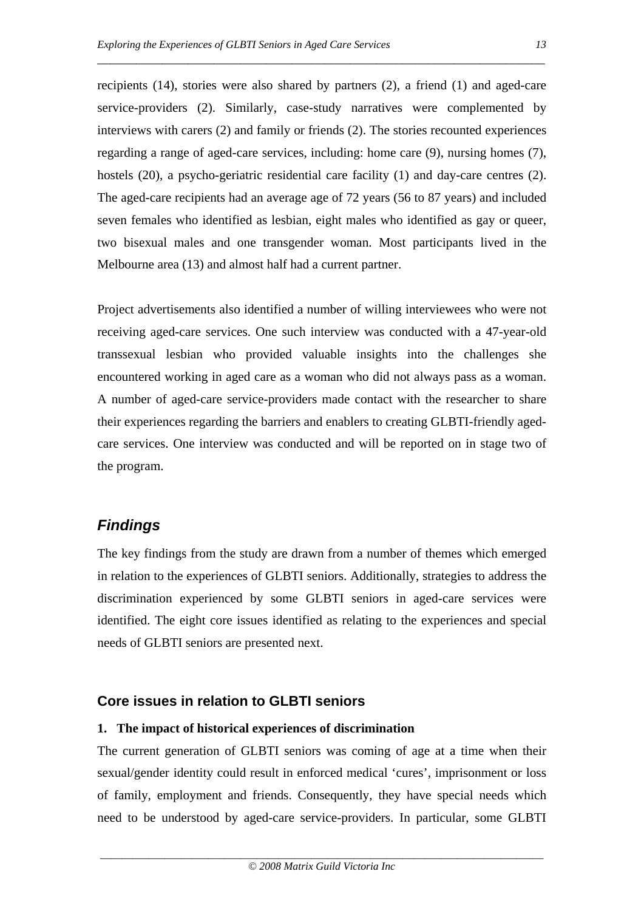recipients (14), stories were also shared by partners (2), a friend (1) and aged-care service-providers (2). Similarly, case-study narratives were complemented by interviews with carers (2) and family or friends (2). The stories recounted experiences regarding a range of aged-care services, including: home care (9), nursing homes (7), hostels (20), a psycho-geriatric residential care facility (1) and day-care centres (2). The aged-care recipients had an average age of 72 years (56 to 87 years) and included seven females who identified as lesbian, eight males who identified as gay or queer, two bisexual males and one transgender woman. Most participants lived in the Melbourne area (13) and almost half had a current partner.

\_\_\_\_\_\_\_\_\_\_\_\_\_\_\_\_\_\_\_\_\_\_\_\_\_\_\_\_\_\_\_\_\_\_\_\_\_\_\_\_\_\_\_\_\_\_\_\_\_\_\_\_\_\_\_\_\_\_\_\_\_\_\_\_\_\_\_\_\_

Project advertisements also identified a number of willing interviewees who were not receiving aged-care services. One such interview was conducted with a 47-year-old transsexual lesbian who provided valuable insights into the challenges she encountered working in aged care as a woman who did not always pass as a woman. A number of aged-care service-providers made contact with the researcher to share their experiences regarding the barriers and enablers to creating GLBTI-friendly agedcare services. One interview was conducted and will be reported on in stage two of the program.

## *Findings*

The key findings from the study are drawn from a number of themes which emerged in relation to the experiences of GLBTI seniors. Additionally, strategies to address the discrimination experienced by some GLBTI seniors in aged-care services were identified. The eight core issues identified as relating to the experiences and special needs of GLBTI seniors are presented next.

#### **Core issues in relation to GLBTI seniors**

#### **1. The impact of historical experiences of discrimination**

The current generation of GLBTI seniors was coming of age at a time when their sexual/gender identity could result in enforced medical 'cures', imprisonment or loss of family, employment and friends. Consequently, they have special needs which need to be understood by aged-care service-providers. In particular, some GLBTI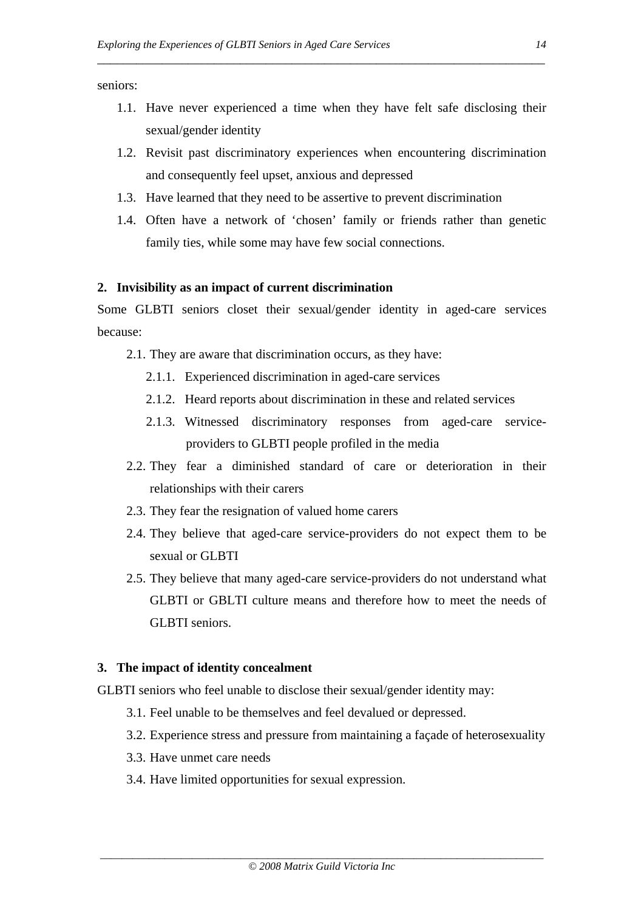seniors:

1.1. Have never experienced a time when they have felt safe disclosing their sexual/gender identity

\_\_\_\_\_\_\_\_\_\_\_\_\_\_\_\_\_\_\_\_\_\_\_\_\_\_\_\_\_\_\_\_\_\_\_\_\_\_\_\_\_\_\_\_\_\_\_\_\_\_\_\_\_\_\_\_\_\_\_\_\_\_\_\_\_\_\_\_\_

- 1.2. Revisit past discriminatory experiences when encountering discrimination and consequently feel upset, anxious and depressed
- 1.3. Have learned that they need to be assertive to prevent discrimination
- 1.4. Often have a network of 'chosen' family or friends rather than genetic family ties, while some may have few social connections.

#### **2. Invisibility as an impact of current discrimination**

Some GLBTI seniors closet their sexual/gender identity in aged-care services because:

- 2.1. They are aware that discrimination occurs, as they have:
	- 2.1.1. Experienced discrimination in aged-care services
	- 2.1.2. Heard reports about discrimination in these and related services
	- 2.1.3. Witnessed discriminatory responses from aged-care serviceproviders to GLBTI people profiled in the media
- 2.2. They fear a diminished standard of care or deterioration in their relationships with their carers
- 2.3. They fear the resignation of valued home carers
- 2.4. They believe that aged-care service-providers do not expect them to be sexual or GLBTI
- 2.5. They believe that many aged-care service-providers do not understand what GLBTI or GBLTI culture means and therefore how to meet the needs of GLBTI seniors.

#### **3. The impact of identity concealment**

GLBTI seniors who feel unable to disclose their sexual/gender identity may:

- 3.1. Feel unable to be themselves and feel devalued or depressed.
- 3.2. Experience stress and pressure from maintaining a façade of heterosexuality
- 3.3. Have unmet care needs
- 3.4. Have limited opportunities for sexual expression.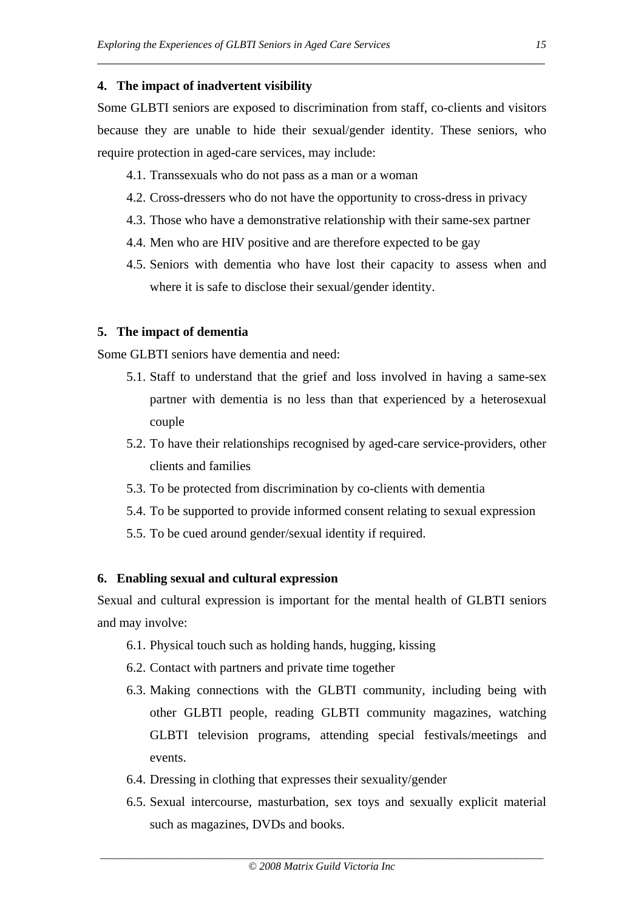#### **4. The impact of inadvertent visibility**

Some GLBTI seniors are exposed to discrimination from staff, co-clients and visitors because they are unable to hide their sexual/gender identity. These seniors, who require protection in aged-care services, may include:

\_\_\_\_\_\_\_\_\_\_\_\_\_\_\_\_\_\_\_\_\_\_\_\_\_\_\_\_\_\_\_\_\_\_\_\_\_\_\_\_\_\_\_\_\_\_\_\_\_\_\_\_\_\_\_\_\_\_\_\_\_\_\_\_\_\_\_\_\_

- 4.1. Transsexuals who do not pass as a man or a woman
- 4.2. Cross-dressers who do not have the opportunity to cross-dress in privacy
- 4.3. Those who have a demonstrative relationship with their same-sex partner
- 4.4. Men who are HIV positive and are therefore expected to be gay
- 4.5. Seniors with dementia who have lost their capacity to assess when and where it is safe to disclose their sexual/gender identity.

#### **5. The impact of dementia**

Some GLBTI seniors have dementia and need:

- 5.1. Staff to understand that the grief and loss involved in having a same-sex partner with dementia is no less than that experienced by a heterosexual couple
- 5.2. To have their relationships recognised by aged-care service-providers, other clients and families
- 5.3. To be protected from discrimination by co-clients with dementia
- 5.4. To be supported to provide informed consent relating to sexual expression
- 5.5. To be cued around gender/sexual identity if required.

#### **6. Enabling sexual and cultural expression**

Sexual and cultural expression is important for the mental health of GLBTI seniors and may involve:

- 6.1. Physical touch such as holding hands, hugging, kissing
- 6.2. Contact with partners and private time together
- 6.3. Making connections with the GLBTI community, including being with other GLBTI people, reading GLBTI community magazines, watching GLBTI television programs, attending special festivals/meetings and events.
- 6.4. Dressing in clothing that expresses their sexuality/gender
- 6.5. Sexual intercourse, masturbation, sex toys and sexually explicit material such as magazines, DVDs and books.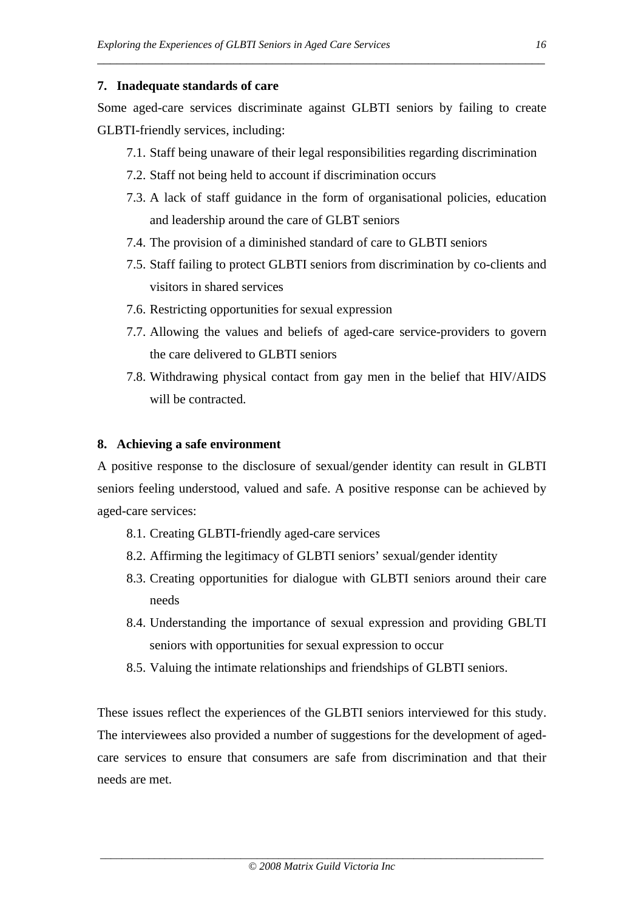#### **7. Inadequate standards of care**

Some aged-care services discriminate against GLBTI seniors by failing to create GLBTI-friendly services, including:

\_\_\_\_\_\_\_\_\_\_\_\_\_\_\_\_\_\_\_\_\_\_\_\_\_\_\_\_\_\_\_\_\_\_\_\_\_\_\_\_\_\_\_\_\_\_\_\_\_\_\_\_\_\_\_\_\_\_\_\_\_\_\_\_\_\_\_\_\_

- 7.1. Staff being unaware of their legal responsibilities regarding discrimination
- 7.2. Staff not being held to account if discrimination occurs
- 7.3. A lack of staff guidance in the form of organisational policies, education and leadership around the care of GLBT seniors
- 7.4. The provision of a diminished standard of care to GLBTI seniors
- 7.5. Staff failing to protect GLBTI seniors from discrimination by co-clients and visitors in shared services
- 7.6. Restricting opportunities for sexual expression
- 7.7. Allowing the values and beliefs of aged-care service-providers to govern the care delivered to GLBTI seniors
- 7.8. Withdrawing physical contact from gay men in the belief that HIV/AIDS will be contracted.

#### **8. Achieving a safe environment**

A positive response to the disclosure of sexual/gender identity can result in GLBTI seniors feeling understood, valued and safe. A positive response can be achieved by aged-care services:

- 8.1. Creating GLBTI-friendly aged-care services
- 8.2. Affirming the legitimacy of GLBTI seniors' sexual/gender identity
- 8.3. Creating opportunities for dialogue with GLBTI seniors around their care needs
- 8.4. Understanding the importance of sexual expression and providing GBLTI seniors with opportunities for sexual expression to occur
- 8.5. Valuing the intimate relationships and friendships of GLBTI seniors.

These issues reflect the experiences of the GLBTI seniors interviewed for this study. The interviewees also provided a number of suggestions for the development of agedcare services to ensure that consumers are safe from discrimination and that their needs are met.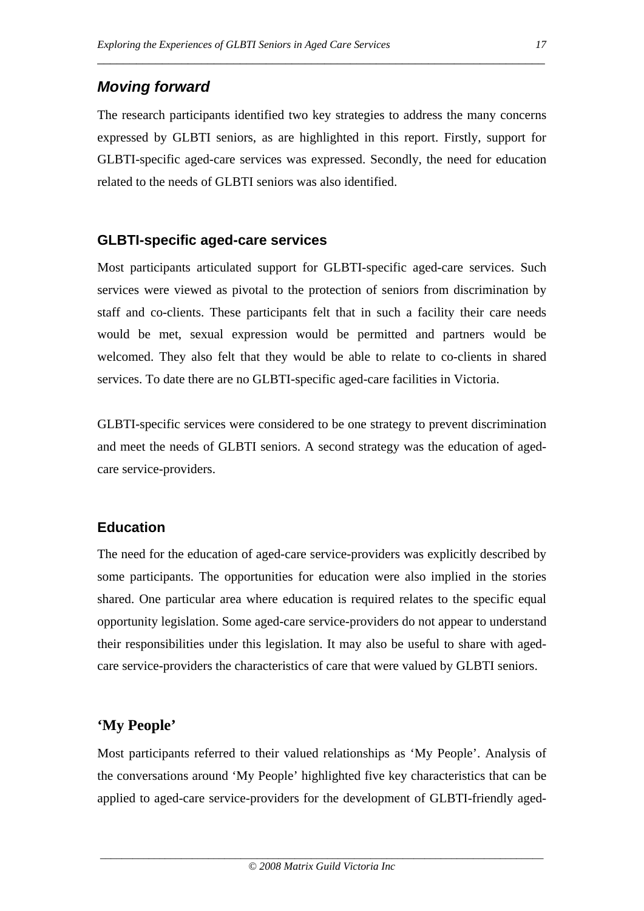# *Moving forward*

The research participants identified two key strategies to address the many concerns expressed by GLBTI seniors, as are highlighted in this report. Firstly, support for GLBTI-specific aged-care services was expressed. Secondly, the need for education related to the needs of GLBTI seniors was also identified.

\_\_\_\_\_\_\_\_\_\_\_\_\_\_\_\_\_\_\_\_\_\_\_\_\_\_\_\_\_\_\_\_\_\_\_\_\_\_\_\_\_\_\_\_\_\_\_\_\_\_\_\_\_\_\_\_\_\_\_\_\_\_\_\_\_\_\_\_\_

## **GLBTI-specific aged-care services**

Most participants articulated support for GLBTI-specific aged-care services. Such services were viewed as pivotal to the protection of seniors from discrimination by staff and co-clients. These participants felt that in such a facility their care needs would be met, sexual expression would be permitted and partners would be welcomed. They also felt that they would be able to relate to co-clients in shared services. To date there are no GLBTI-specific aged-care facilities in Victoria.

GLBTI-specific services were considered to be one strategy to prevent discrimination and meet the needs of GLBTI seniors. A second strategy was the education of agedcare service-providers.

## **Education**

The need for the education of aged-care service-providers was explicitly described by some participants. The opportunities for education were also implied in the stories shared. One particular area where education is required relates to the specific equal opportunity legislation. Some aged-care service-providers do not appear to understand their responsibilities under this legislation. It may also be useful to share with agedcare service-providers the characteristics of care that were valued by GLBTI seniors.

# **'My People'**

Most participants referred to their valued relationships as 'My People'. Analysis of the conversations around 'My People' highlighted five key characteristics that can be applied to aged-care service-providers for the development of GLBTI-friendly aged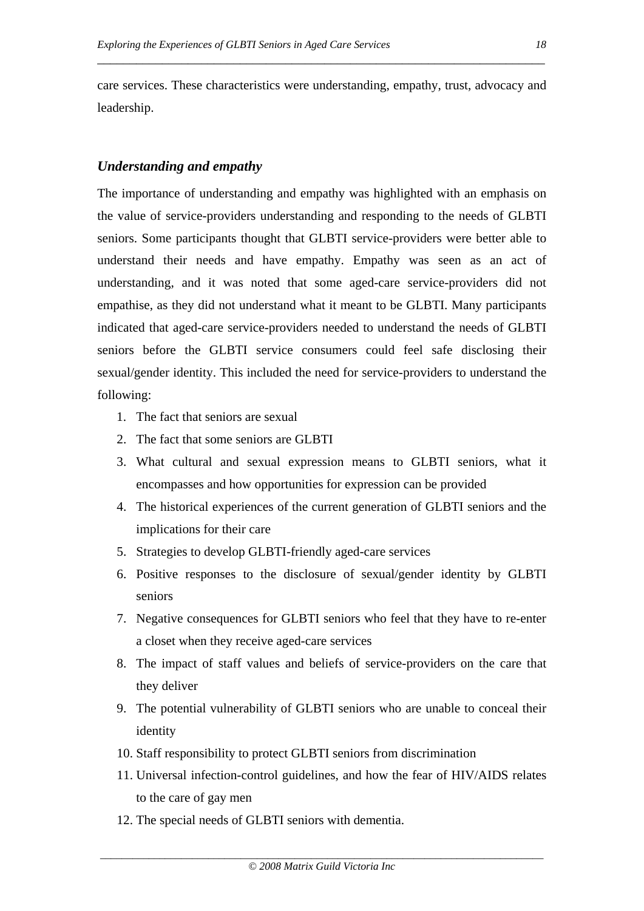care services. These characteristics were understanding, empathy, trust, advocacy and leadership.

\_\_\_\_\_\_\_\_\_\_\_\_\_\_\_\_\_\_\_\_\_\_\_\_\_\_\_\_\_\_\_\_\_\_\_\_\_\_\_\_\_\_\_\_\_\_\_\_\_\_\_\_\_\_\_\_\_\_\_\_\_\_\_\_\_\_\_\_\_

#### *Understanding and empathy*

The importance of understanding and empathy was highlighted with an emphasis on the value of service-providers understanding and responding to the needs of GLBTI seniors. Some participants thought that GLBTI service-providers were better able to understand their needs and have empathy. Empathy was seen as an act of understanding, and it was noted that some aged-care service-providers did not empathise, as they did not understand what it meant to be GLBTI. Many participants indicated that aged-care service-providers needed to understand the needs of GLBTI seniors before the GLBTI service consumers could feel safe disclosing their sexual/gender identity. This included the need for service-providers to understand the following:

- 1. The fact that seniors are sexual
- 2. The fact that some seniors are GLBTI
- 3. What cultural and sexual expression means to GLBTI seniors, what it encompasses and how opportunities for expression can be provided
- 4. The historical experiences of the current generation of GLBTI seniors and the implications for their care
- 5. Strategies to develop GLBTI-friendly aged-care services
- 6. Positive responses to the disclosure of sexual/gender identity by GLBTI seniors
- 7. Negative consequences for GLBTI seniors who feel that they have to re-enter a closet when they receive aged-care services
- 8. The impact of staff values and beliefs of service-providers on the care that they deliver
- 9. The potential vulnerability of GLBTI seniors who are unable to conceal their identity
- 10. Staff responsibility to protect GLBTI seniors from discrimination
- 11. Universal infection-control guidelines, and how the fear of HIV/AIDS relates to the care of gay men
- 12. The special needs of GLBTI seniors with dementia.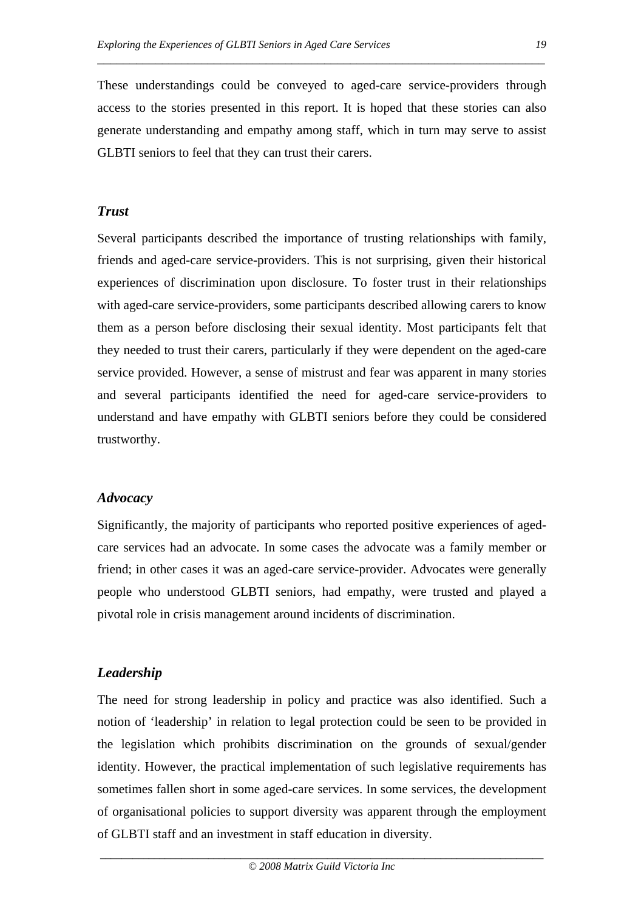These understandings could be conveyed to aged-care service-providers through access to the stories presented in this report. It is hoped that these stories can also generate understanding and empathy among staff, which in turn may serve to assist GLBTI seniors to feel that they can trust their carers.

#### *Trust*

Several participants described the importance of trusting relationships with family, friends and aged-care service-providers. This is not surprising, given their historical experiences of discrimination upon disclosure. To foster trust in their relationships with aged-care service-providers, some participants described allowing carers to know them as a person before disclosing their sexual identity. Most participants felt that they needed to trust their carers, particularly if they were dependent on the aged-care service provided. However, a sense of mistrust and fear was apparent in many stories and several participants identified the need for aged-care service-providers to understand and have empathy with GLBTI seniors before they could be considered trustworthy.

#### *Advocacy*

Significantly, the majority of participants who reported positive experiences of agedcare services had an advocate. In some cases the advocate was a family member or friend; in other cases it was an aged-care service-provider. Advocates were generally people who understood GLBTI seniors, had empathy, were trusted and played a pivotal role in crisis management around incidents of discrimination.

#### *Leadership*

The need for strong leadership in policy and practice was also identified. Such a notion of 'leadership' in relation to legal protection could be seen to be provided in the legislation which prohibits discrimination on the grounds of sexual/gender identity. However, the practical implementation of such legislative requirements has sometimes fallen short in some aged-care services. In some services, the development of organisational policies to support diversity was apparent through the employment of GLBTI staff and an investment in staff education in diversity.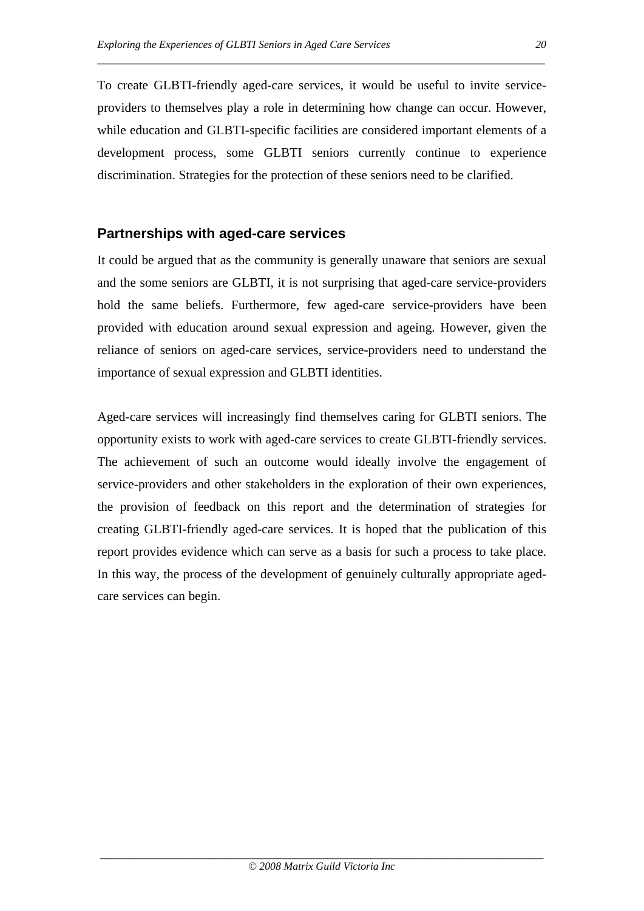To create GLBTI-friendly aged-care services, it would be useful to invite serviceproviders to themselves play a role in determining how change can occur. However, while education and GLBTI-specific facilities are considered important elements of a development process, some GLBTI seniors currently continue to experience discrimination. Strategies for the protection of these seniors need to be clarified.

\_\_\_\_\_\_\_\_\_\_\_\_\_\_\_\_\_\_\_\_\_\_\_\_\_\_\_\_\_\_\_\_\_\_\_\_\_\_\_\_\_\_\_\_\_\_\_\_\_\_\_\_\_\_\_\_\_\_\_\_\_\_\_\_\_\_\_\_\_

#### **Partnerships with aged-care services**

It could be argued that as the community is generally unaware that seniors are sexual and the some seniors are GLBTI, it is not surprising that aged-care service-providers hold the same beliefs. Furthermore, few aged-care service-providers have been provided with education around sexual expression and ageing. However, given the reliance of seniors on aged-care services, service-providers need to understand the importance of sexual expression and GLBTI identities.

Aged-care services will increasingly find themselves caring for GLBTI seniors. The opportunity exists to work with aged-care services to create GLBTI-friendly services. The achievement of such an outcome would ideally involve the engagement of service-providers and other stakeholders in the exploration of their own experiences, the provision of feedback on this report and the determination of strategies for creating GLBTI-friendly aged-care services. It is hoped that the publication of this report provides evidence which can serve as a basis for such a process to take place. In this way, the process of the development of genuinely culturally appropriate agedcare services can begin.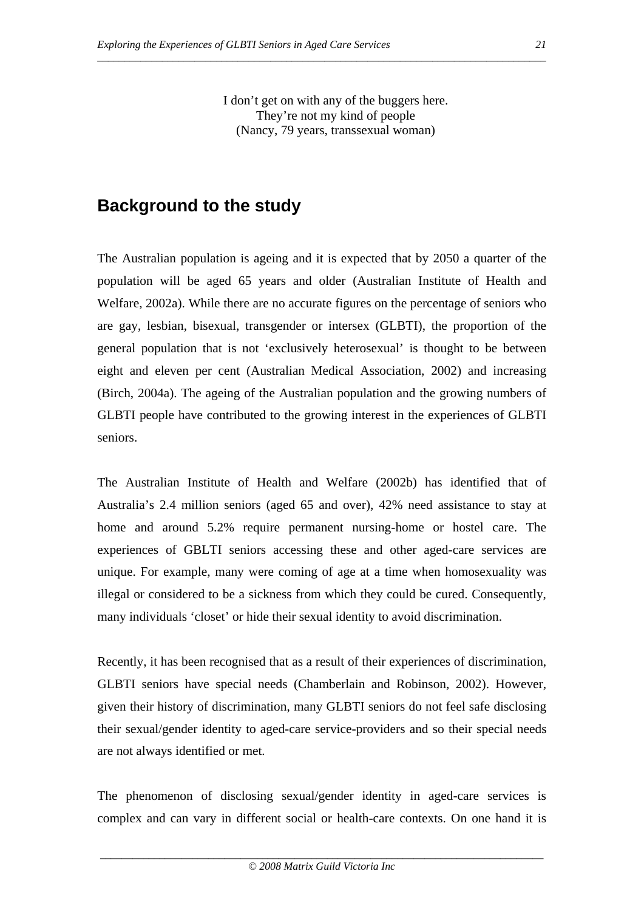I don't get on with any of the buggers here. They're not my kind of people (Nancy, 79 years, transsexual woman)

*\_\_\_\_\_\_\_\_\_\_\_\_\_\_\_\_\_\_\_\_\_\_\_\_\_\_\_\_\_\_\_\_\_\_\_\_\_\_\_\_\_\_\_\_\_\_\_\_\_\_\_\_\_\_\_\_\_\_\_\_\_\_\_\_\_\_\_\_\_\_\_\_\_\_\_\_\_\_\_\_\_\_\_* 

# **Background to the study**

The Australian population is ageing and it is expected that by 2050 a quarter of the population will be aged 65 years and older (Australian Institute of Health and Welfare, 2002a). While there are no accurate figures on the percentage of seniors who are gay, lesbian, bisexual, transgender or intersex (GLBTI), the proportion of the general population that is not 'exclusively heterosexual' is thought to be between eight and eleven per cent (Australian Medical Association, 2002) and increasing (Birch, 2004a). The ageing of the Australian population and the growing numbers of GLBTI people have contributed to the growing interest in the experiences of GLBTI seniors.

The Australian Institute of Health and Welfare (2002b) has identified that of Australia's 2.4 million seniors (aged 65 and over), 42% need assistance to stay at home and around 5.2% require permanent nursing-home or hostel care. The experiences of GBLTI seniors accessing these and other aged-care services are unique. For example, many were coming of age at a time when homosexuality was illegal or considered to be a sickness from which they could be cured. Consequently, many individuals 'closet' or hide their sexual identity to avoid discrimination.

Recently, it has been recognised that as a result of their experiences of discrimination, GLBTI seniors have special needs (Chamberlain and Robinson, 2002). However, given their history of discrimination, many GLBTI seniors do not feel safe disclosing their sexual/gender identity to aged-care service-providers and so their special needs are not always identified or met.

The phenomenon of disclosing sexual/gender identity in aged-care services is complex and can vary in different social or health-care contexts. On one hand it is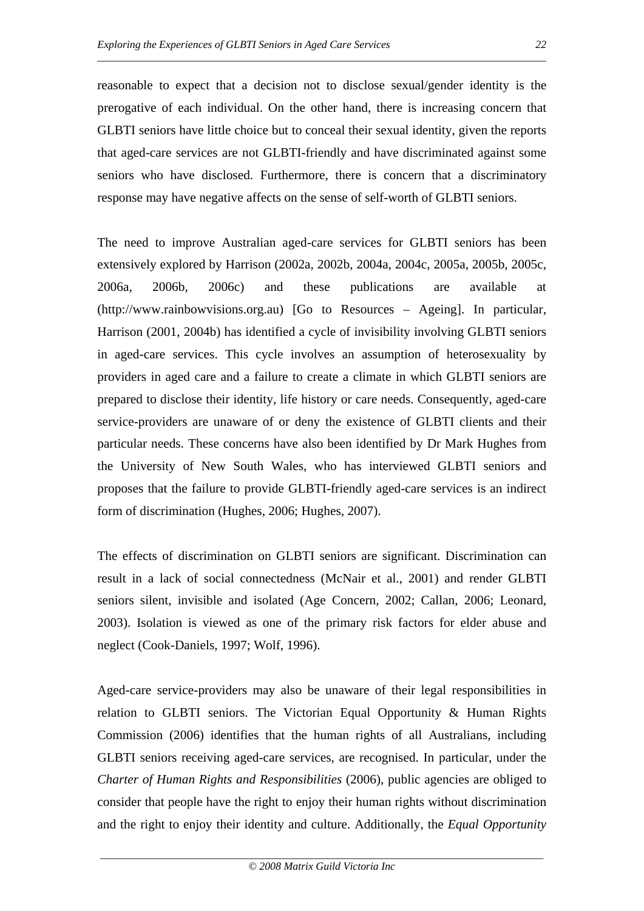reasonable to expect that a decision not to disclose sexual/gender identity is the prerogative of each individual. On the other hand, there is increasing concern that GLBTI seniors have little choice but to conceal their sexual identity, given the reports that aged-care services are not GLBTI-friendly and have discriminated against some seniors who have disclosed. Furthermore, there is concern that a discriminatory response may have negative affects on the sense of self-worth of GLBTI seniors.

*\_\_\_\_\_\_\_\_\_\_\_\_\_\_\_\_\_\_\_\_\_\_\_\_\_\_\_\_\_\_\_\_\_\_\_\_\_\_\_\_\_\_\_\_\_\_\_\_\_\_\_\_\_\_\_\_\_\_\_\_\_\_\_\_\_\_\_\_\_\_\_\_\_\_\_\_\_\_\_\_\_\_\_* 

The need to improve Australian aged-care services for GLBTI seniors has been extensively explored by Harrison (2002a, 2002b, 2004a, 2004c, 2005a, 2005b, 2005c, 2006a, 2006b, 2006c) and these publications are available at (http://www.rainbowvisions.org.au) [Go to Resources – Ageing]. In particular, Harrison (2001, 2004b) has identified a cycle of invisibility involving GLBTI seniors in aged-care services. This cycle involves an assumption of heterosexuality by providers in aged care and a failure to create a climate in which GLBTI seniors are prepared to disclose their identity, life history or care needs. Consequently, aged-care service-providers are unaware of or deny the existence of GLBTI clients and their particular needs. These concerns have also been identified by Dr Mark Hughes from the University of New South Wales, who has interviewed GLBTI seniors and proposes that the failure to provide GLBTI-friendly aged-care services is an indirect form of discrimination (Hughes, 2006; Hughes, 2007).

The effects of discrimination on GLBTI seniors are significant. Discrimination can result in a lack of social connectedness (McNair et al., 2001) and render GLBTI seniors silent, invisible and isolated (Age Concern, 2002; Callan, 2006; Leonard, 2003). Isolation is viewed as one of the primary risk factors for elder abuse and neglect (Cook-Daniels, 1997; Wolf, 1996).

Aged-care service-providers may also be unaware of their legal responsibilities in relation to GLBTI seniors. The Victorian Equal Opportunity & Human Rights Commission (2006) identifies that the human rights of all Australians, including GLBTI seniors receiving aged-care services, are recognised. In particular, under the *Charter of Human Rights and Responsibilities* (2006), public agencies are obliged to consider that people have the right to enjoy their human rights without discrimination and the right to enjoy their identity and culture. Additionally, the *Equal Opportunity*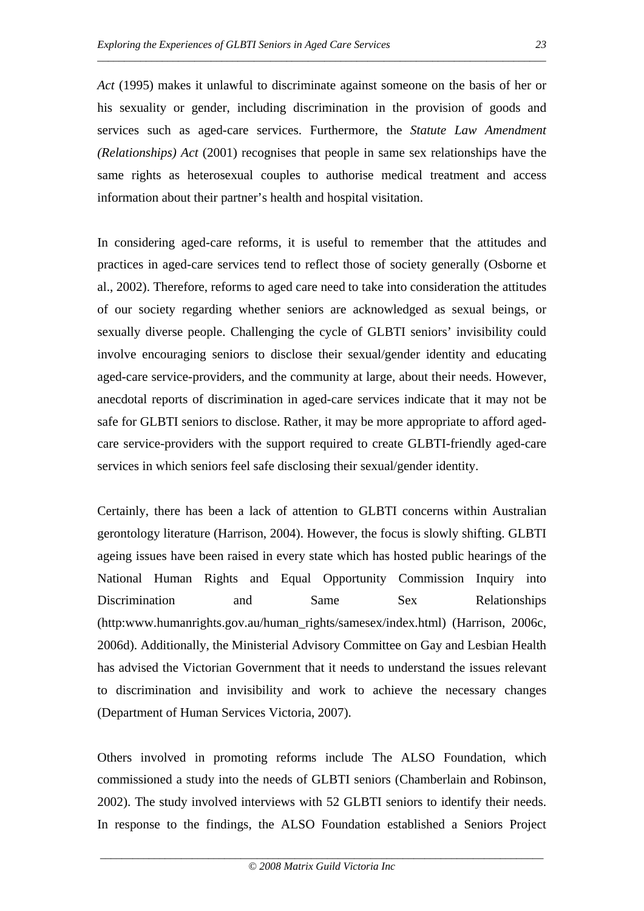*Act* (1995) makes it unlawful to discriminate against someone on the basis of her or his sexuality or gender, including discrimination in the provision of goods and services such as aged-care services. Furthermore, the *Statute Law Amendment (Relationships) Act* (2001) recognises that people in same sex relationships have the same rights as heterosexual couples to authorise medical treatment and access information about their partner's health and hospital visitation.

*\_\_\_\_\_\_\_\_\_\_\_\_\_\_\_\_\_\_\_\_\_\_\_\_\_\_\_\_\_\_\_\_\_\_\_\_\_\_\_\_\_\_\_\_\_\_\_\_\_\_\_\_\_\_\_\_\_\_\_\_\_\_\_\_\_\_\_\_\_\_\_\_\_\_\_\_\_\_\_\_\_\_\_* 

In considering aged-care reforms, it is useful to remember that the attitudes and practices in aged-care services tend to reflect those of society generally (Osborne et al., 2002). Therefore, reforms to aged care need to take into consideration the attitudes of our society regarding whether seniors are acknowledged as sexual beings, or sexually diverse people. Challenging the cycle of GLBTI seniors' invisibility could involve encouraging seniors to disclose their sexual/gender identity and educating aged-care service-providers, and the community at large, about their needs. However, anecdotal reports of discrimination in aged-care services indicate that it may not be safe for GLBTI seniors to disclose. Rather, it may be more appropriate to afford agedcare service-providers with the support required to create GLBTI-friendly aged-care services in which seniors feel safe disclosing their sexual/gender identity.

Certainly, there has been a lack of attention to GLBTI concerns within Australian gerontology literature (Harrison, 2004). However, the focus is slowly shifting. GLBTI ageing issues have been raised in every state which has hosted public hearings of the National Human Rights and Equal Opportunity Commission Inquiry into Discrimination and Same Sex Relationships (http:www.humanrights.gov.au/human\_rights/samesex/index.html) (Harrison, 2006c, 2006d). Additionally, the Ministerial Advisory Committee on Gay and Lesbian Health has advised the Victorian Government that it needs to understand the issues relevant to discrimination and invisibility and work to achieve the necessary changes (Department of Human Services Victoria, 2007).

Others involved in promoting reforms include The ALSO Foundation, which commissioned a study into the needs of GLBTI seniors (Chamberlain and Robinson, 2002). The study involved interviews with 52 GLBTI seniors to identify their needs. In response to the findings, the ALSO Foundation established a Seniors Project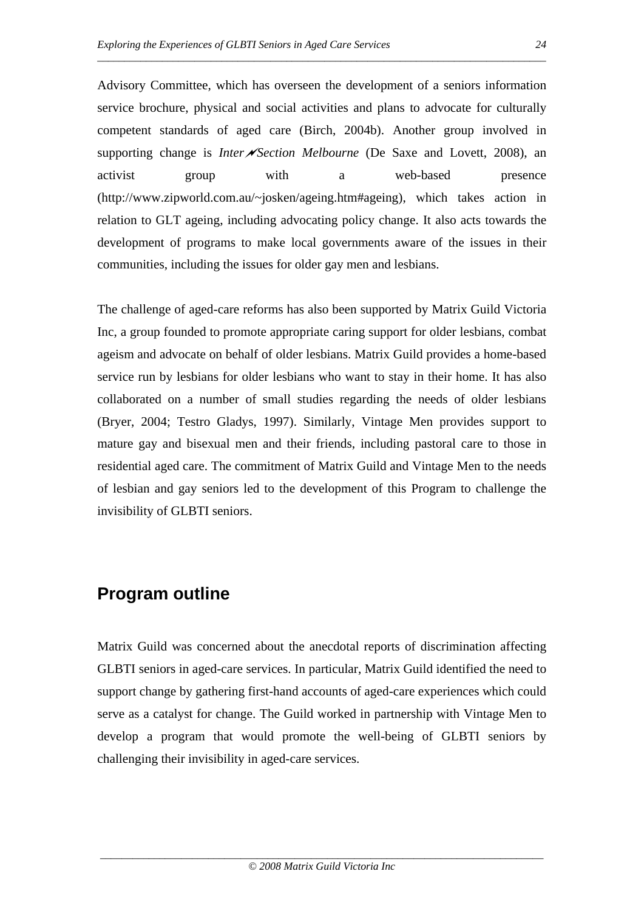Advisory Committee, which has overseen the development of a seniors information service brochure, physical and social activities and plans to advocate for culturally competent standards of aged care (Birch, 2004b). Another group involved in supporting change is *Inter* $\sqrt{\lambda}$ *Section Melbourne* (De Saxe and Lovett, 2008), an activist group with a web-based presence (http://www.zipworld.com.au/~josken/ageing.htm#ageing), which takes action in relation to GLT ageing, including advocating policy change. It also acts towards the development of programs to make local governments aware of the issues in their communities, including the issues for older gay men and lesbians.

*\_\_\_\_\_\_\_\_\_\_\_\_\_\_\_\_\_\_\_\_\_\_\_\_\_\_\_\_\_\_\_\_\_\_\_\_\_\_\_\_\_\_\_\_\_\_\_\_\_\_\_\_\_\_\_\_\_\_\_\_\_\_\_\_\_\_\_\_\_\_\_\_\_\_\_\_\_\_\_\_\_\_\_* 

The challenge of aged-care reforms has also been supported by Matrix Guild Victoria Inc, a group founded to promote appropriate caring support for older lesbians, combat ageism and advocate on behalf of older lesbians. Matrix Guild provides a home-based service run by lesbians for older lesbians who want to stay in their home. It has also collaborated on a number of small studies regarding the needs of older lesbians (Bryer, 2004; Testro Gladys, 1997). Similarly, Vintage Men provides support to mature gay and bisexual men and their friends, including pastoral care to those in residential aged care. The commitment of Matrix Guild and Vintage Men to the needs of lesbian and gay seniors led to the development of this Program to challenge the invisibility of GLBTI seniors.

# **Program outline**

Matrix Guild was concerned about the anecdotal reports of discrimination affecting GLBTI seniors in aged-care services. In particular, Matrix Guild identified the need to support change by gathering first-hand accounts of aged-care experiences which could serve as a catalyst for change. The Guild worked in partnership with Vintage Men to develop a program that would promote the well-being of GLBTI seniors by challenging their invisibility in aged-care services.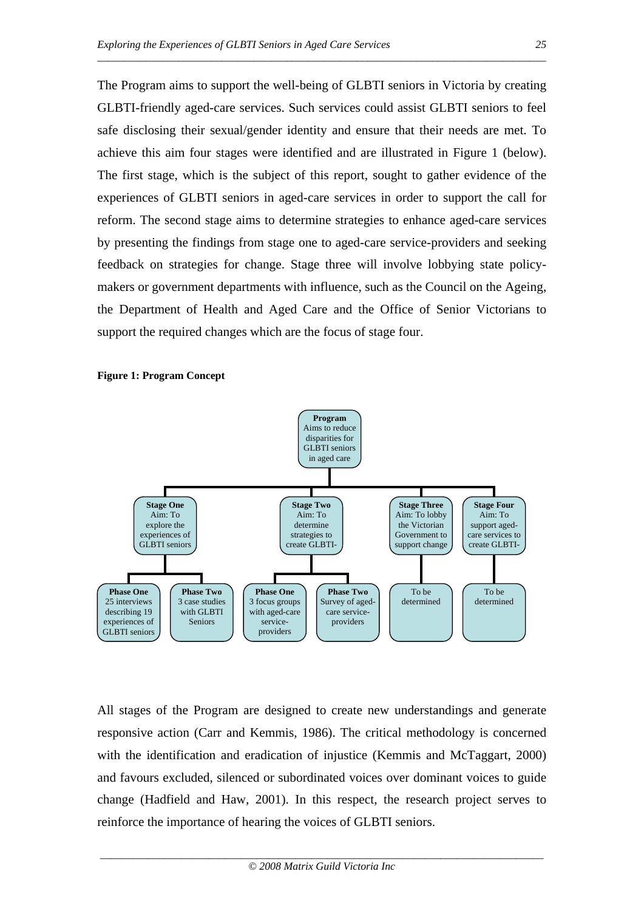The Program aims to support the well-being of GLBTI seniors in Victoria by creating GLBTI-friendly aged-care services. Such services could assist GLBTI seniors to feel safe disclosing their sexual/gender identity and ensure that their needs are met. To achieve this aim four stages were identified and are illustrated in Figure 1 (below). The first stage, which is the subject of this report, sought to gather evidence of the experiences of GLBTI seniors in aged-care services in order to support the call for reform. The second stage aims to determine strategies to enhance aged-care services by presenting the findings from stage one to aged-care service-providers and seeking feedback on strategies for change. Stage three will involve lobbying state policymakers or government departments with influence, such as the Council on the Ageing, the Department of Health and Aged Care and the Office of Senior Victorians to support the required changes which are the focus of stage four.

*\_\_\_\_\_\_\_\_\_\_\_\_\_\_\_\_\_\_\_\_\_\_\_\_\_\_\_\_\_\_\_\_\_\_\_\_\_\_\_\_\_\_\_\_\_\_\_\_\_\_\_\_\_\_\_\_\_\_\_\_\_\_\_\_\_\_\_\_\_\_\_\_\_\_\_\_\_\_\_\_\_\_\_* 





All stages of the Program are designed to create new understandings and generate responsive action (Carr and Kemmis, 1986). The critical methodology is concerned with the identification and eradication of injustice (Kemmis and McTaggart, 2000) and favours excluded, silenced or subordinated voices over dominant voices to guide change (Hadfield and Haw, 2001). In this respect, the research project serves to reinforce the importance of hearing the voices of GLBTI seniors.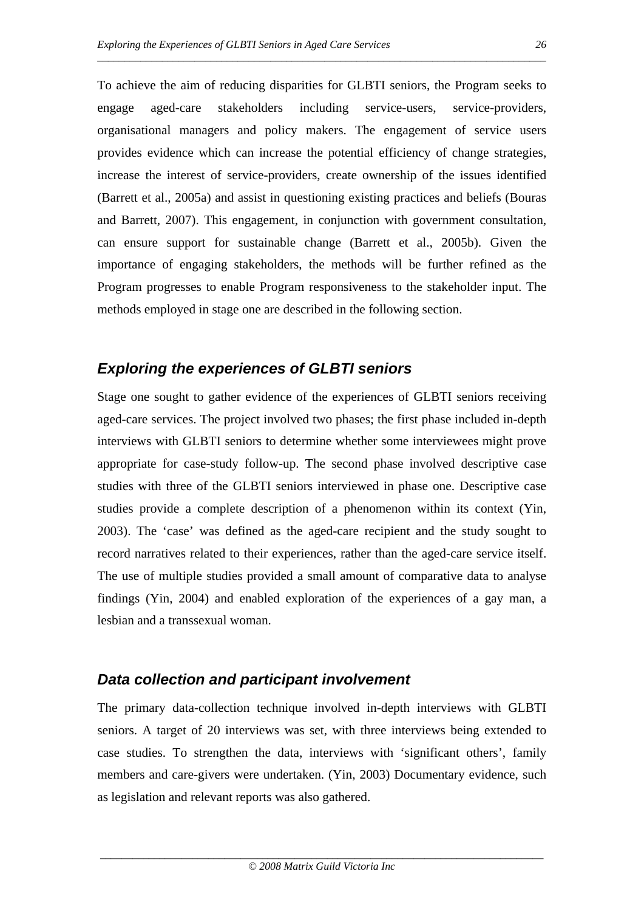To achieve the aim of reducing disparities for GLBTI seniors, the Program seeks to engage aged-care stakeholders including service-users, service-providers, organisational managers and policy makers. The engagement of service users provides evidence which can increase the potential efficiency of change strategies, increase the interest of service-providers, create ownership of the issues identified (Barrett et al., 2005a) and assist in questioning existing practices and beliefs (Bouras and Barrett, 2007). This engagement, in conjunction with government consultation, can ensure support for sustainable change (Barrett et al., 2005b). Given the importance of engaging stakeholders, the methods will be further refined as the Program progresses to enable Program responsiveness to the stakeholder input. The methods employed in stage one are described in the following section.

*\_\_\_\_\_\_\_\_\_\_\_\_\_\_\_\_\_\_\_\_\_\_\_\_\_\_\_\_\_\_\_\_\_\_\_\_\_\_\_\_\_\_\_\_\_\_\_\_\_\_\_\_\_\_\_\_\_\_\_\_\_\_\_\_\_\_\_\_\_\_\_\_\_\_\_\_\_\_\_\_\_\_\_* 

#### *Exploring the experiences of GLBTI seniors*

Stage one sought to gather evidence of the experiences of GLBTI seniors receiving aged-care services. The project involved two phases; the first phase included in-depth interviews with GLBTI seniors to determine whether some interviewees might prove appropriate for case-study follow-up. The second phase involved descriptive case studies with three of the GLBTI seniors interviewed in phase one. Descriptive case studies provide a complete description of a phenomenon within its context (Yin, 2003). The 'case' was defined as the aged-care recipient and the study sought to record narratives related to their experiences, rather than the aged-care service itself. The use of multiple studies provided a small amount of comparative data to analyse findings (Yin, 2004) and enabled exploration of the experiences of a gay man, a lesbian and a transsexual woman.

#### *Data collection and participant involvement*

The primary data-collection technique involved in-depth interviews with GLBTI seniors. A target of 20 interviews was set, with three interviews being extended to case studies. To strengthen the data, interviews with 'significant others', family members and care-givers were undertaken. (Yin, 2003) Documentary evidence, such as legislation and relevant reports was also gathered.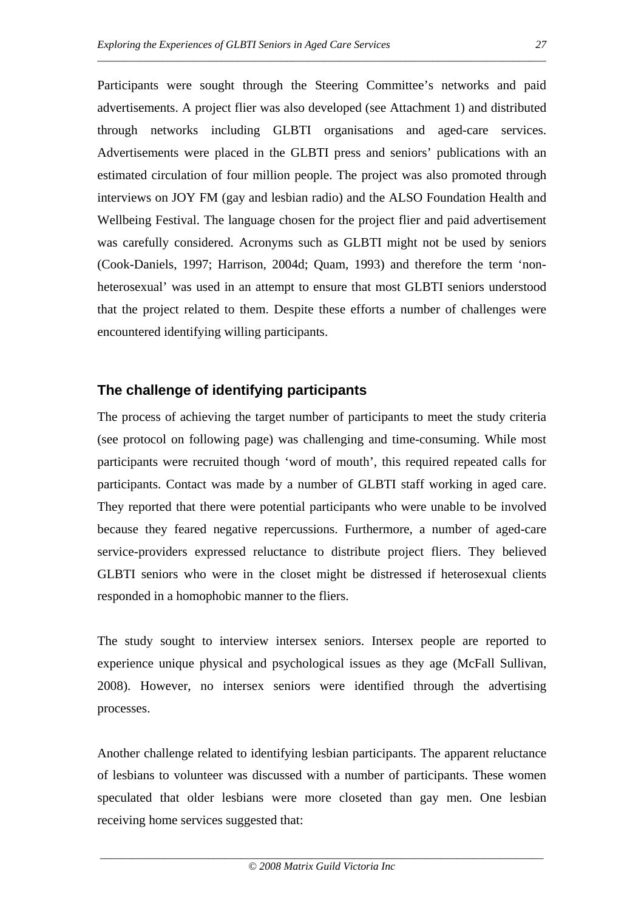Participants were sought through the Steering Committee's networks and paid advertisements. A project flier was also developed (see Attachment 1) and distributed through networks including GLBTI organisations and aged-care services. Advertisements were placed in the GLBTI press and seniors' publications with an estimated circulation of four million people. The project was also promoted through interviews on JOY FM (gay and lesbian radio) and the ALSO Foundation Health and Wellbeing Festival. The language chosen for the project flier and paid advertisement was carefully considered. Acronyms such as GLBTI might not be used by seniors (Cook-Daniels, 1997; Harrison, 2004d; Quam, 1993) and therefore the term 'nonheterosexual' was used in an attempt to ensure that most GLBTI seniors understood that the project related to them. Despite these efforts a number of challenges were encountered identifying willing participants.

*\_\_\_\_\_\_\_\_\_\_\_\_\_\_\_\_\_\_\_\_\_\_\_\_\_\_\_\_\_\_\_\_\_\_\_\_\_\_\_\_\_\_\_\_\_\_\_\_\_\_\_\_\_\_\_\_\_\_\_\_\_\_\_\_\_\_\_\_\_\_\_\_\_\_\_\_\_\_\_\_\_\_\_* 

## **The challenge of identifying participants**

The process of achieving the target number of participants to meet the study criteria (see protocol on following page) was challenging and time-consuming. While most participants were recruited though 'word of mouth', this required repeated calls for participants. Contact was made by a number of GLBTI staff working in aged care. They reported that there were potential participants who were unable to be involved because they feared negative repercussions. Furthermore, a number of aged-care service-providers expressed reluctance to distribute project fliers. They believed GLBTI seniors who were in the closet might be distressed if heterosexual clients responded in a homophobic manner to the fliers.

The study sought to interview intersex seniors. Intersex people are reported to experience unique physical and psychological issues as they age (McFall Sullivan, 2008). However, no intersex seniors were identified through the advertising processes.

Another challenge related to identifying lesbian participants. The apparent reluctance of lesbians to volunteer was discussed with a number of participants. These women speculated that older lesbians were more closeted than gay men. One lesbian receiving home services suggested that: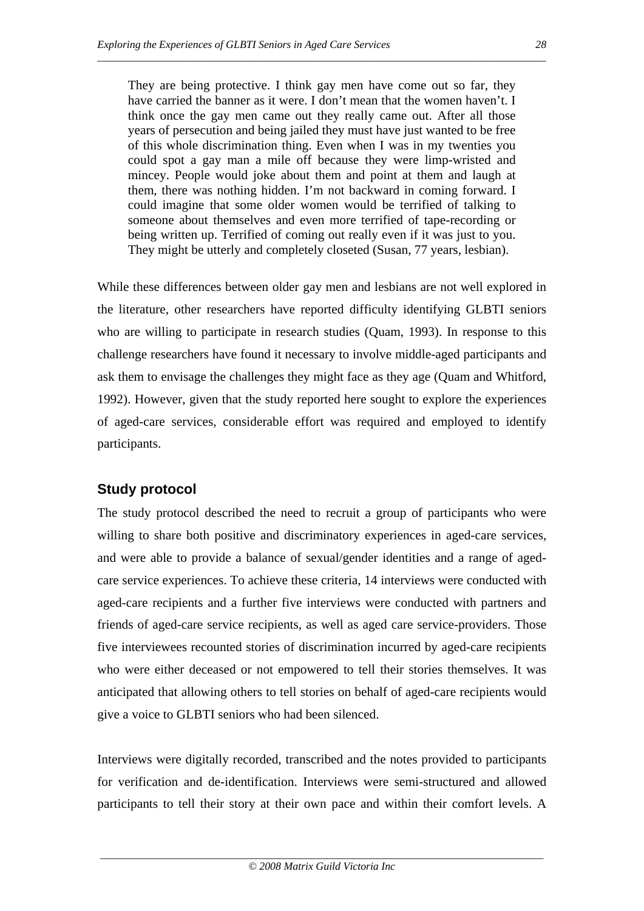They are being protective. I think gay men have come out so far, they have carried the banner as it were. I don't mean that the women haven't. I think once the gay men came out they really came out. After all those years of persecution and being jailed they must have just wanted to be free of this whole discrimination thing. Even when I was in my twenties you could spot a gay man a mile off because they were limp-wristed and mincey. People would joke about them and point at them and laugh at them, there was nothing hidden. I'm not backward in coming forward. I could imagine that some older women would be terrified of talking to someone about themselves and even more terrified of tape-recording or being written up. Terrified of coming out really even if it was just to you. They might be utterly and completely closeted (Susan, 77 years, lesbian).

*\_\_\_\_\_\_\_\_\_\_\_\_\_\_\_\_\_\_\_\_\_\_\_\_\_\_\_\_\_\_\_\_\_\_\_\_\_\_\_\_\_\_\_\_\_\_\_\_\_\_\_\_\_\_\_\_\_\_\_\_\_\_\_\_\_\_\_\_\_\_\_\_\_\_\_\_\_\_\_\_\_\_\_* 

While these differences between older gay men and lesbians are not well explored in the literature, other researchers have reported difficulty identifying GLBTI seniors who are willing to participate in research studies (Quam, 1993). In response to this challenge researchers have found it necessary to involve middle-aged participants and ask them to envisage the challenges they might face as they age (Quam and Whitford, 1992). However, given that the study reported here sought to explore the experiences of aged-care services, considerable effort was required and employed to identify participants.

# **Study protocol**

The study protocol described the need to recruit a group of participants who were willing to share both positive and discriminatory experiences in aged-care services, and were able to provide a balance of sexual/gender identities and a range of agedcare service experiences. To achieve these criteria, 14 interviews were conducted with aged-care recipients and a further five interviews were conducted with partners and friends of aged-care service recipients, as well as aged care service-providers. Those five interviewees recounted stories of discrimination incurred by aged-care recipients who were either deceased or not empowered to tell their stories themselves. It was anticipated that allowing others to tell stories on behalf of aged-care recipients would give a voice to GLBTI seniors who had been silenced.

Interviews were digitally recorded, transcribed and the notes provided to participants for verification and de-identification. Interviews were semi-structured and allowed participants to tell their story at their own pace and within their comfort levels. A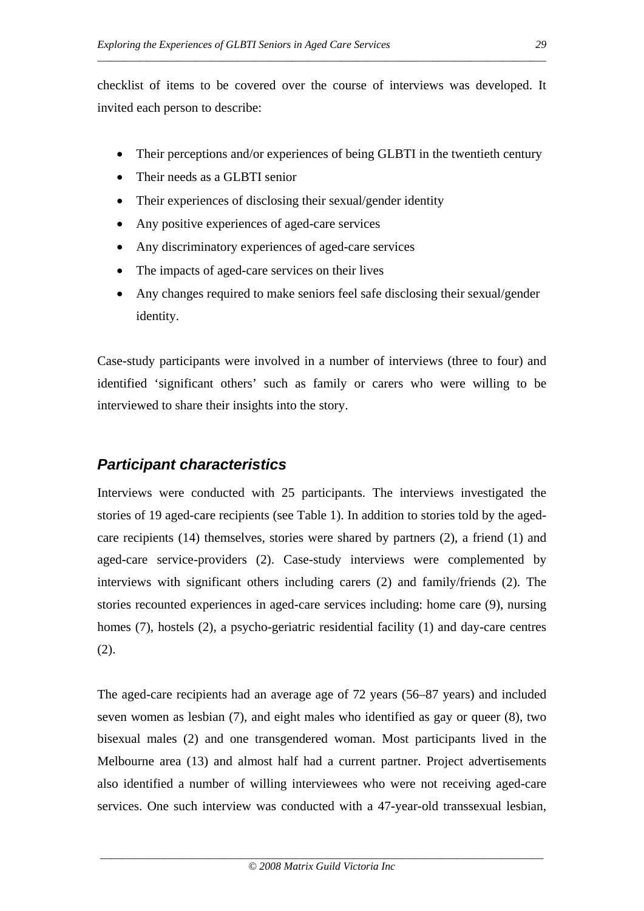checklist of items to be covered over the course of interviews was developed. It invited each person to describe:

*\_\_\_\_\_\_\_\_\_\_\_\_\_\_\_\_\_\_\_\_\_\_\_\_\_\_\_\_\_\_\_\_\_\_\_\_\_\_\_\_\_\_\_\_\_\_\_\_\_\_\_\_\_\_\_\_\_\_\_\_\_\_\_\_\_\_\_\_\_\_\_\_\_\_\_\_\_\_\_\_\_\_\_* 

- Their perceptions and/or experiences of being GLBTI in the twentieth century
- Their needs as a GLBTI senior
- Their experiences of disclosing their sexual/gender identity
- Any positive experiences of aged-care services
- Any discriminatory experiences of aged-care services
- The impacts of aged-care services on their lives
- Any changes required to make seniors feel safe disclosing their sexual/gender identity.

Case-study participants were involved in a number of interviews (three to four) and identified 'significant others' such as family or carers who were willing to be interviewed to share their insights into the story.

# *Participant characteristics*

Interviews were conducted with 25 participants. The interviews investigated the stories of 19 aged-care recipients (see Table 1). In addition to stories told by the agedcare recipients (14) themselves, stories were shared by partners (2), a friend (1) and aged-care service-providers (2). Case-study interviews were complemented by interviews with significant others including carers (2) and family/friends (2). The stories recounted experiences in aged-care services including: home care (9), nursing homes (7), hostels (2), a psycho-geriatric residential facility (1) and day-care centres (2).

The aged-care recipients had an average age of 72 years (56–87 years) and included seven women as lesbian (7), and eight males who identified as gay or queer (8), two bisexual males (2) and one transgendered woman. Most participants lived in the Melbourne area (13) and almost half had a current partner. Project advertisements also identified a number of willing interviewees who were not receiving aged-care services. One such interview was conducted with a 47-year-old transsexual lesbian,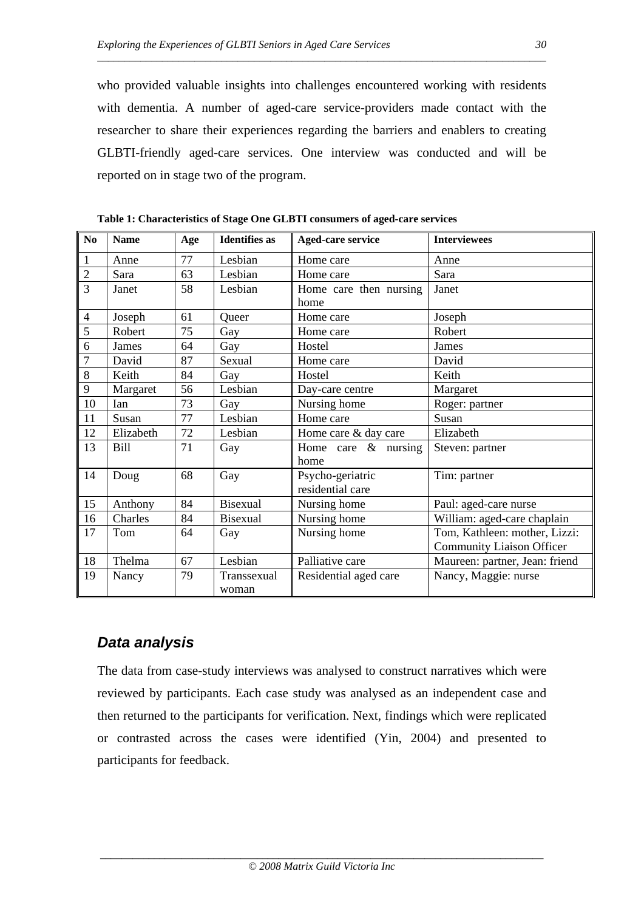who provided valuable insights into challenges encountered working with residents with dementia. A number of aged-care service-providers made contact with the researcher to share their experiences regarding the barriers and enablers to creating GLBTI-friendly aged-care services. One interview was conducted and will be reported on in stage two of the program.

*\_\_\_\_\_\_\_\_\_\_\_\_\_\_\_\_\_\_\_\_\_\_\_\_\_\_\_\_\_\_\_\_\_\_\_\_\_\_\_\_\_\_\_\_\_\_\_\_\_\_\_\_\_\_\_\_\_\_\_\_\_\_\_\_\_\_\_\_\_\_\_\_\_\_\_\_\_\_\_\_\_\_\_* 

| No             | <b>Name</b> | Age | <b>Identifies as</b> | <b>Aged-care service</b>             | <b>Interviewees</b>                                               |
|----------------|-------------|-----|----------------------|--------------------------------------|-------------------------------------------------------------------|
| $\mathbf{1}$   | Anne        | 77  | Lesbian              | Home care                            | Anne                                                              |
| $\overline{2}$ | Sara        | 63  | Lesbian              | Home care                            | Sara                                                              |
| $\overline{3}$ | Janet       | 58  | Lesbian              | Home care then nursing<br>home       | Janet                                                             |
| $\overline{4}$ | Joseph      | 61  | Queer                | Home care                            | Joseph                                                            |
| 5              | Robert      | 75  | Gay                  | Home care                            | Robert                                                            |
| 6              | James       | 64  | Gay                  | Hostel                               | James                                                             |
| $\overline{7}$ | David       | 87  | Sexual               | Home care                            | David                                                             |
| 8              | Keith       | 84  | Gay                  | Hostel                               | Keith                                                             |
| 9              | Margaret    | 56  | Lesbian              | Day-care centre                      | Margaret                                                          |
| 10             | Ian         | 73  | Gay                  | Nursing home                         | Roger: partner                                                    |
| 11             | Susan       | 77  | Lesbian              | Home care                            | Susan                                                             |
| 12             | Elizabeth   | 72  | Lesbian              | Home care & day care                 | Elizabeth                                                         |
| 13             | <b>Bill</b> | 71  | Gay                  | Home care $\&$ nursing<br>home       | Steven: partner                                                   |
| 14             | Doug        | 68  | Gay                  | Psycho-geriatric<br>residential care | Tim: partner                                                      |
| 15             | Anthony     | 84  | <b>Bisexual</b>      | Nursing home                         | Paul: aged-care nurse                                             |
| 16             | Charles     | 84  | <b>Bisexual</b>      | Nursing home                         | William: aged-care chaplain                                       |
| 17             | Tom         | 64  | Gay                  | Nursing home                         | Tom, Kathleen: mother, Lizzi:<br><b>Community Liaison Officer</b> |
| 18             | Thelma      | 67  | Lesbian              | Palliative care                      | Maureen: partner, Jean: friend                                    |
| 19             | Nancy       | 79  | Transsexual<br>woman | Residential aged care                | Nancy, Maggie: nurse                                              |

**Table 1: Characteristics of Stage One GLBTI consumers of aged-care services** 

## *Data analysis*

The data from case-study interviews was analysed to construct narratives which were reviewed by participants. Each case study was analysed as an independent case and then returned to the participants for verification. Next, findings which were replicated or contrasted across the cases were identified (Yin, 2004) and presented to participants for feedback.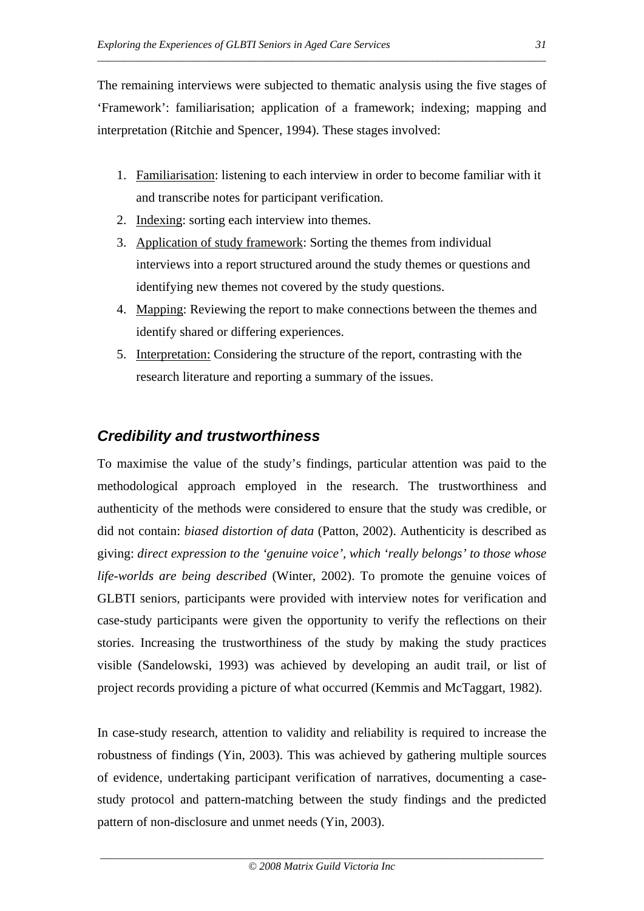The remaining interviews were subjected to thematic analysis using the five stages of 'Framework': familiarisation; application of a framework; indexing; mapping and interpretation (Ritchie and Spencer, 1994). These stages involved:

*\_\_\_\_\_\_\_\_\_\_\_\_\_\_\_\_\_\_\_\_\_\_\_\_\_\_\_\_\_\_\_\_\_\_\_\_\_\_\_\_\_\_\_\_\_\_\_\_\_\_\_\_\_\_\_\_\_\_\_\_\_\_\_\_\_\_\_\_\_\_\_\_\_\_\_\_\_\_\_\_\_\_\_* 

- 1. Familiarisation: listening to each interview in order to become familiar with it and transcribe notes for participant verification.
- 2. Indexing: sorting each interview into themes.
- 3. Application of study framework: Sorting the themes from individual interviews into a report structured around the study themes or questions and identifying new themes not covered by the study questions.
- 4. Mapping: Reviewing the report to make connections between the themes and identify shared or differing experiences.
- 5. Interpretation: Considering the structure of the report, contrasting with the research literature and reporting a summary of the issues.

# *Credibility and trustworthiness*

To maximise the value of the study's findings, particular attention was paid to the methodological approach employed in the research. The trustworthiness and authenticity of the methods were considered to ensure that the study was credible, or did not contain: *biased distortion of data* (Patton, 2002). Authenticity is described as giving: *direct expression to the 'genuine voice', which 'really belongs' to those whose life-worlds are being described* (Winter, 2002). To promote the genuine voices of GLBTI seniors, participants were provided with interview notes for verification and case-study participants were given the opportunity to verify the reflections on their stories. Increasing the trustworthiness of the study by making the study practices visible (Sandelowski, 1993) was achieved by developing an audit trail, or list of project records providing a picture of what occurred (Kemmis and McTaggart, 1982).

In case-study research, attention to validity and reliability is required to increase the robustness of findings (Yin, 2003). This was achieved by gathering multiple sources of evidence, undertaking participant verification of narratives, documenting a casestudy protocol and pattern-matching between the study findings and the predicted pattern of non-disclosure and unmet needs (Yin, 2003).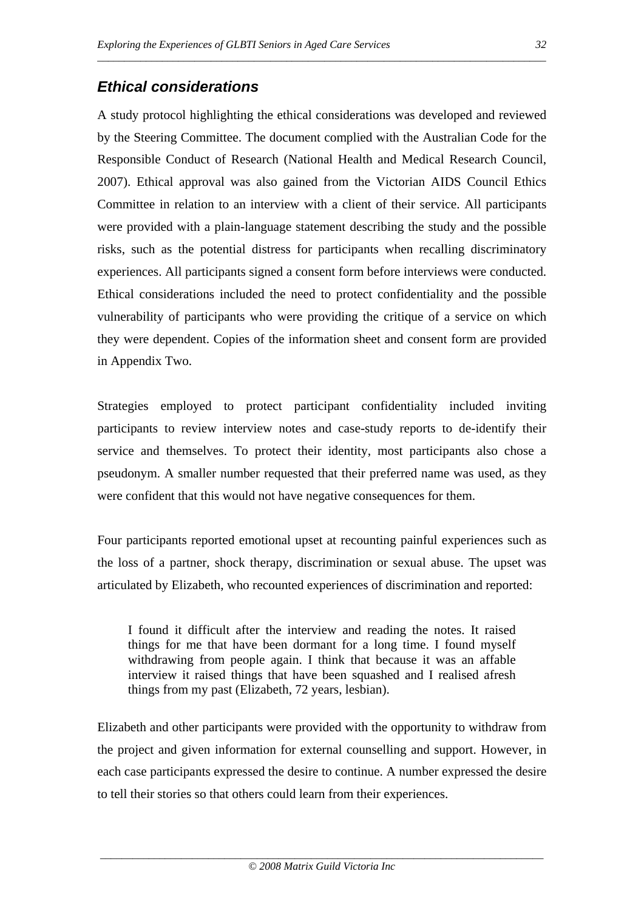# *Ethical considerations*

A study protocol highlighting the ethical considerations was developed and reviewed by the Steering Committee. The document complied with the Australian Code for the Responsible Conduct of Research (National Health and Medical Research Council, 2007). Ethical approval was also gained from the Victorian AIDS Council Ethics Committee in relation to an interview with a client of their service. All participants were provided with a plain-language statement describing the study and the possible risks, such as the potential distress for participants when recalling discriminatory experiences. All participants signed a consent form before interviews were conducted. Ethical considerations included the need to protect confidentiality and the possible vulnerability of participants who were providing the critique of a service on which they were dependent. Copies of the information sheet and consent form are provided in Appendix Two.

*\_\_\_\_\_\_\_\_\_\_\_\_\_\_\_\_\_\_\_\_\_\_\_\_\_\_\_\_\_\_\_\_\_\_\_\_\_\_\_\_\_\_\_\_\_\_\_\_\_\_\_\_\_\_\_\_\_\_\_\_\_\_\_\_\_\_\_\_\_\_\_\_\_\_\_\_\_\_\_\_\_\_\_* 

Strategies employed to protect participant confidentiality included inviting participants to review interview notes and case-study reports to de-identify their service and themselves. To protect their identity, most participants also chose a pseudonym. A smaller number requested that their preferred name was used, as they were confident that this would not have negative consequences for them.

Four participants reported emotional upset at recounting painful experiences such as the loss of a partner, shock therapy, discrimination or sexual abuse. The upset was articulated by Elizabeth, who recounted experiences of discrimination and reported:

I found it difficult after the interview and reading the notes. It raised things for me that have been dormant for a long time. I found myself withdrawing from people again. I think that because it was an affable interview it raised things that have been squashed and I realised afresh things from my past (Elizabeth, 72 years, lesbian).

Elizabeth and other participants were provided with the opportunity to withdraw from the project and given information for external counselling and support. However, in each case participants expressed the desire to continue. A number expressed the desire to tell their stories so that others could learn from their experiences.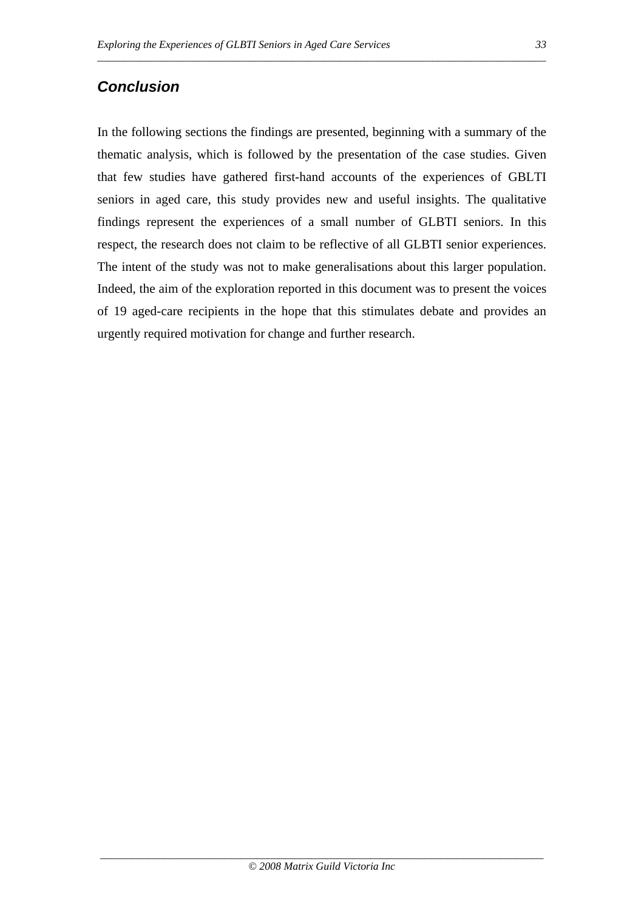# *Conclusion*

In the following sections the findings are presented, beginning with a summary of the thematic analysis, which is followed by the presentation of the case studies. Given that few studies have gathered first-hand accounts of the experiences of GBLTI seniors in aged care, this study provides new and useful insights. The qualitative findings represent the experiences of a small number of GLBTI seniors. In this respect, the research does not claim to be reflective of all GLBTI senior experiences. The intent of the study was not to make generalisations about this larger population. Indeed, the aim of the exploration reported in this document was to present the voices of 19 aged-care recipients in the hope that this stimulates debate and provides an urgently required motivation for change and further research.

*\_\_\_\_\_\_\_\_\_\_\_\_\_\_\_\_\_\_\_\_\_\_\_\_\_\_\_\_\_\_\_\_\_\_\_\_\_\_\_\_\_\_\_\_\_\_\_\_\_\_\_\_\_\_\_\_\_\_\_\_\_\_\_\_\_\_\_\_\_\_\_\_\_\_\_\_\_\_\_\_\_\_\_*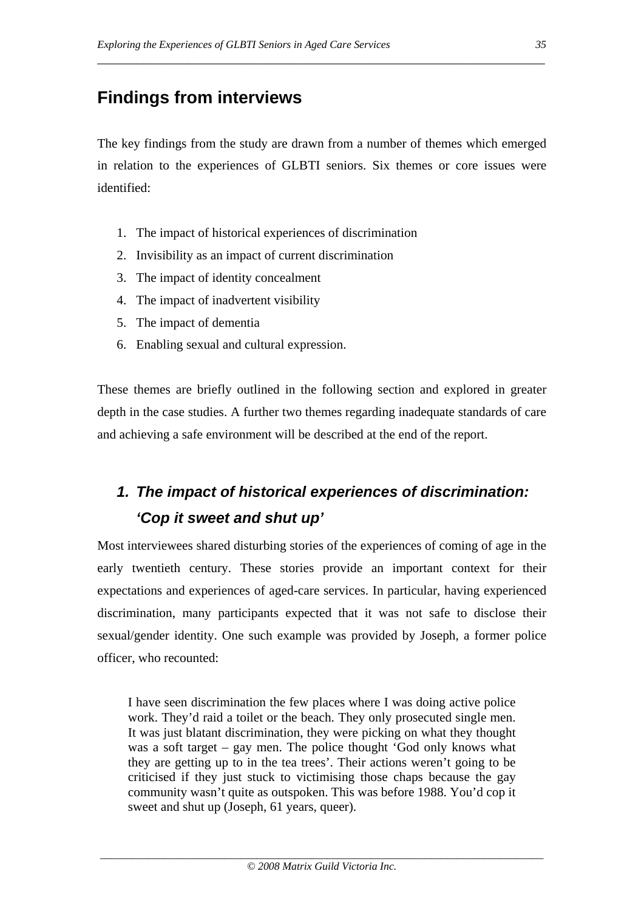# **Findings from interviews**

The key findings from the study are drawn from a number of themes which emerged in relation to the experiences of GLBTI seniors. Six themes or core issues were identified:

\_\_\_\_\_\_\_\_\_\_\_\_\_\_\_\_\_\_\_\_\_\_\_\_\_\_\_\_\_\_\_\_\_\_\_\_\_\_\_\_\_\_\_\_\_\_\_\_\_\_\_\_\_\_\_\_\_\_\_\_\_\_\_\_\_\_\_\_\_

- 1. The impact of historical experiences of discrimination
- 2. Invisibility as an impact of current discrimination
- 3. The impact of identity concealment
- 4. The impact of inadvertent visibility
- 5. The impact of dementia
- 6. Enabling sexual and cultural expression.

These themes are briefly outlined in the following section and explored in greater depth in the case studies. A further two themes regarding inadequate standards of care and achieving a safe environment will be described at the end of the report.

# *1. The impact of historical experiences of discrimination: 'Cop it sweet and shut up'*

Most interviewees shared disturbing stories of the experiences of coming of age in the early twentieth century. These stories provide an important context for their expectations and experiences of aged-care services. In particular, having experienced discrimination, many participants expected that it was not safe to disclose their sexual/gender identity. One such example was provided by Joseph, a former police officer, who recounted:

I have seen discrimination the few places where I was doing active police work. They'd raid a toilet or the beach. They only prosecuted single men. It was just blatant discrimination, they were picking on what they thought was a soft target – gay men. The police thought 'God only knows what they are getting up to in the tea trees'. Their actions weren't going to be criticised if they just stuck to victimising those chaps because the gay community wasn't quite as outspoken. This was before 1988. You'd cop it sweet and shut up (Joseph, 61 years, queer).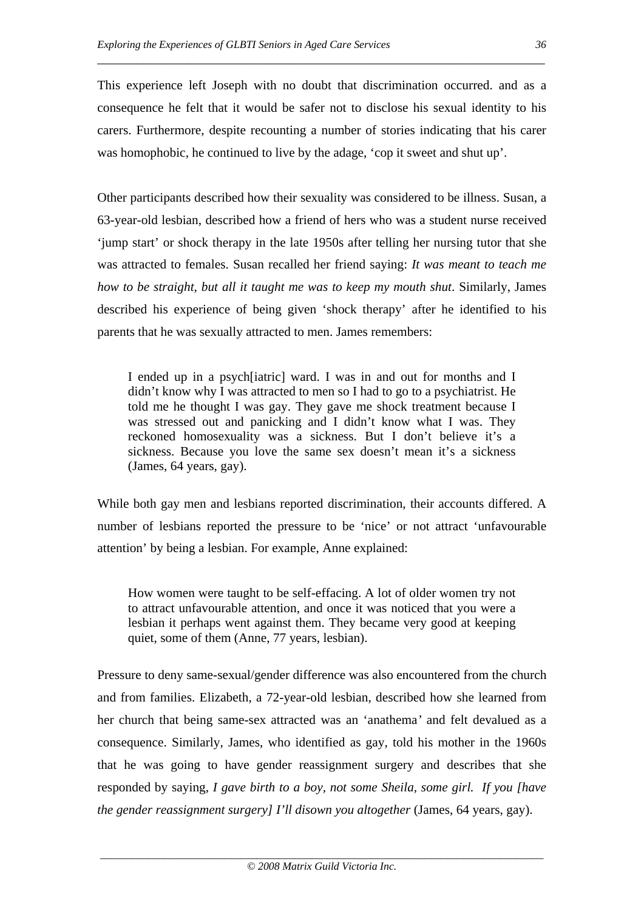This experience left Joseph with no doubt that discrimination occurred. and as a consequence he felt that it would be safer not to disclose his sexual identity to his carers. Furthermore, despite recounting a number of stories indicating that his carer was homophobic, he continued to live by the adage, 'cop it sweet and shut up'.

\_\_\_\_\_\_\_\_\_\_\_\_\_\_\_\_\_\_\_\_\_\_\_\_\_\_\_\_\_\_\_\_\_\_\_\_\_\_\_\_\_\_\_\_\_\_\_\_\_\_\_\_\_\_\_\_\_\_\_\_\_\_\_\_\_\_\_\_\_

Other participants described how their sexuality was considered to be illness. Susan, a 63-year-old lesbian, described how a friend of hers who was a student nurse received 'jump start' or shock therapy in the late 1950s after telling her nursing tutor that she was attracted to females. Susan recalled her friend saying: *It was meant to teach me how to be straight, but all it taught me was to keep my mouth shut*. Similarly, James described his experience of being given 'shock therapy' after he identified to his parents that he was sexually attracted to men. James remembers:

I ended up in a psych[iatric] ward. I was in and out for months and I didn't know why I was attracted to men so I had to go to a psychiatrist. He told me he thought I was gay. They gave me shock treatment because I was stressed out and panicking and I didn't know what I was. They reckoned homosexuality was a sickness. But I don't believe it's a sickness. Because you love the same sex doesn't mean it's a sickness (James, 64 years, gay).

While both gay men and lesbians reported discrimination, their accounts differed. A number of lesbians reported the pressure to be 'nice' or not attract 'unfavourable attention' by being a lesbian. For example, Anne explained:

How women were taught to be self-effacing. A lot of older women try not to attract unfavourable attention, and once it was noticed that you were a lesbian it perhaps went against them. They became very good at keeping quiet, some of them (Anne, 77 years, lesbian).

Pressure to deny same-sexual/gender difference was also encountered from the church and from families. Elizabeth, a 72-year-old lesbian, described how she learned from her church that being same-sex attracted was an 'anathema*'* and felt devalued as a consequence. Similarly, James, who identified as gay, told his mother in the 1960s that he was going to have gender reassignment surgery and describes that she responded by saying, *I gave birth to a boy, not some Sheila, some girl. If you [have the gender reassignment surgery] I'll disown you altogether (James, 64 years, gay).*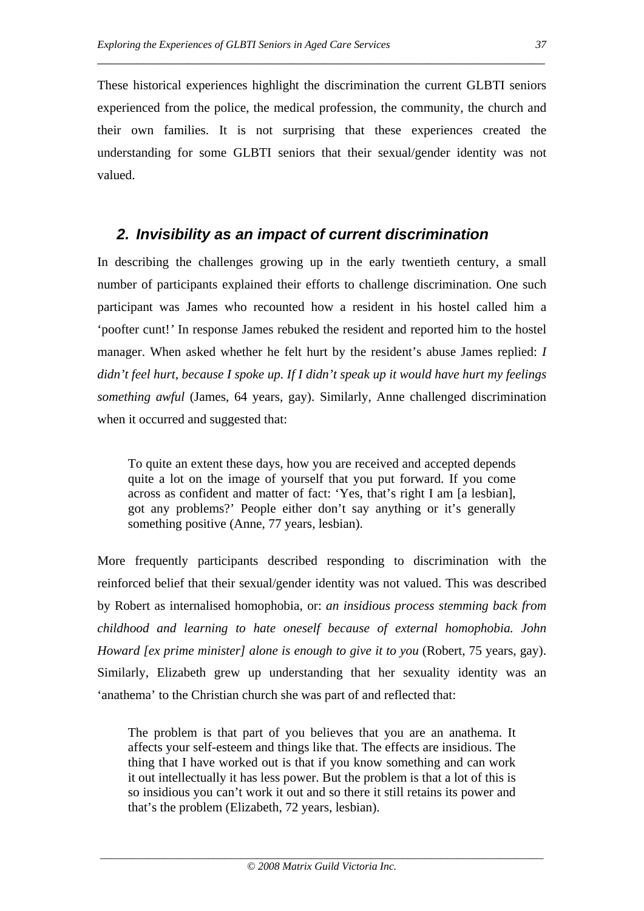These historical experiences highlight the discrimination the current GLBTI seniors experienced from the police, the medical profession, the community, the church and their own families. It is not surprising that these experiences created the understanding for some GLBTI seniors that their sexual/gender identity was not valued.

\_\_\_\_\_\_\_\_\_\_\_\_\_\_\_\_\_\_\_\_\_\_\_\_\_\_\_\_\_\_\_\_\_\_\_\_\_\_\_\_\_\_\_\_\_\_\_\_\_\_\_\_\_\_\_\_\_\_\_\_\_\_\_\_\_\_\_\_\_

# *2. Invisibility as an impact of current discrimination*

In describing the challenges growing up in the early twentieth century, a small number of participants explained their efforts to challenge discrimination. One such participant was James who recounted how a resident in his hostel called him a 'poofter cunt!*'* In response James rebuked the resident and reported him to the hostel manager. When asked whether he felt hurt by the resident's abuse James replied: *I didn't feel hurt, because I spoke up. If I didn't speak up it would have hurt my feelings something awful* (James, 64 years, gay). Similarly, Anne challenged discrimination when it occurred and suggested that:

To quite an extent these days, how you are received and accepted depends quite a lot on the image of yourself that you put forward. If you come across as confident and matter of fact: 'Yes, that's right I am [a lesbian], got any problems?' People either don't say anything or it's generally something positive (Anne, 77 years, lesbian).

More frequently participants described responding to discrimination with the reinforced belief that their sexual/gender identity was not valued. This was described by Robert as internalised homophobia, or: *an insidious process stemming back from childhood and learning to hate oneself because of external homophobia. John Howard [ex prime minister] alone is enough to give it to you (Robert, 75 years, gay).* Similarly, Elizabeth grew up understanding that her sexuality identity was an 'anathema' to the Christian church she was part of and reflected that:

The problem is that part of you believes that you are an anathema. It affects your self-esteem and things like that. The effects are insidious. The thing that I have worked out is that if you know something and can work it out intellectually it has less power. But the problem is that a lot of this is so insidious you can't work it out and so there it still retains its power and that's the problem (Elizabeth, 72 years, lesbian).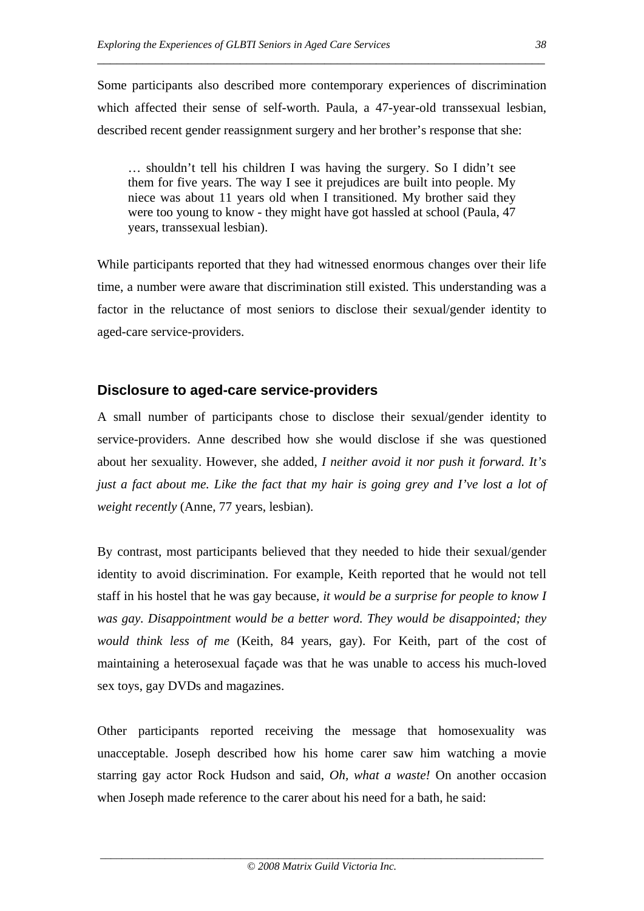Some participants also described more contemporary experiences of discrimination which affected their sense of self-worth. Paula, a 47-year-old transsexual lesbian, described recent gender reassignment surgery and her brother's response that she:

\_\_\_\_\_\_\_\_\_\_\_\_\_\_\_\_\_\_\_\_\_\_\_\_\_\_\_\_\_\_\_\_\_\_\_\_\_\_\_\_\_\_\_\_\_\_\_\_\_\_\_\_\_\_\_\_\_\_\_\_\_\_\_\_\_\_\_\_\_

… shouldn't tell his children I was having the surgery. So I didn't see them for five years. The way I see it prejudices are built into people. My niece was about 11 years old when I transitioned. My brother said they were too young to know - they might have got hassled at school (Paula, 47 years, transsexual lesbian).

While participants reported that they had witnessed enormous changes over their life time, a number were aware that discrimination still existed. This understanding was a factor in the reluctance of most seniors to disclose their sexual/gender identity to aged-care service-providers.

# **Disclosure to aged-care service-providers**

A small number of participants chose to disclose their sexual/gender identity to service-providers. Anne described how she would disclose if she was questioned about her sexuality. However, she added, *I neither avoid it nor push it forward. It's just a fact about me. Like the fact that my hair is going grey and I've lost a lot of weight recently* (Anne, 77 years, lesbian).

By contrast, most participants believed that they needed to hide their sexual/gender identity to avoid discrimination. For example, Keith reported that he would not tell staff in his hostel that he was gay because, *it would be a surprise for people to know I was gay. Disappointment would be a better word. They would be disappointed; they would think less of me* (Keith, 84 years, gay). For Keith, part of the cost of maintaining a heterosexual façade was that he was unable to access his much-loved sex toys, gay DVDs and magazines.

Other participants reported receiving the message that homosexuality was unacceptable. Joseph described how his home carer saw him watching a movie starring gay actor Rock Hudson and said, *Oh, what a waste!* On another occasion when Joseph made reference to the carer about his need for a bath, he said: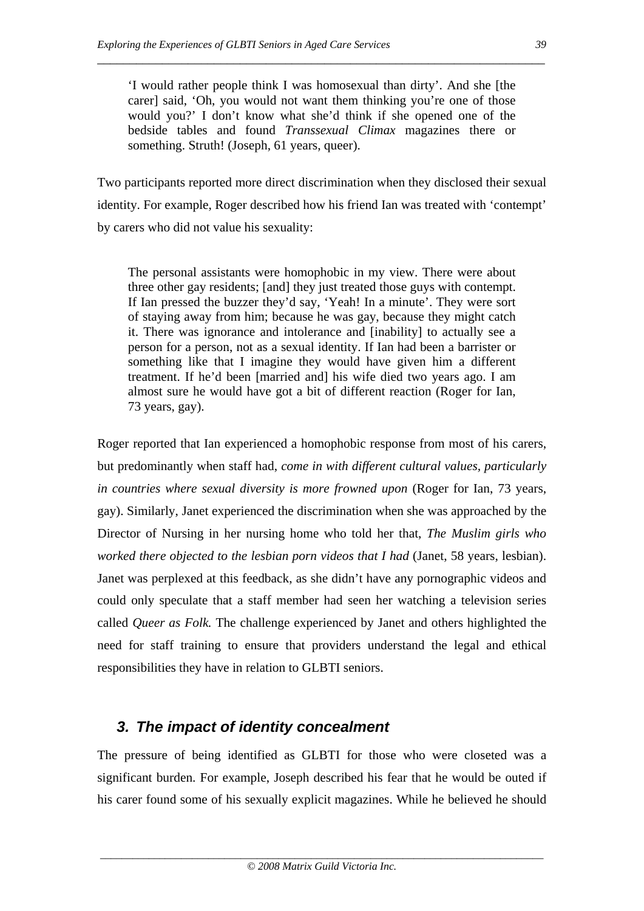'I would rather people think I was homosexual than dirty'. And she [the carer] said, 'Oh, you would not want them thinking you're one of those would you?' I don't know what she'd think if she opened one of the bedside tables and found *Transsexual Climax* magazines there or something. Struth! (Joseph, 61 years, queer).

\_\_\_\_\_\_\_\_\_\_\_\_\_\_\_\_\_\_\_\_\_\_\_\_\_\_\_\_\_\_\_\_\_\_\_\_\_\_\_\_\_\_\_\_\_\_\_\_\_\_\_\_\_\_\_\_\_\_\_\_\_\_\_\_\_\_\_\_\_

Two participants reported more direct discrimination when they disclosed their sexual identity. For example, Roger described how his friend Ian was treated with 'contempt' by carers who did not value his sexuality:

The personal assistants were homophobic in my view. There were about three other gay residents; [and] they just treated those guys with contempt. If Ian pressed the buzzer they'd say, 'Yeah! In a minute'. They were sort of staying away from him; because he was gay, because they might catch it. There was ignorance and intolerance and [inability] to actually see a person for a person, not as a sexual identity. If Ian had been a barrister or something like that I imagine they would have given him a different treatment. If he'd been [married and] his wife died two years ago. I am almost sure he would have got a bit of different reaction (Roger for Ian, 73 years, gay).

Roger reported that Ian experienced a homophobic response from most of his carers, but predominantly when staff had, *come in with different cultural values, particularly in countries where sexual diversity is more frowned upon* (Roger for Ian, 73 years, gay). Similarly, Janet experienced the discrimination when she was approached by the Director of Nursing in her nursing home who told her that, *The Muslim girls who worked there objected to the lesbian porn videos that I had (Janet, 58 years, lesbian).* Janet was perplexed at this feedback, as she didn't have any pornographic videos and could only speculate that a staff member had seen her watching a television series called *Queer as Folk.* The challenge experienced by Janet and others highlighted the need for staff training to ensure that providers understand the legal and ethical responsibilities they have in relation to GLBTI seniors.

# *3. The impact of identity concealment*

The pressure of being identified as GLBTI for those who were closeted was a significant burden. For example, Joseph described his fear that he would be outed if his carer found some of his sexually explicit magazines. While he believed he should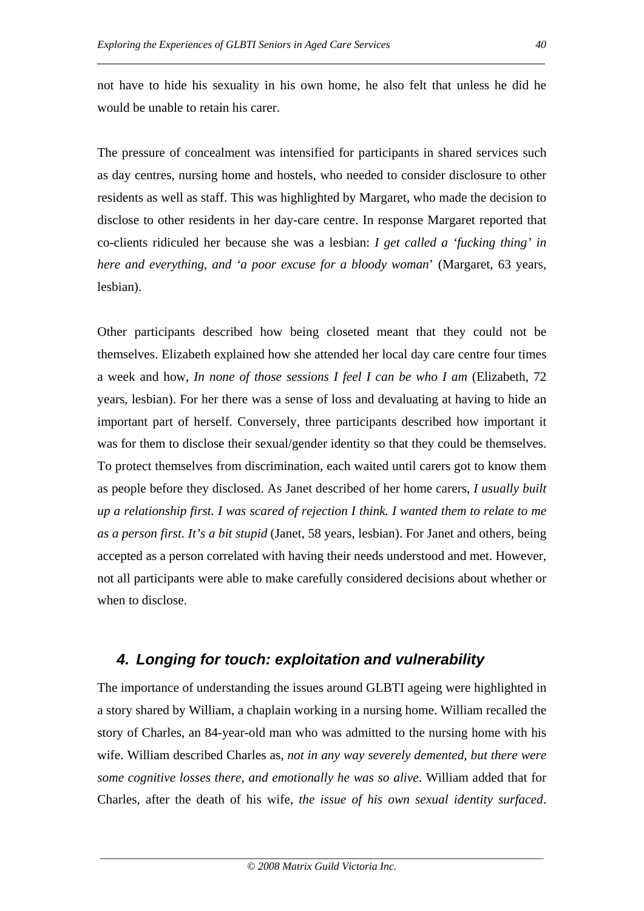not have to hide his sexuality in his own home, he also felt that unless he did he would be unable to retain his carer.

\_\_\_\_\_\_\_\_\_\_\_\_\_\_\_\_\_\_\_\_\_\_\_\_\_\_\_\_\_\_\_\_\_\_\_\_\_\_\_\_\_\_\_\_\_\_\_\_\_\_\_\_\_\_\_\_\_\_\_\_\_\_\_\_\_\_\_\_\_

The pressure of concealment was intensified for participants in shared services such as day centres, nursing home and hostels, who needed to consider disclosure to other residents as well as staff. This was highlighted by Margaret, who made the decision to disclose to other residents in her day-care centre. In response Margaret reported that co-clients ridiculed her because she was a lesbian: *I get called a 'fucking thing' in here and everything, and 'a poor excuse for a bloody woman*' (Margaret, 63 years, lesbian).

Other participants described how being closeted meant that they could not be themselves. Elizabeth explained how she attended her local day care centre four times a week and how, *In none of those sessions I feel I can be who I am* (Elizabeth, 72 years, lesbian). For her there was a sense of loss and devaluating at having to hide an important part of herself. Conversely, three participants described how important it was for them to disclose their sexual/gender identity so that they could be themselves. To protect themselves from discrimination, each waited until carers got to know them as people before they disclosed. As Janet described of her home carers, *I usually built up a relationship first. I was scared of rejection I think. I wanted them to relate to me as a person first. It's a bit stupid* (Janet, 58 years, lesbian). For Janet and others, being accepted as a person correlated with having their needs understood and met. However, not all participants were able to make carefully considered decisions about whether or when to disclose.

# *4. Longing for touch: exploitation and vulnerability*

The importance of understanding the issues around GLBTI ageing were highlighted in a story shared by William, a chaplain working in a nursing home. William recalled the story of Charles, an 84-year-old man who was admitted to the nursing home with his wife. William described Charles as, *not in any way severely demented, but there were some cognitive losses there, and emotionally he was so alive*. William added that for Charles, after the death of his wife, *the issue of his own sexual identity surfaced*.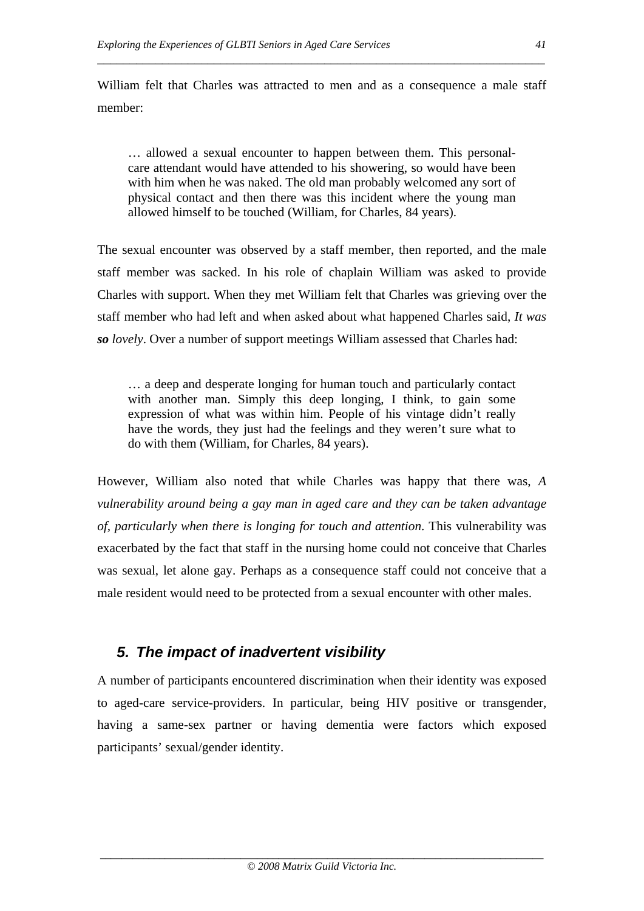William felt that Charles was attracted to men and as a consequence a male staff member:

\_\_\_\_\_\_\_\_\_\_\_\_\_\_\_\_\_\_\_\_\_\_\_\_\_\_\_\_\_\_\_\_\_\_\_\_\_\_\_\_\_\_\_\_\_\_\_\_\_\_\_\_\_\_\_\_\_\_\_\_\_\_\_\_\_\_\_\_\_

… allowed a sexual encounter to happen between them. This personalcare attendant would have attended to his showering, so would have been with him when he was naked. The old man probably welcomed any sort of physical contact and then there was this incident where the young man allowed himself to be touched (William, for Charles, 84 years).

The sexual encounter was observed by a staff member, then reported, and the male staff member was sacked. In his role of chaplain William was asked to provide Charles with support. When they met William felt that Charles was grieving over the staff member who had left and when asked about what happened Charles said, *It was so lovely*. Over a number of support meetings William assessed that Charles had:

… a deep and desperate longing for human touch and particularly contact with another man. Simply this deep longing, I think, to gain some expression of what was within him. People of his vintage didn't really have the words, they just had the feelings and they weren't sure what to do with them (William, for Charles, 84 years).

However, William also noted that while Charles was happy that there was, *A vulnerability around being a gay man in aged care and they can be taken advantage of, particularly when there is longing for touch and attention*. This vulnerability was exacerbated by the fact that staff in the nursing home could not conceive that Charles was sexual, let alone gay. Perhaps as a consequence staff could not conceive that a male resident would need to be protected from a sexual encounter with other males.

# *5. The impact of inadvertent visibility*

A number of participants encountered discrimination when their identity was exposed to aged-care service-providers. In particular, being HIV positive or transgender, having a same-sex partner or having dementia were factors which exposed participants' sexual/gender identity.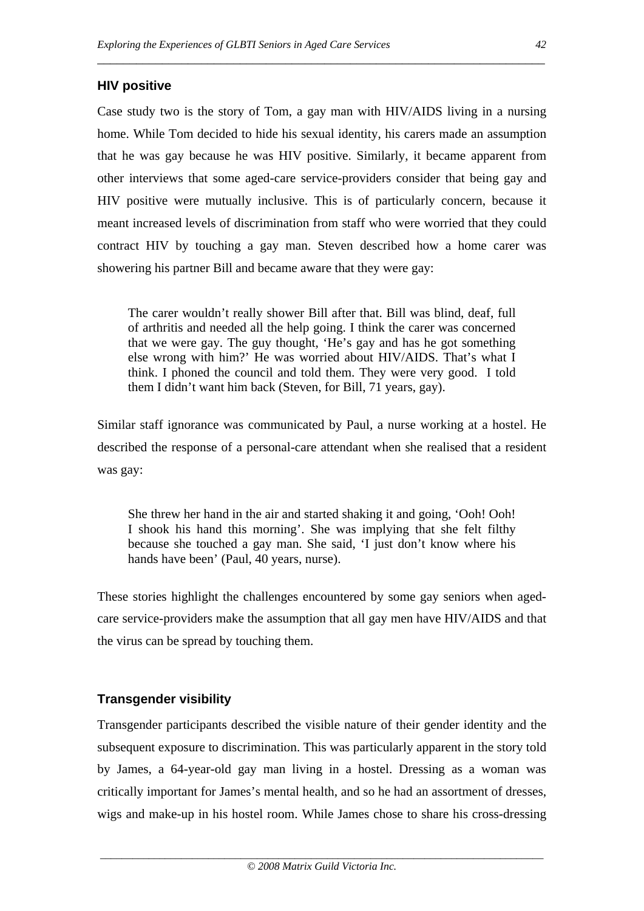### **HIV positive**

Case study two is the story of Tom, a gay man with HIV/AIDS living in a nursing home. While Tom decided to hide his sexual identity, his carers made an assumption that he was gay because he was HIV positive. Similarly, it became apparent from other interviews that some aged-care service-providers consider that being gay and HIV positive were mutually inclusive. This is of particularly concern, because it meant increased levels of discrimination from staff who were worried that they could contract HIV by touching a gay man. Steven described how a home carer was showering his partner Bill and became aware that they were gay:

\_\_\_\_\_\_\_\_\_\_\_\_\_\_\_\_\_\_\_\_\_\_\_\_\_\_\_\_\_\_\_\_\_\_\_\_\_\_\_\_\_\_\_\_\_\_\_\_\_\_\_\_\_\_\_\_\_\_\_\_\_\_\_\_\_\_\_\_\_

The carer wouldn't really shower Bill after that. Bill was blind, deaf, full of arthritis and needed all the help going. I think the carer was concerned that we were gay. The guy thought, 'He's gay and has he got something else wrong with him?' He was worried about HIV/AIDS. That's what I think. I phoned the council and told them. They were very good. I told them I didn't want him back (Steven, for Bill, 71 years, gay).

Similar staff ignorance was communicated by Paul, a nurse working at a hostel. He described the response of a personal-care attendant when she realised that a resident was gay:

She threw her hand in the air and started shaking it and going, 'Ooh! Ooh! I shook his hand this morning'. She was implying that she felt filthy because she touched a gay man. She said, 'I just don't know where his hands have been' (Paul, 40 years, nurse).

These stories highlight the challenges encountered by some gay seniors when agedcare service-providers make the assumption that all gay men have HIV/AIDS and that the virus can be spread by touching them.

### **Transgender visibility**

Transgender participants described the visible nature of their gender identity and the subsequent exposure to discrimination. This was particularly apparent in the story told by James, a 64-year-old gay man living in a hostel. Dressing as a woman was critically important for James's mental health, and so he had an assortment of dresses, wigs and make-up in his hostel room. While James chose to share his cross-dressing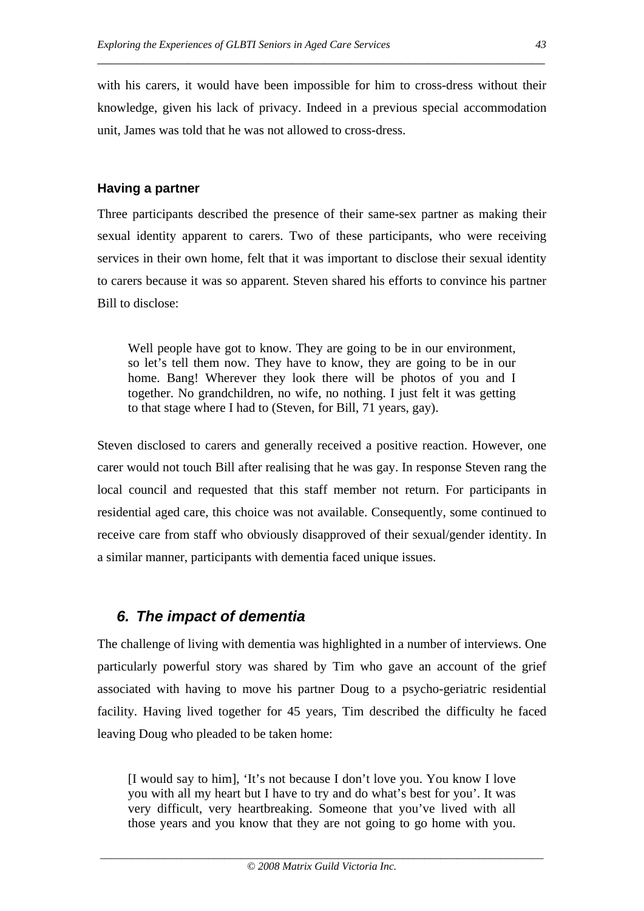with his carers, it would have been impossible for him to cross-dress without their knowledge, given his lack of privacy. Indeed in a previous special accommodation unit, James was told that he was not allowed to cross-dress.

\_\_\_\_\_\_\_\_\_\_\_\_\_\_\_\_\_\_\_\_\_\_\_\_\_\_\_\_\_\_\_\_\_\_\_\_\_\_\_\_\_\_\_\_\_\_\_\_\_\_\_\_\_\_\_\_\_\_\_\_\_\_\_\_\_\_\_\_\_

## **Having a partner**

Three participants described the presence of their same-sex partner as making their sexual identity apparent to carers. Two of these participants, who were receiving services in their own home, felt that it was important to disclose their sexual identity to carers because it was so apparent. Steven shared his efforts to convince his partner Bill to disclose:

Well people have got to know. They are going to be in our environment, so let's tell them now. They have to know, they are going to be in our home. Bang! Wherever they look there will be photos of you and I together. No grandchildren, no wife, no nothing. I just felt it was getting to that stage where I had to (Steven, for Bill, 71 years, gay).

Steven disclosed to carers and generally received a positive reaction. However, one carer would not touch Bill after realising that he was gay. In response Steven rang the local council and requested that this staff member not return. For participants in residential aged care, this choice was not available. Consequently, some continued to receive care from staff who obviously disapproved of their sexual/gender identity. In a similar manner, participants with dementia faced unique issues.

# *6. The impact of dementia*

The challenge of living with dementia was highlighted in a number of interviews. One particularly powerful story was shared by Tim who gave an account of the grief associated with having to move his partner Doug to a psycho-geriatric residential facility. Having lived together for 45 years, Tim described the difficulty he faced leaving Doug who pleaded to be taken home:

[I would say to him], 'It's not because I don't love you. You know I love you with all my heart but I have to try and do what's best for you'. It was very difficult, very heartbreaking. Someone that you've lived with all those years and you know that they are not going to go home with you.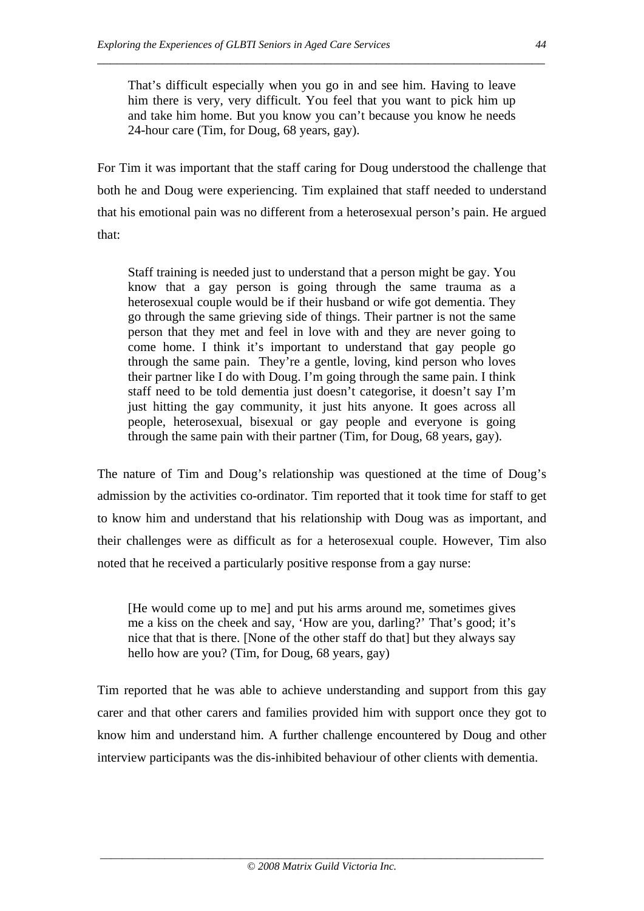That's difficult especially when you go in and see him. Having to leave him there is very, very difficult. You feel that you want to pick him up and take him home. But you know you can't because you know he needs 24-hour care (Tim, for Doug, 68 years, gay).

\_\_\_\_\_\_\_\_\_\_\_\_\_\_\_\_\_\_\_\_\_\_\_\_\_\_\_\_\_\_\_\_\_\_\_\_\_\_\_\_\_\_\_\_\_\_\_\_\_\_\_\_\_\_\_\_\_\_\_\_\_\_\_\_\_\_\_\_\_

For Tim it was important that the staff caring for Doug understood the challenge that both he and Doug were experiencing. Tim explained that staff needed to understand that his emotional pain was no different from a heterosexual person's pain. He argued that:

Staff training is needed just to understand that a person might be gay. You know that a gay person is going through the same trauma as a heterosexual couple would be if their husband or wife got dementia. They go through the same grieving side of things. Their partner is not the same person that they met and feel in love with and they are never going to come home. I think it's important to understand that gay people go through the same pain. They're a gentle, loving, kind person who loves their partner like I do with Doug. I'm going through the same pain. I think staff need to be told dementia just doesn't categorise, it doesn't say I'm just hitting the gay community, it just hits anyone. It goes across all people, heterosexual, bisexual or gay people and everyone is going through the same pain with their partner (Tim, for Doug, 68 years, gay).

The nature of Tim and Doug's relationship was questioned at the time of Doug's admission by the activities co-ordinator. Tim reported that it took time for staff to get to know him and understand that his relationship with Doug was as important, and their challenges were as difficult as for a heterosexual couple. However, Tim also noted that he received a particularly positive response from a gay nurse:

[He would come up to me] and put his arms around me, sometimes gives me a kiss on the cheek and say, 'How are you, darling?' That's good; it's nice that that is there. [None of the other staff do that] but they always say hello how are you? (Tim, for Doug, 68 years, gay)

Tim reported that he was able to achieve understanding and support from this gay carer and that other carers and families provided him with support once they got to know him and understand him. A further challenge encountered by Doug and other interview participants was the dis-inhibited behaviour of other clients with dementia.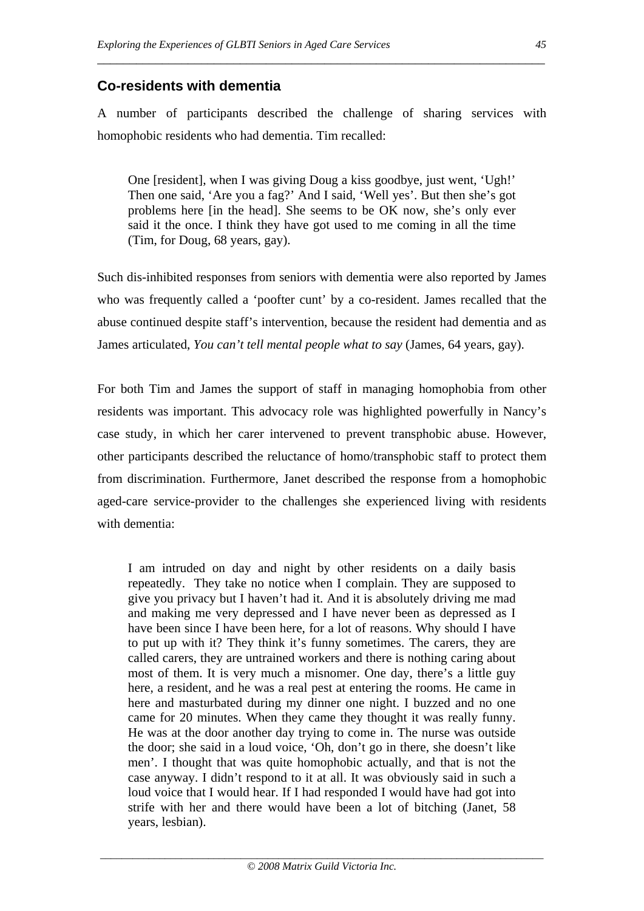# **Co-residents with dementia**

A number of participants described the challenge of sharing services with homophobic residents who had dementia. Tim recalled:

\_\_\_\_\_\_\_\_\_\_\_\_\_\_\_\_\_\_\_\_\_\_\_\_\_\_\_\_\_\_\_\_\_\_\_\_\_\_\_\_\_\_\_\_\_\_\_\_\_\_\_\_\_\_\_\_\_\_\_\_\_\_\_\_\_\_\_\_\_

One [resident], when I was giving Doug a kiss goodbye, just went, 'Ugh!' Then one said, 'Are you a fag?' And I said, 'Well yes'. But then she's got problems here [in the head]. She seems to be OK now, she's only ever said it the once. I think they have got used to me coming in all the time (Tim, for Doug, 68 years, gay).

Such dis-inhibited responses from seniors with dementia were also reported by James who was frequently called a 'poofter cunt' by a co-resident. James recalled that the abuse continued despite staff's intervention, because the resident had dementia and as James articulated, *You can't tell mental people what to say* (James, 64 years, gay).

For both Tim and James the support of staff in managing homophobia from other residents was important. This advocacy role was highlighted powerfully in Nancy's case study, in which her carer intervened to prevent transphobic abuse. However, other participants described the reluctance of homo/transphobic staff to protect them from discrimination. Furthermore, Janet described the response from a homophobic aged-care service-provider to the challenges she experienced living with residents with dementia:

I am intruded on day and night by other residents on a daily basis repeatedly. They take no notice when I complain. They are supposed to give you privacy but I haven't had it. And it is absolutely driving me mad and making me very depressed and I have never been as depressed as I have been since I have been here, for a lot of reasons. Why should I have to put up with it? They think it's funny sometimes. The carers, they are called carers, they are untrained workers and there is nothing caring about most of them. It is very much a misnomer. One day, there's a little guy here, a resident, and he was a real pest at entering the rooms. He came in here and masturbated during my dinner one night. I buzzed and no one came for 20 minutes. When they came they thought it was really funny. He was at the door another day trying to come in. The nurse was outside the door; she said in a loud voice, 'Oh, don't go in there, she doesn't like men'. I thought that was quite homophobic actually, and that is not the case anyway. I didn't respond to it at all. It was obviously said in such a loud voice that I would hear. If I had responded I would have had got into strife with her and there would have been a lot of bitching (Janet, 58 years, lesbian).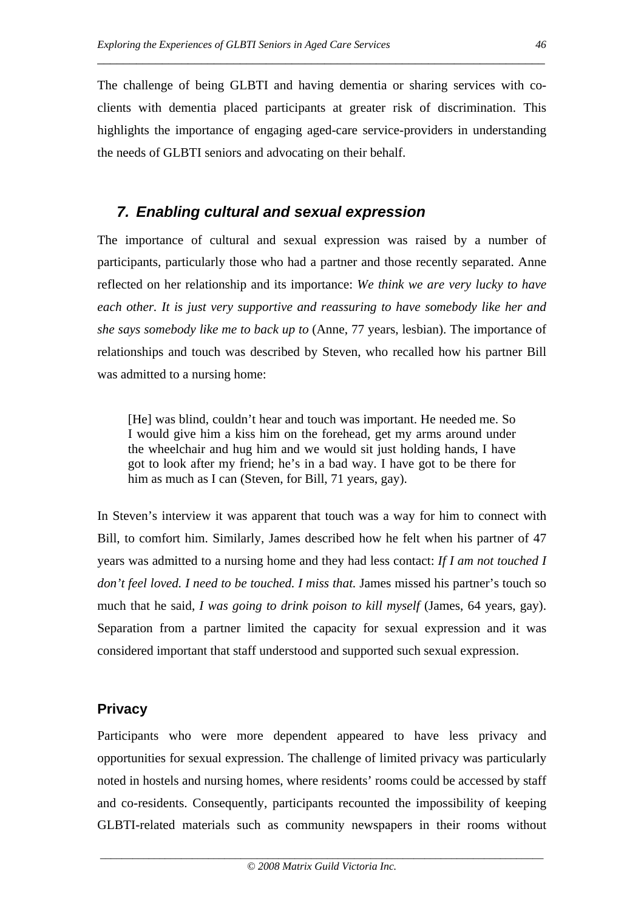The challenge of being GLBTI and having dementia or sharing services with coclients with dementia placed participants at greater risk of discrimination. This highlights the importance of engaging aged-care service-providers in understanding the needs of GLBTI seniors and advocating on their behalf.

\_\_\_\_\_\_\_\_\_\_\_\_\_\_\_\_\_\_\_\_\_\_\_\_\_\_\_\_\_\_\_\_\_\_\_\_\_\_\_\_\_\_\_\_\_\_\_\_\_\_\_\_\_\_\_\_\_\_\_\_\_\_\_\_\_\_\_\_\_

# *7. Enabling cultural and sexual expression*

The importance of cultural and sexual expression was raised by a number of participants, particularly those who had a partner and those recently separated. Anne reflected on her relationship and its importance: *We think we are very lucky to have each other. It is just very supportive and reassuring to have somebody like her and she says somebody like me to back up to* (Anne, 77 years, lesbian). The importance of relationships and touch was described by Steven, who recalled how his partner Bill was admitted to a nursing home:

[He] was blind, couldn't hear and touch was important. He needed me. So I would give him a kiss him on the forehead, get my arms around under the wheelchair and hug him and we would sit just holding hands, I have got to look after my friend; he's in a bad way. I have got to be there for him as much as I can (Steven, for Bill, 71 years, gay).

In Steven's interview it was apparent that touch was a way for him to connect with Bill, to comfort him. Similarly, James described how he felt when his partner of 47 years was admitted to a nursing home and they had less contact: *If I am not touched I don't feel loved. I need to be touched. I miss that.* James missed his partner's touch so much that he said, *I was going to drink poison to kill myself* (James, 64 years, gay). Separation from a partner limited the capacity for sexual expression and it was considered important that staff understood and supported such sexual expression.

# **Privacy**

Participants who were more dependent appeared to have less privacy and opportunities for sexual expression. The challenge of limited privacy was particularly noted in hostels and nursing homes, where residents' rooms could be accessed by staff and co-residents. Consequently, participants recounted the impossibility of keeping GLBTI-related materials such as community newspapers in their rooms without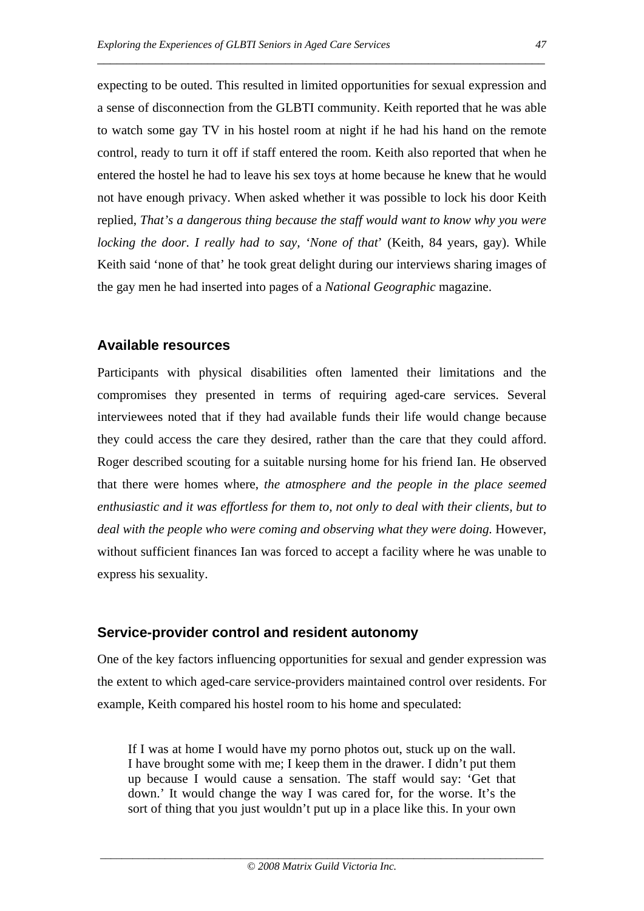expecting to be outed. This resulted in limited opportunities for sexual expression and a sense of disconnection from the GLBTI community. Keith reported that he was able to watch some gay TV in his hostel room at night if he had his hand on the remote control, ready to turn it off if staff entered the room. Keith also reported that when he entered the hostel he had to leave his sex toys at home because he knew that he would not have enough privacy. When asked whether it was possible to lock his door Keith replied, *That's a dangerous thing because the staff would want to know why you were locking the door. I really had to say, 'None of that*' (Keith, 84 years, gay). While Keith said 'none of that' he took great delight during our interviews sharing images of

the gay men he had inserted into pages of a *National Geographic* magazine.

\_\_\_\_\_\_\_\_\_\_\_\_\_\_\_\_\_\_\_\_\_\_\_\_\_\_\_\_\_\_\_\_\_\_\_\_\_\_\_\_\_\_\_\_\_\_\_\_\_\_\_\_\_\_\_\_\_\_\_\_\_\_\_\_\_\_\_\_\_

# **Available resources**

Participants with physical disabilities often lamented their limitations and the compromises they presented in terms of requiring aged-care services. Several interviewees noted that if they had available funds their life would change because they could access the care they desired, rather than the care that they could afford. Roger described scouting for a suitable nursing home for his friend Ian. He observed that there were homes where, *the atmosphere and the people in the place seemed enthusiastic and it was effortless for them to, not only to deal with their clients, but to deal with the people who were coming and observing what they were doing.* However, without sufficient finances Ian was forced to accept a facility where he was unable to express his sexuality.

# **Service-provider control and resident autonomy**

One of the key factors influencing opportunities for sexual and gender expression was the extent to which aged-care service-providers maintained control over residents. For example, Keith compared his hostel room to his home and speculated:

If I was at home I would have my porno photos out, stuck up on the wall. I have brought some with me; I keep them in the drawer. I didn't put them up because I would cause a sensation. The staff would say: 'Get that down.' It would change the way I was cared for, for the worse. It's the sort of thing that you just wouldn't put up in a place like this. In your own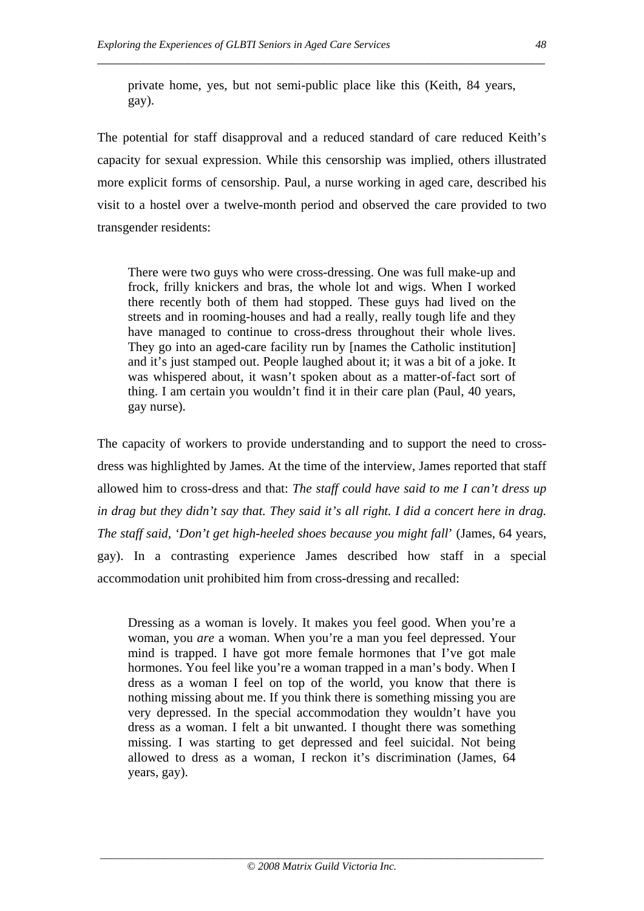private home, yes, but not semi-public place like this (Keith, 84 years, gay).

\_\_\_\_\_\_\_\_\_\_\_\_\_\_\_\_\_\_\_\_\_\_\_\_\_\_\_\_\_\_\_\_\_\_\_\_\_\_\_\_\_\_\_\_\_\_\_\_\_\_\_\_\_\_\_\_\_\_\_\_\_\_\_\_\_\_\_\_\_

The potential for staff disapproval and a reduced standard of care reduced Keith's capacity for sexual expression. While this censorship was implied, others illustrated more explicit forms of censorship. Paul, a nurse working in aged care, described his visit to a hostel over a twelve-month period and observed the care provided to two transgender residents:

There were two guys who were cross-dressing. One was full make-up and frock, frilly knickers and bras, the whole lot and wigs. When I worked there recently both of them had stopped. These guys had lived on the streets and in rooming-houses and had a really, really tough life and they have managed to continue to cross-dress throughout their whole lives. They go into an aged-care facility run by [names the Catholic institution] and it's just stamped out. People laughed about it; it was a bit of a joke. It was whispered about, it wasn't spoken about as a matter-of-fact sort of thing. I am certain you wouldn't find it in their care plan (Paul, 40 years, gay nurse).

The capacity of workers to provide understanding and to support the need to crossdress was highlighted by James. At the time of the interview, James reported that staff allowed him to cross-dress and that: *The staff could have said to me I can't dress up in drag but they didn't say that. They said it's all right. I did a concert here in drag. The staff said, 'Don't get high-heeled shoes because you might fall*' (James, 64 years, gay). In a contrasting experience James described how staff in a special accommodation unit prohibited him from cross-dressing and recalled:

Dressing as a woman is lovely. It makes you feel good. When you're a woman, you *are* a woman. When you're a man you feel depressed. Your mind is trapped. I have got more female hormones that I've got male hormones. You feel like you're a woman trapped in a man's body. When I dress as a woman I feel on top of the world, you know that there is nothing missing about me. If you think there is something missing you are very depressed. In the special accommodation they wouldn't have you dress as a woman. I felt a bit unwanted. I thought there was something missing. I was starting to get depressed and feel suicidal. Not being allowed to dress as a woman, I reckon it's discrimination (James, 64 years, gay).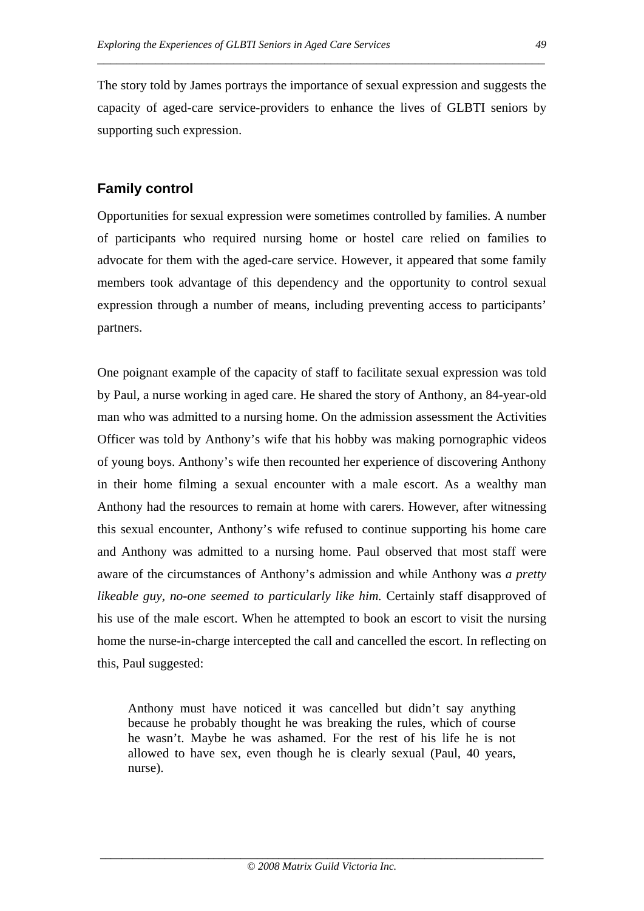The story told by James portrays the importance of sexual expression and suggests the capacity of aged-care service-providers to enhance the lives of GLBTI seniors by supporting such expression.

\_\_\_\_\_\_\_\_\_\_\_\_\_\_\_\_\_\_\_\_\_\_\_\_\_\_\_\_\_\_\_\_\_\_\_\_\_\_\_\_\_\_\_\_\_\_\_\_\_\_\_\_\_\_\_\_\_\_\_\_\_\_\_\_\_\_\_\_\_

# **Family control**

Opportunities for sexual expression were sometimes controlled by families. A number of participants who required nursing home or hostel care relied on families to advocate for them with the aged-care service. However, it appeared that some family members took advantage of this dependency and the opportunity to control sexual expression through a number of means, including preventing access to participants' partners.

One poignant example of the capacity of staff to facilitate sexual expression was told by Paul, a nurse working in aged care. He shared the story of Anthony, an 84-year-old man who was admitted to a nursing home. On the admission assessment the Activities Officer was told by Anthony's wife that his hobby was making pornographic videos of young boys. Anthony's wife then recounted her experience of discovering Anthony in their home filming a sexual encounter with a male escort. As a wealthy man Anthony had the resources to remain at home with carers. However, after witnessing this sexual encounter, Anthony's wife refused to continue supporting his home care and Anthony was admitted to a nursing home. Paul observed that most staff were aware of the circumstances of Anthony's admission and while Anthony was *a pretty likeable guy, no-one seemed to particularly like him.* Certainly staff disapproved of his use of the male escort. When he attempted to book an escort to visit the nursing home the nurse-in-charge intercepted the call and cancelled the escort. In reflecting on this, Paul suggested:

Anthony must have noticed it was cancelled but didn't say anything because he probably thought he was breaking the rules, which of course he wasn't. Maybe he was ashamed. For the rest of his life he is not allowed to have sex, even though he is clearly sexual (Paul, 40 years, nurse).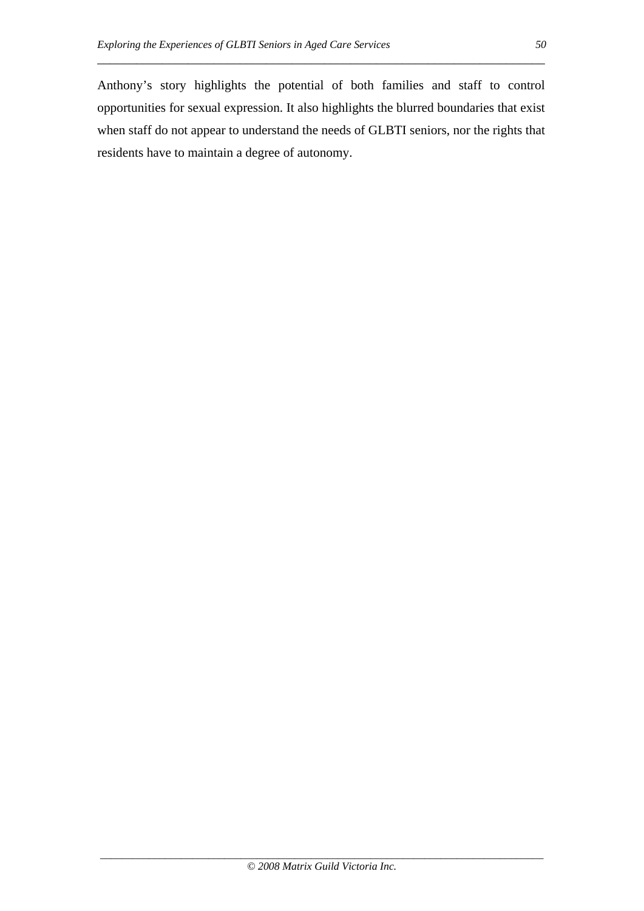Anthony's story highlights the potential of both families and staff to control opportunities for sexual expression. It also highlights the blurred boundaries that exist when staff do not appear to understand the needs of GLBTI seniors, nor the rights that residents have to maintain a degree of autonomy.

\_\_\_\_\_\_\_\_\_\_\_\_\_\_\_\_\_\_\_\_\_\_\_\_\_\_\_\_\_\_\_\_\_\_\_\_\_\_\_\_\_\_\_\_\_\_\_\_\_\_\_\_\_\_\_\_\_\_\_\_\_\_\_\_\_\_\_\_\_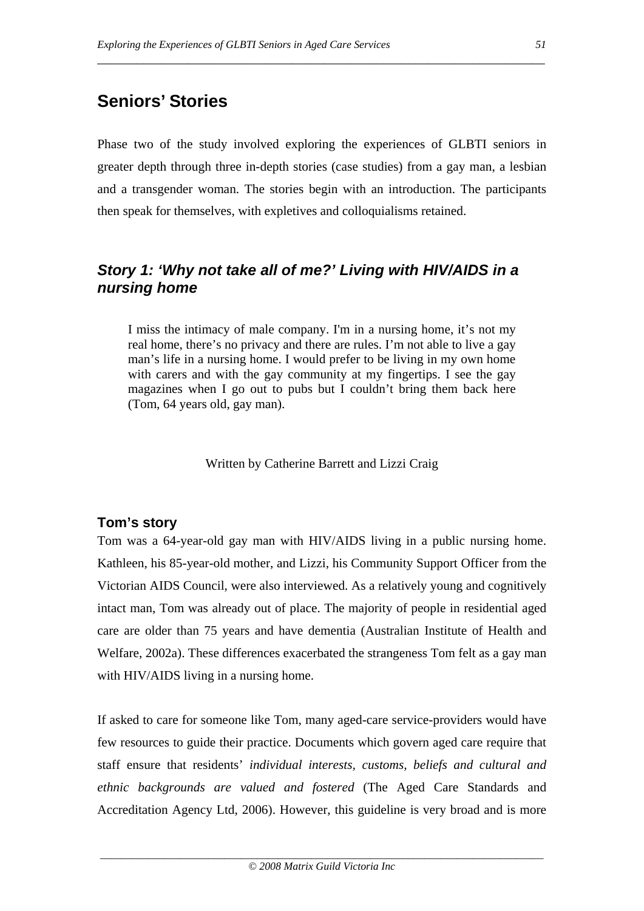# **Seniors' Stories**

Phase two of the study involved exploring the experiences of GLBTI seniors in greater depth through three in-depth stories (case studies) from a gay man, a lesbian and a transgender woman. The stories begin with an introduction. The participants then speak for themselves, with expletives and colloquialisms retained.

\_\_\_\_\_\_\_\_\_\_\_\_\_\_\_\_\_\_\_\_\_\_\_\_\_\_\_\_\_\_\_\_\_\_\_\_\_\_\_\_\_\_\_\_\_\_\_\_\_\_\_\_\_\_\_\_\_\_\_\_\_\_\_\_\_\_\_\_\_

# *Story 1: 'Why not take all of me?' Living with HIV/AIDS in a nursing home*

I miss the intimacy of male company. I'm in a nursing home, it's not my real home, there's no privacy and there are rules. I'm not able to live a gay man's life in a nursing home. I would prefer to be living in my own home with carers and with the gay community at my fingertips. I see the gay magazines when I go out to pubs but I couldn't bring them back here (Tom, 64 years old, gay man).

Written by Catherine Barrett and Lizzi Craig

### **Tom's story**

Tom was a 64-year-old gay man with HIV/AIDS living in a public nursing home. Kathleen, his 85-year-old mother, and Lizzi, his Community Support Officer from the Victorian AIDS Council, were also interviewed. As a relatively young and cognitively intact man, Tom was already out of place. The majority of people in residential aged care are older than 75 years and have dementia (Australian Institute of Health and Welfare, 2002a). These differences exacerbated the strangeness Tom felt as a gay man with HIV/AIDS living in a nursing home.

If asked to care for someone like Tom, many aged-care service-providers would have few resources to guide their practice. Documents which govern aged care require that staff ensure that residents' *individual interests, customs, beliefs and cultural and ethnic backgrounds are valued and fostered* (The Aged Care Standards and Accreditation Agency Ltd, 2006). However, this guideline is very broad and is more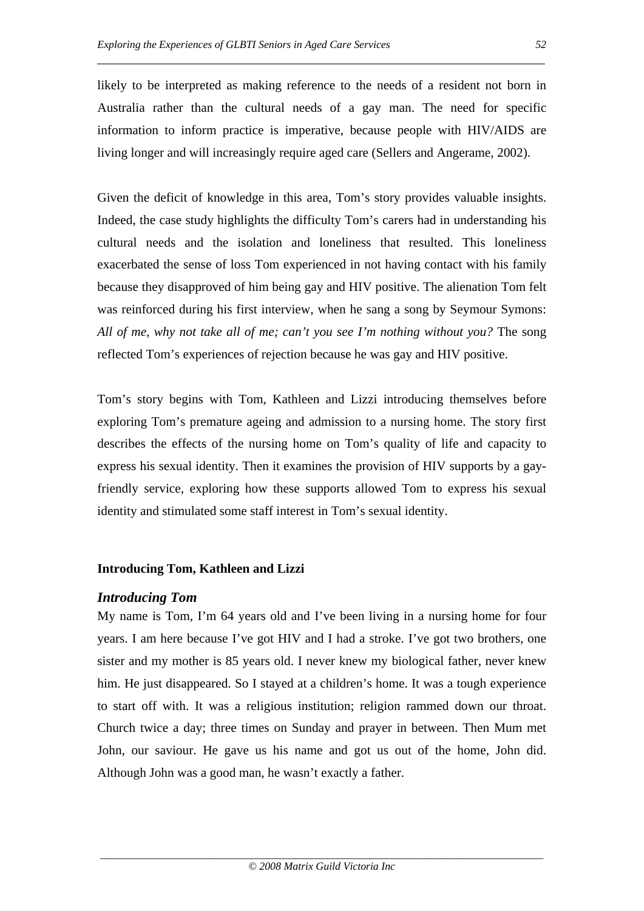likely to be interpreted as making reference to the needs of a resident not born in Australia rather than the cultural needs of a gay man. The need for specific information to inform practice is imperative, because people with HIV/AIDS are living longer and will increasingly require aged care (Sellers and Angerame, 2002).

\_\_\_\_\_\_\_\_\_\_\_\_\_\_\_\_\_\_\_\_\_\_\_\_\_\_\_\_\_\_\_\_\_\_\_\_\_\_\_\_\_\_\_\_\_\_\_\_\_\_\_\_\_\_\_\_\_\_\_\_\_\_\_\_\_\_\_\_\_

Given the deficit of knowledge in this area, Tom's story provides valuable insights. Indeed, the case study highlights the difficulty Tom's carers had in understanding his cultural needs and the isolation and loneliness that resulted. This loneliness exacerbated the sense of loss Tom experienced in not having contact with his family because they disapproved of him being gay and HIV positive. The alienation Tom felt was reinforced during his first interview, when he sang a song by Seymour Symons: *All of me, why not take all of me; can't you see I'm nothing without you?* The song reflected Tom's experiences of rejection because he was gay and HIV positive.

Tom's story begins with Tom, Kathleen and Lizzi introducing themselves before exploring Tom's premature ageing and admission to a nursing home. The story first describes the effects of the nursing home on Tom's quality of life and capacity to express his sexual identity. Then it examines the provision of HIV supports by a gayfriendly service, exploring how these supports allowed Tom to express his sexual identity and stimulated some staff interest in Tom's sexual identity.

### **Introducing Tom, Kathleen and Lizzi**

#### *Introducing Tom*

My name is Tom, I'm 64 years old and I've been living in a nursing home for four years. I am here because I've got HIV and I had a stroke. I've got two brothers, one sister and my mother is 85 years old. I never knew my biological father, never knew him. He just disappeared. So I stayed at a children's home. It was a tough experience to start off with. It was a religious institution; religion rammed down our throat. Church twice a day; three times on Sunday and prayer in between. Then Mum met John, our saviour. He gave us his name and got us out of the home, John did. Although John was a good man, he wasn't exactly a father.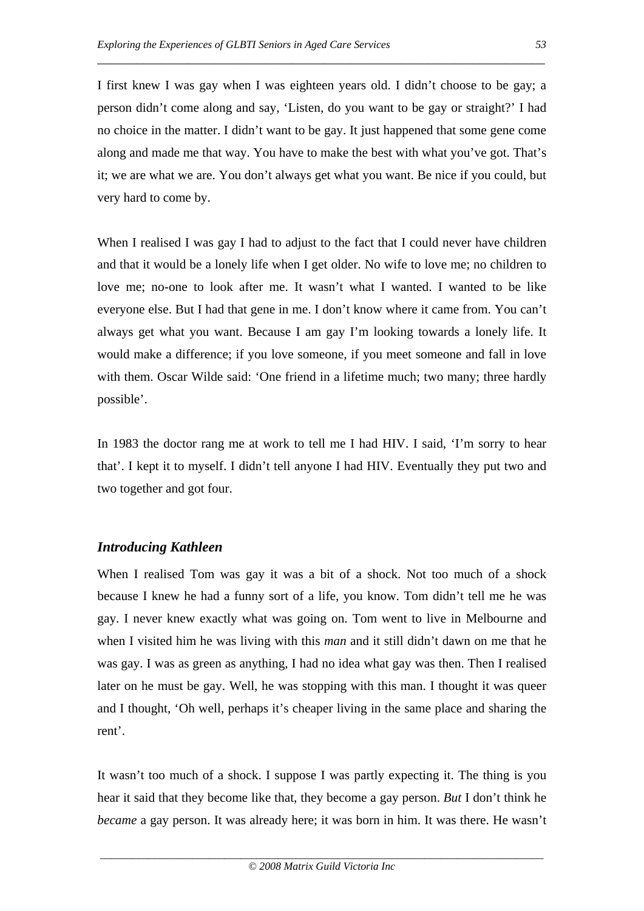I first knew I was gay when I was eighteen years old. I didn't choose to be gay; a person didn't come along and say, 'Listen, do you want to be gay or straight?' I had no choice in the matter. I didn't want to be gay. It just happened that some gene come along and made me that way. You have to make the best with what you've got. That's it; we are what we are. You don't always get what you want. Be nice if you could, but very hard to come by.

\_\_\_\_\_\_\_\_\_\_\_\_\_\_\_\_\_\_\_\_\_\_\_\_\_\_\_\_\_\_\_\_\_\_\_\_\_\_\_\_\_\_\_\_\_\_\_\_\_\_\_\_\_\_\_\_\_\_\_\_\_\_\_\_\_\_\_\_\_

When I realised I was gay I had to adjust to the fact that I could never have children and that it would be a lonely life when I get older. No wife to love me; no children to love me; no-one to look after me. It wasn't what I wanted. I wanted to be like everyone else. But I had that gene in me. I don't know where it came from. You can't always get what you want. Because I am gay I'm looking towards a lonely life. It would make a difference; if you love someone, if you meet someone and fall in love with them. Oscar Wilde said: 'One friend in a lifetime much; two many; three hardly possible'.

In 1983 the doctor rang me at work to tell me I had HIV. I said, 'I'm sorry to hear that'. I kept it to myself. I didn't tell anyone I had HIV. Eventually they put two and two together and got four.

# *Introducing Kathleen*

When I realised Tom was gay it was a bit of a shock. Not too much of a shock because I knew he had a funny sort of a life, you know. Tom didn't tell me he was gay. I never knew exactly what was going on. Tom went to live in Melbourne and when I visited him he was living with this *man* and it still didn't dawn on me that he was gay. I was as green as anything, I had no idea what gay was then. Then I realised later on he must be gay. Well, he was stopping with this man. I thought it was queer and I thought, 'Oh well, perhaps it's cheaper living in the same place and sharing the rent'.

It wasn't too much of a shock. I suppose I was partly expecting it. The thing is you hear it said that they become like that, they become a gay person. *But* I don't think he *became* a gay person. It was already here; it was born in him. It was there. He wasn't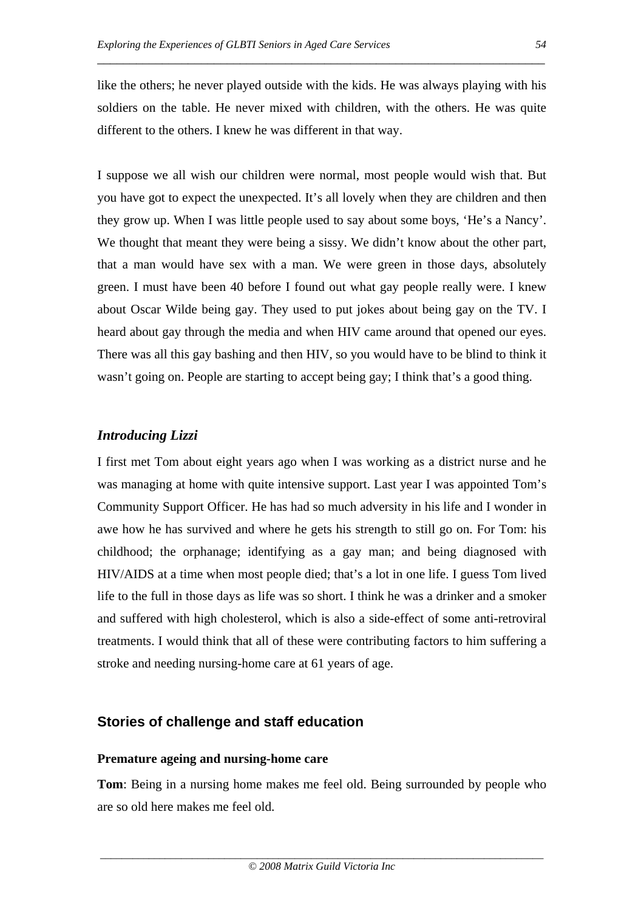like the others; he never played outside with the kids. He was always playing with his soldiers on the table. He never mixed with children, with the others. He was quite different to the others. I knew he was different in that way.

\_\_\_\_\_\_\_\_\_\_\_\_\_\_\_\_\_\_\_\_\_\_\_\_\_\_\_\_\_\_\_\_\_\_\_\_\_\_\_\_\_\_\_\_\_\_\_\_\_\_\_\_\_\_\_\_\_\_\_\_\_\_\_\_\_\_\_\_\_

I suppose we all wish our children were normal, most people would wish that. But you have got to expect the unexpected. It's all lovely when they are children and then they grow up. When I was little people used to say about some boys, 'He's a Nancy'. We thought that meant they were being a sissy. We didn't know about the other part, that a man would have sex with a man. We were green in those days, absolutely green. I must have been 40 before I found out what gay people really were. I knew about Oscar Wilde being gay. They used to put jokes about being gay on the TV. I heard about gay through the media and when HIV came around that opened our eyes. There was all this gay bashing and then HIV, so you would have to be blind to think it wasn't going on. People are starting to accept being gay; I think that's a good thing.

### *Introducing Lizzi*

I first met Tom about eight years ago when I was working as a district nurse and he was managing at home with quite intensive support. Last year I was appointed Tom's Community Support Officer. He has had so much adversity in his life and I wonder in awe how he has survived and where he gets his strength to still go on. For Tom: his childhood; the orphanage; identifying as a gay man; and being diagnosed with HIV/AIDS at a time when most people died; that's a lot in one life. I guess Tom lived life to the full in those days as life was so short. I think he was a drinker and a smoker and suffered with high cholesterol, which is also a side-effect of some anti-retroviral treatments. I would think that all of these were contributing factors to him suffering a stroke and needing nursing-home care at 61 years of age.

### **Stories of challenge and staff education**

#### **Premature ageing and nursing-home care**

**Tom**: Being in a nursing home makes me feel old. Being surrounded by people who are so old here makes me feel old.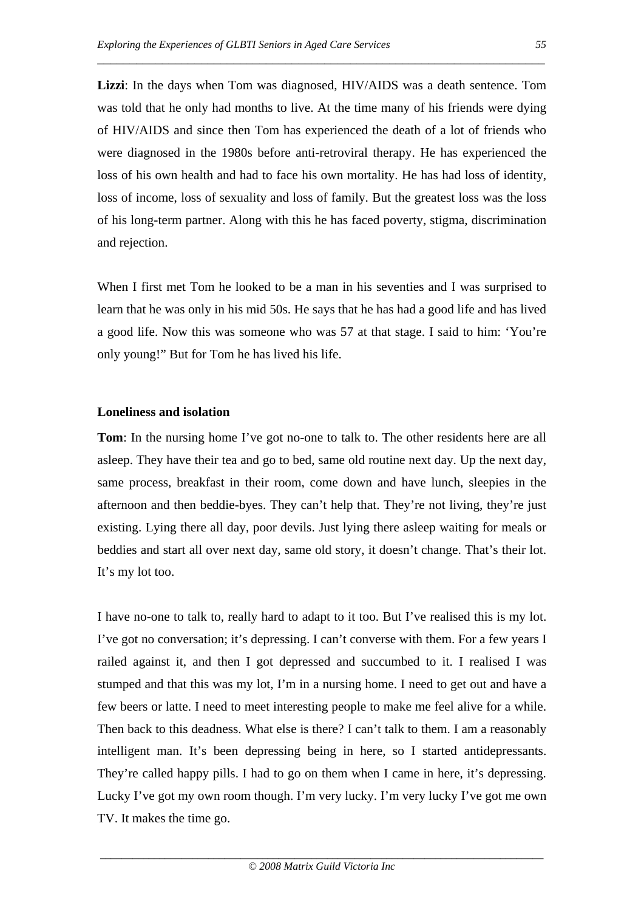**Lizzi**: In the days when Tom was diagnosed, HIV/AIDS was a death sentence. Tom was told that he only had months to live. At the time many of his friends were dying of HIV/AIDS and since then Tom has experienced the death of a lot of friends who were diagnosed in the 1980s before anti-retroviral therapy. He has experienced the loss of his own health and had to face his own mortality. He has had loss of identity, loss of income, loss of sexuality and loss of family. But the greatest loss was the loss of his long-term partner. Along with this he has faced poverty, stigma, discrimination and rejection.

\_\_\_\_\_\_\_\_\_\_\_\_\_\_\_\_\_\_\_\_\_\_\_\_\_\_\_\_\_\_\_\_\_\_\_\_\_\_\_\_\_\_\_\_\_\_\_\_\_\_\_\_\_\_\_\_\_\_\_\_\_\_\_\_\_\_\_\_\_

When I first met Tom he looked to be a man in his seventies and I was surprised to learn that he was only in his mid 50s. He says that he has had a good life and has lived a good life. Now this was someone who was 57 at that stage. I said to him: 'You're only young!" But for Tom he has lived his life.

#### **Loneliness and isolation**

**Tom**: In the nursing home I've got no-one to talk to. The other residents here are all asleep. They have their tea and go to bed, same old routine next day. Up the next day, same process, breakfast in their room, come down and have lunch, sleepies in the afternoon and then beddie-byes. They can't help that. They're not living, they're just existing. Lying there all day, poor devils. Just lying there asleep waiting for meals or beddies and start all over next day, same old story, it doesn't change. That's their lot. It's my lot too.

I have no-one to talk to, really hard to adapt to it too. But I've realised this is my lot. I've got no conversation; it's depressing. I can't converse with them. For a few years I railed against it, and then I got depressed and succumbed to it. I realised I was stumped and that this was my lot, I'm in a nursing home. I need to get out and have a few beers or latte. I need to meet interesting people to make me feel alive for a while. Then back to this deadness. What else is there? I can't talk to them. I am a reasonably intelligent man. It's been depressing being in here, so I started antidepressants. They're called happy pills. I had to go on them when I came in here, it's depressing. Lucky I've got my own room though. I'm very lucky. I'm very lucky I've got me own TV. It makes the time go.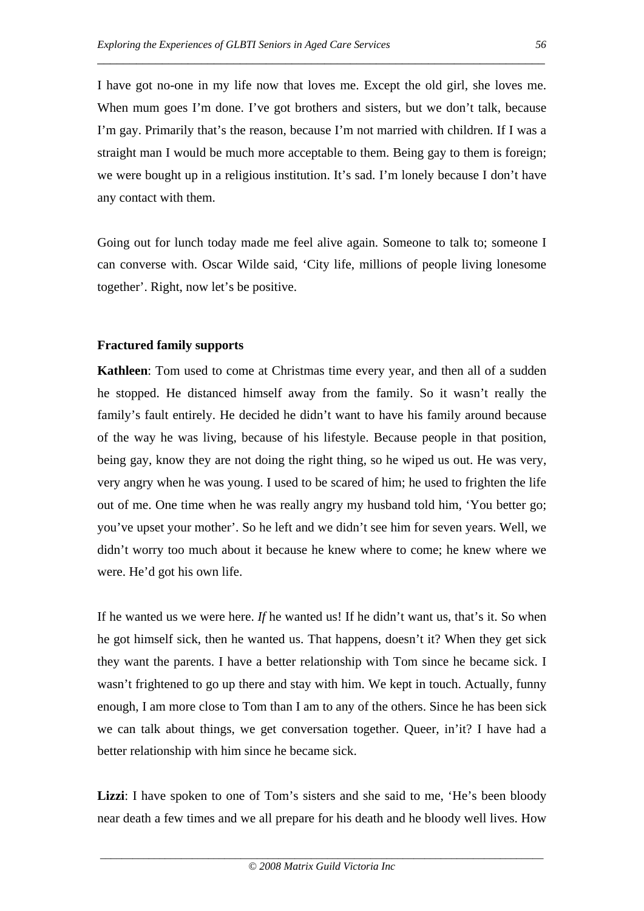I have got no-one in my life now that loves me. Except the old girl, she loves me. When mum goes I'm done. I've got brothers and sisters, but we don't talk, because I'm gay. Primarily that's the reason, because I'm not married with children. If I was a straight man I would be much more acceptable to them. Being gay to them is foreign; we were bought up in a religious institution. It's sad. I'm lonely because I don't have any contact with them.

\_\_\_\_\_\_\_\_\_\_\_\_\_\_\_\_\_\_\_\_\_\_\_\_\_\_\_\_\_\_\_\_\_\_\_\_\_\_\_\_\_\_\_\_\_\_\_\_\_\_\_\_\_\_\_\_\_\_\_\_\_\_\_\_\_\_\_\_\_

Going out for lunch today made me feel alive again. Someone to talk to; someone I can converse with. Oscar Wilde said, 'City life, millions of people living lonesome together'. Right, now let's be positive.

### **Fractured family supports**

**Kathleen**: Tom used to come at Christmas time every year, and then all of a sudden he stopped. He distanced himself away from the family. So it wasn't really the family's fault entirely. He decided he didn't want to have his family around because of the way he was living, because of his lifestyle. Because people in that position, being gay, know they are not doing the right thing, so he wiped us out. He was very, very angry when he was young. I used to be scared of him; he used to frighten the life out of me. One time when he was really angry my husband told him, 'You better go; you've upset your mother'. So he left and we didn't see him for seven years. Well, we didn't worry too much about it because he knew where to come; he knew where we were. He'd got his own life.

If he wanted us we were here. *If* he wanted us! If he didn't want us, that's it. So when he got himself sick, then he wanted us. That happens, doesn't it? When they get sick they want the parents. I have a better relationship with Tom since he became sick. I wasn't frightened to go up there and stay with him. We kept in touch. Actually, funny enough, I am more close to Tom than I am to any of the others. Since he has been sick we can talk about things, we get conversation together. Queer, in'it? I have had a better relationship with him since he became sick.

**Lizzi**: I have spoken to one of Tom's sisters and she said to me, 'He's been bloody near death a few times and we all prepare for his death and he bloody well lives. How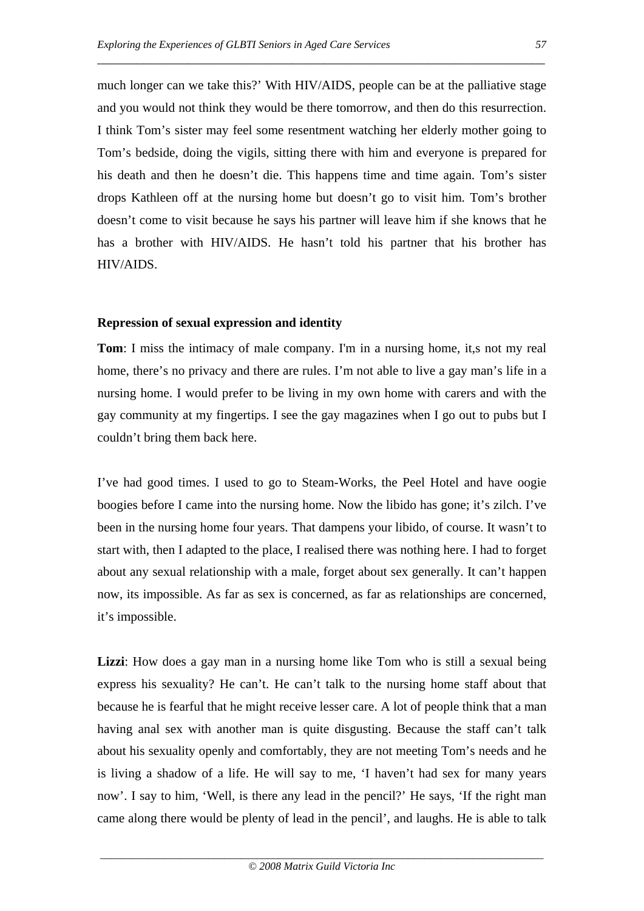much longer can we take this?' With HIV/AIDS, people can be at the palliative stage and you would not think they would be there tomorrow, and then do this resurrection. I think Tom's sister may feel some resentment watching her elderly mother going to Tom's bedside, doing the vigils, sitting there with him and everyone is prepared for his death and then he doesn't die. This happens time and time again. Tom's sister drops Kathleen off at the nursing home but doesn't go to visit him. Tom's brother doesn't come to visit because he says his partner will leave him if she knows that he has a brother with HIV/AIDS. He hasn't told his partner that his brother has HIV/AIDS.

\_\_\_\_\_\_\_\_\_\_\_\_\_\_\_\_\_\_\_\_\_\_\_\_\_\_\_\_\_\_\_\_\_\_\_\_\_\_\_\_\_\_\_\_\_\_\_\_\_\_\_\_\_\_\_\_\_\_\_\_\_\_\_\_\_\_\_\_\_

### **Repression of sexual expression and identity**

**Tom**: I miss the intimacy of male company. I'm in a nursing home, it,s not my real home, there's no privacy and there are rules. I'm not able to live a gay man's life in a nursing home. I would prefer to be living in my own home with carers and with the gay community at my fingertips. I see the gay magazines when I go out to pubs but I couldn't bring them back here.

I've had good times. I used to go to Steam-Works, the Peel Hotel and have oogie boogies before I came into the nursing home. Now the libido has gone; it's zilch. I've been in the nursing home four years. That dampens your libido, of course. It wasn't to start with, then I adapted to the place, I realised there was nothing here. I had to forget about any sexual relationship with a male, forget about sex generally. It can't happen now, its impossible. As far as sex is concerned, as far as relationships are concerned, it's impossible.

**Lizzi:** How does a gay man in a nursing home like Tom who is still a sexual being express his sexuality? He can't. He can't talk to the nursing home staff about that because he is fearful that he might receive lesser care. A lot of people think that a man having anal sex with another man is quite disgusting. Because the staff can't talk about his sexuality openly and comfortably, they are not meeting Tom's needs and he is living a shadow of a life. He will say to me, 'I haven't had sex for many years now'. I say to him, 'Well, is there any lead in the pencil?' He says, 'If the right man came along there would be plenty of lead in the pencil', and laughs. He is able to talk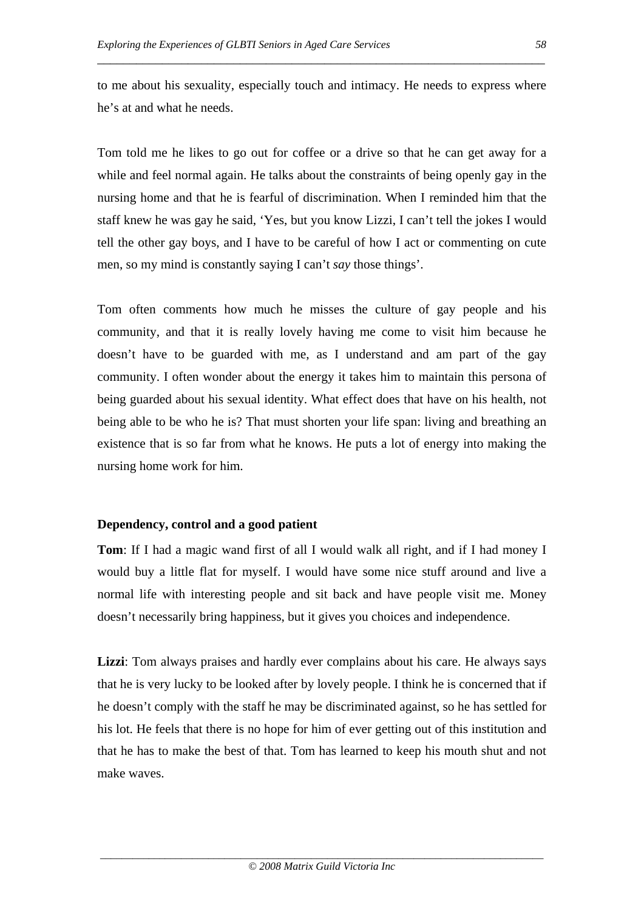to me about his sexuality, especially touch and intimacy. He needs to express where he's at and what he needs.

\_\_\_\_\_\_\_\_\_\_\_\_\_\_\_\_\_\_\_\_\_\_\_\_\_\_\_\_\_\_\_\_\_\_\_\_\_\_\_\_\_\_\_\_\_\_\_\_\_\_\_\_\_\_\_\_\_\_\_\_\_\_\_\_\_\_\_\_\_

Tom told me he likes to go out for coffee or a drive so that he can get away for a while and feel normal again. He talks about the constraints of being openly gay in the nursing home and that he is fearful of discrimination. When I reminded him that the staff knew he was gay he said, 'Yes, but you know Lizzi, I can't tell the jokes I would tell the other gay boys, and I have to be careful of how I act or commenting on cute men, so my mind is constantly saying I can't *say* those things'.

Tom often comments how much he misses the culture of gay people and his community, and that it is really lovely having me come to visit him because he doesn't have to be guarded with me, as I understand and am part of the gay community. I often wonder about the energy it takes him to maintain this persona of being guarded about his sexual identity. What effect does that have on his health, not being able to be who he is? That must shorten your life span: living and breathing an existence that is so far from what he knows. He puts a lot of energy into making the nursing home work for him.

#### **Dependency, control and a good patient**

**Tom**: If I had a magic wand first of all I would walk all right, and if I had money I would buy a little flat for myself. I would have some nice stuff around and live a normal life with interesting people and sit back and have people visit me. Money doesn't necessarily bring happiness, but it gives you choices and independence.

**Lizzi**: Tom always praises and hardly ever complains about his care. He always says that he is very lucky to be looked after by lovely people. I think he is concerned that if he doesn't comply with the staff he may be discriminated against, so he has settled for his lot. He feels that there is no hope for him of ever getting out of this institution and that he has to make the best of that. Tom has learned to keep his mouth shut and not make waves.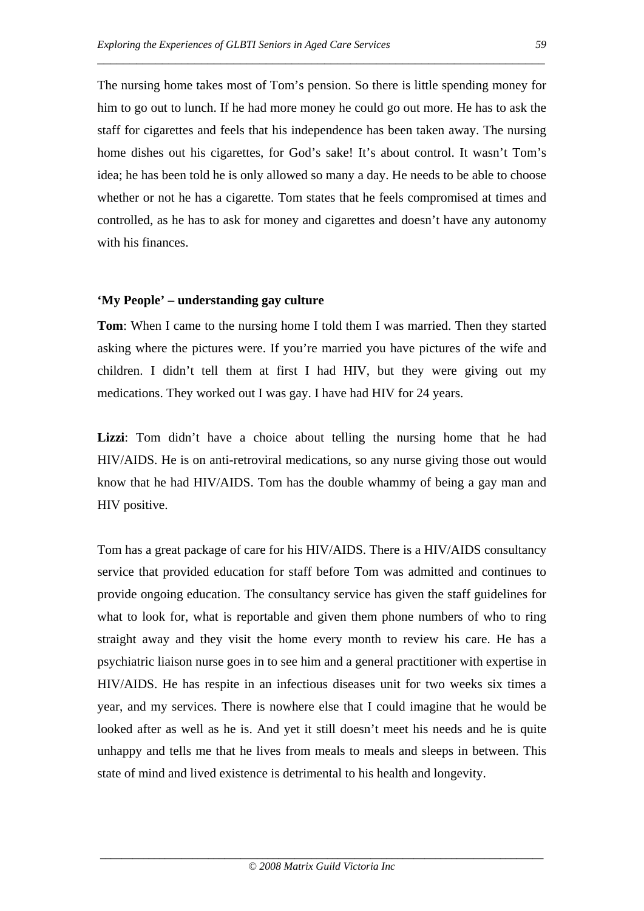The nursing home takes most of Tom's pension. So there is little spending money for him to go out to lunch. If he had more money he could go out more. He has to ask the staff for cigarettes and feels that his independence has been taken away. The nursing home dishes out his cigarettes, for God's sake! It's about control. It wasn't Tom's idea; he has been told he is only allowed so many a day. He needs to be able to choose whether or not he has a cigarette. Tom states that he feels compromised at times and controlled, as he has to ask for money and cigarettes and doesn't have any autonomy with his finances.

\_\_\_\_\_\_\_\_\_\_\_\_\_\_\_\_\_\_\_\_\_\_\_\_\_\_\_\_\_\_\_\_\_\_\_\_\_\_\_\_\_\_\_\_\_\_\_\_\_\_\_\_\_\_\_\_\_\_\_\_\_\_\_\_\_\_\_\_\_

#### **'My People' – understanding gay culture**

**Tom**: When I came to the nursing home I told them I was married. Then they started asking where the pictures were. If you're married you have pictures of the wife and children. I didn't tell them at first I had HIV, but they were giving out my medications. They worked out I was gay. I have had HIV for 24 years.

**Lizzi**: Tom didn't have a choice about telling the nursing home that he had HIV/AIDS. He is on anti-retroviral medications, so any nurse giving those out would know that he had HIV/AIDS. Tom has the double whammy of being a gay man and HIV positive.

Tom has a great package of care for his HIV/AIDS. There is a HIV/AIDS consultancy service that provided education for staff before Tom was admitted and continues to provide ongoing education. The consultancy service has given the staff guidelines for what to look for, what is reportable and given them phone numbers of who to ring straight away and they visit the home every month to review his care. He has a psychiatric liaison nurse goes in to see him and a general practitioner with expertise in HIV/AIDS. He has respite in an infectious diseases unit for two weeks six times a year, and my services. There is nowhere else that I could imagine that he would be looked after as well as he is. And yet it still doesn't meet his needs and he is quite unhappy and tells me that he lives from meals to meals and sleeps in between. This state of mind and lived existence is detrimental to his health and longevity.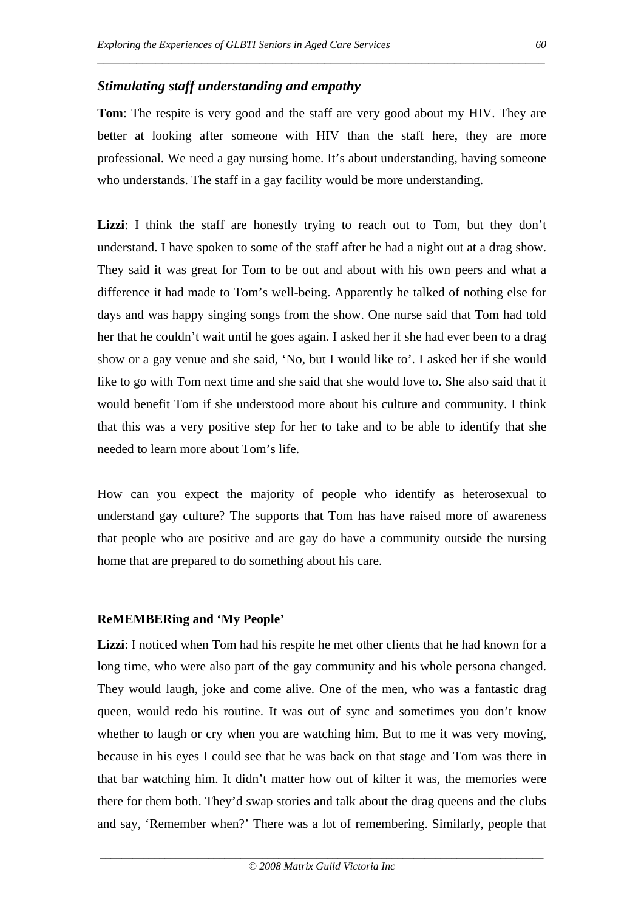### *Stimulating staff understanding and empathy*

**Tom**: The respite is very good and the staff are very good about my HIV. They are better at looking after someone with HIV than the staff here, they are more professional. We need a gay nursing home. It's about understanding, having someone who understands. The staff in a gay facility would be more understanding.

\_\_\_\_\_\_\_\_\_\_\_\_\_\_\_\_\_\_\_\_\_\_\_\_\_\_\_\_\_\_\_\_\_\_\_\_\_\_\_\_\_\_\_\_\_\_\_\_\_\_\_\_\_\_\_\_\_\_\_\_\_\_\_\_\_\_\_\_\_

**Lizzi**: I think the staff are honestly trying to reach out to Tom, but they don't understand. I have spoken to some of the staff after he had a night out at a drag show. They said it was great for Tom to be out and about with his own peers and what a difference it had made to Tom's well-being. Apparently he talked of nothing else for days and was happy singing songs from the show. One nurse said that Tom had told her that he couldn't wait until he goes again. I asked her if she had ever been to a drag show or a gay venue and she said, 'No, but I would like to'. I asked her if she would like to go with Tom next time and she said that she would love to. She also said that it would benefit Tom if she understood more about his culture and community. I think that this was a very positive step for her to take and to be able to identify that she needed to learn more about Tom's life.

How can you expect the majority of people who identify as heterosexual to understand gay culture? The supports that Tom has have raised more of awareness that people who are positive and are gay do have a community outside the nursing home that are prepared to do something about his care.

#### **ReMEMBERing and 'My People'**

**Lizzi**: I noticed when Tom had his respite he met other clients that he had known for a long time, who were also part of the gay community and his whole persona changed. They would laugh, joke and come alive. One of the men, who was a fantastic drag queen, would redo his routine. It was out of sync and sometimes you don't know whether to laugh or cry when you are watching him. But to me it was very moving, because in his eyes I could see that he was back on that stage and Tom was there in that bar watching him. It didn't matter how out of kilter it was, the memories were there for them both. They'd swap stories and talk about the drag queens and the clubs and say, 'Remember when?' There was a lot of remembering. Similarly, people that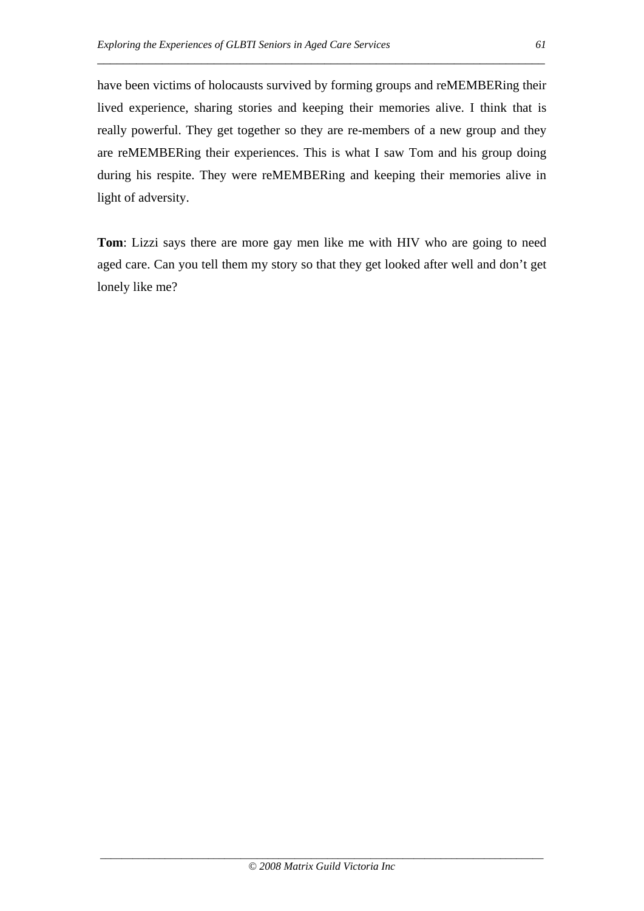have been victims of holocausts survived by forming groups and reMEMBERing their lived experience, sharing stories and keeping their memories alive. I think that is really powerful. They get together so they are re-members of a new group and they are reMEMBERing their experiences. This is what I saw Tom and his group doing during his respite. They were reMEMBERing and keeping their memories alive in light of adversity.

\_\_\_\_\_\_\_\_\_\_\_\_\_\_\_\_\_\_\_\_\_\_\_\_\_\_\_\_\_\_\_\_\_\_\_\_\_\_\_\_\_\_\_\_\_\_\_\_\_\_\_\_\_\_\_\_\_\_\_\_\_\_\_\_\_\_\_\_\_

**Tom**: Lizzi says there are more gay men like me with HIV who are going to need aged care. Can you tell them my story so that they get looked after well and don't get lonely like me?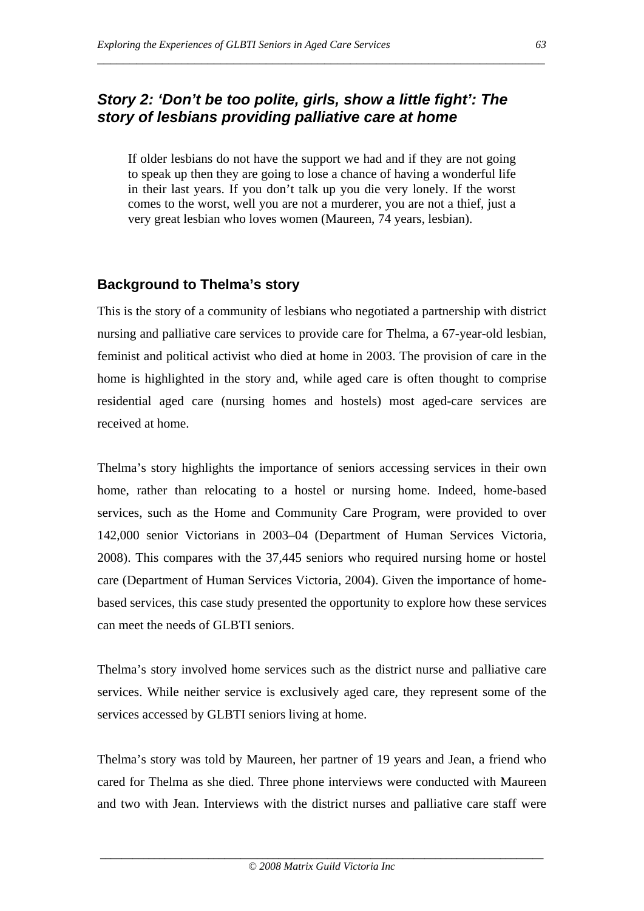# *Story 2: 'Don't be too polite, girls, show a little fight': The story of lesbians providing palliative care at home*

If older lesbians do not have the support we had and if they are not going to speak up then they are going to lose a chance of having a wonderful life in their last years. If you don't talk up you die very lonely. If the worst comes to the worst, well you are not a murderer, you are not a thief, just a very great lesbian who loves women (Maureen, 74 years, lesbian).

\_\_\_\_\_\_\_\_\_\_\_\_\_\_\_\_\_\_\_\_\_\_\_\_\_\_\_\_\_\_\_\_\_\_\_\_\_\_\_\_\_\_\_\_\_\_\_\_\_\_\_\_\_\_\_\_\_\_\_\_\_\_\_\_\_\_\_\_\_

# **Background to Thelma's story**

This is the story of a community of lesbians who negotiated a partnership with district nursing and palliative care services to provide care for Thelma, a 67-year-old lesbian, feminist and political activist who died at home in 2003. The provision of care in the home is highlighted in the story and, while aged care is often thought to comprise residential aged care (nursing homes and hostels) most aged-care services are received at home.

Thelma's story highlights the importance of seniors accessing services in their own home, rather than relocating to a hostel or nursing home. Indeed, home-based services, such as the Home and Community Care Program, were provided to over 142,000 senior Victorians in 2003–04 (Department of Human Services Victoria, 2008). This compares with the 37,445 seniors who required nursing home or hostel care (Department of Human Services Victoria, 2004). Given the importance of homebased services, this case study presented the opportunity to explore how these services can meet the needs of GLBTI seniors.

Thelma's story involved home services such as the district nurse and palliative care services. While neither service is exclusively aged care, they represent some of the services accessed by GLBTI seniors living at home.

Thelma's story was told by Maureen, her partner of 19 years and Jean, a friend who cared for Thelma as she died. Three phone interviews were conducted with Maureen and two with Jean. Interviews with the district nurses and palliative care staff were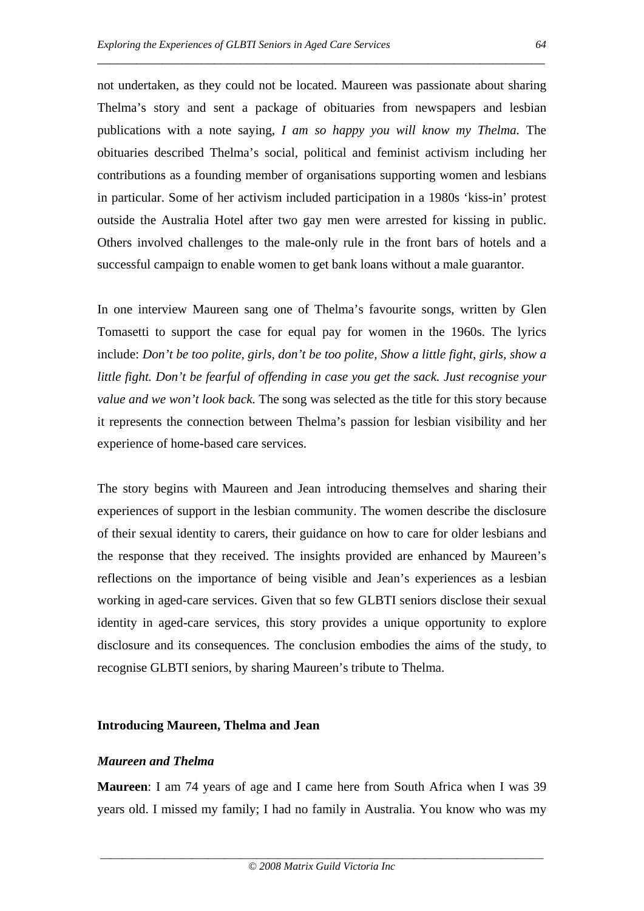not undertaken, as they could not be located. Maureen was passionate about sharing Thelma's story and sent a package of obituaries from newspapers and lesbian publications with a note saying, *I am so happy you will know my Thelma.* The obituaries described Thelma's social, political and feminist activism including her contributions as a founding member of organisations supporting women and lesbians in particular. Some of her activism included participation in a 1980s 'kiss-in' protest outside the Australia Hotel after two gay men were arrested for kissing in public. Others involved challenges to the male-only rule in the front bars of hotels and a successful campaign to enable women to get bank loans without a male guarantor.

\_\_\_\_\_\_\_\_\_\_\_\_\_\_\_\_\_\_\_\_\_\_\_\_\_\_\_\_\_\_\_\_\_\_\_\_\_\_\_\_\_\_\_\_\_\_\_\_\_\_\_\_\_\_\_\_\_\_\_\_\_\_\_\_\_\_\_\_\_

In one interview Maureen sang one of Thelma's favourite songs, written by Glen Tomasetti to support the case for equal pay for women in the 1960s. The lyrics include: *Don't be too polite, girls, don't be too polite, Show a little fight, girls, show a little fight. Don't be fearful of offending in case you get the sack. Just recognise your value and we won't look back.* The song was selected as the title for this story because it represents the connection between Thelma's passion for lesbian visibility and her experience of home-based care services.

The story begins with Maureen and Jean introducing themselves and sharing their experiences of support in the lesbian community. The women describe the disclosure of their sexual identity to carers, their guidance on how to care for older lesbians and the response that they received. The insights provided are enhanced by Maureen's reflections on the importance of being visible and Jean's experiences as a lesbian working in aged-care services. Given that so few GLBTI seniors disclose their sexual identity in aged-care services, this story provides a unique opportunity to explore disclosure and its consequences. The conclusion embodies the aims of the study, to recognise GLBTI seniors, by sharing Maureen's tribute to Thelma.

#### **Introducing Maureen, Thelma and Jean**

#### *Maureen and Thelma*

**Maureen**: I am 74 years of age and I came here from South Africa when I was 39 years old. I missed my family; I had no family in Australia. You know who was my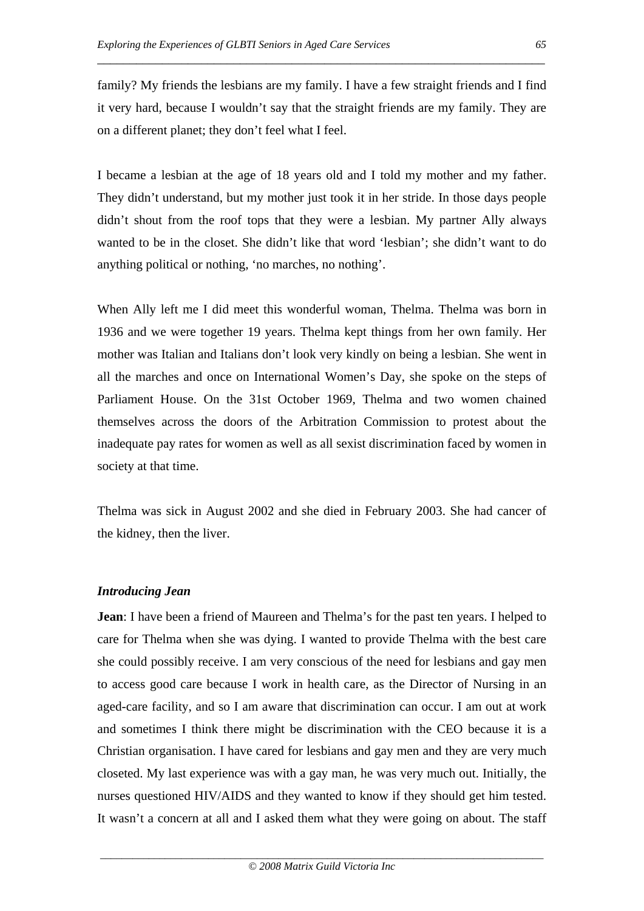family? My friends the lesbians are my family. I have a few straight friends and I find it very hard, because I wouldn't say that the straight friends are my family. They are on a different planet; they don't feel what I feel.

\_\_\_\_\_\_\_\_\_\_\_\_\_\_\_\_\_\_\_\_\_\_\_\_\_\_\_\_\_\_\_\_\_\_\_\_\_\_\_\_\_\_\_\_\_\_\_\_\_\_\_\_\_\_\_\_\_\_\_\_\_\_\_\_\_\_\_\_\_

I became a lesbian at the age of 18 years old and I told my mother and my father. They didn't understand, but my mother just took it in her stride. In those days people didn't shout from the roof tops that they were a lesbian. My partner Ally always wanted to be in the closet. She didn't like that word 'lesbian'; she didn't want to do anything political or nothing, 'no marches, no nothing'.

When Ally left me I did meet this wonderful woman, Thelma. Thelma was born in 1936 and we were together 19 years. Thelma kept things from her own family. Her mother was Italian and Italians don't look very kindly on being a lesbian. She went in all the marches and once on International Women's Day, she spoke on the steps of Parliament House. On the 31st October 1969, Thelma and two women chained themselves across the doors of the Arbitration Commission to protest about the inadequate pay rates for women as well as all sexist discrimination faced by women in society at that time.

Thelma was sick in August 2002 and she died in February 2003. She had cancer of the kidney, then the liver.

#### *Introducing Jean*

**Jean**: I have been a friend of Maureen and Thelma's for the past ten years. I helped to care for Thelma when she was dying. I wanted to provide Thelma with the best care she could possibly receive. I am very conscious of the need for lesbians and gay men to access good care because I work in health care, as the Director of Nursing in an aged-care facility, and so I am aware that discrimination can occur. I am out at work and sometimes I think there might be discrimination with the CEO because it is a Christian organisation. I have cared for lesbians and gay men and they are very much closeted. My last experience was with a gay man, he was very much out. Initially, the nurses questioned HIV/AIDS and they wanted to know if they should get him tested. It wasn't a concern at all and I asked them what they were going on about. The staff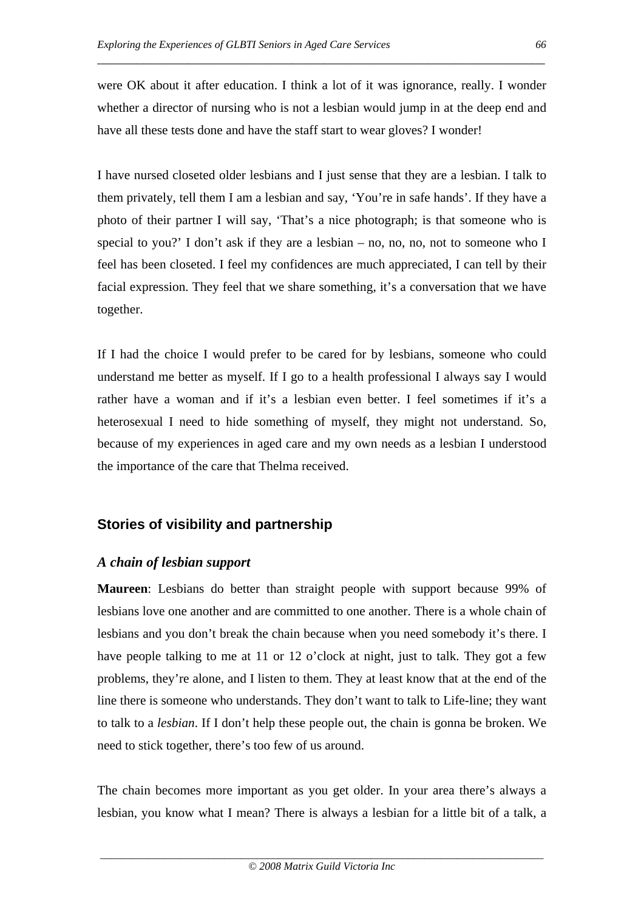were OK about it after education. I think a lot of it was ignorance, really. I wonder whether a director of nursing who is not a lesbian would jump in at the deep end and have all these tests done and have the staff start to wear gloves? I wonder!

\_\_\_\_\_\_\_\_\_\_\_\_\_\_\_\_\_\_\_\_\_\_\_\_\_\_\_\_\_\_\_\_\_\_\_\_\_\_\_\_\_\_\_\_\_\_\_\_\_\_\_\_\_\_\_\_\_\_\_\_\_\_\_\_\_\_\_\_\_

I have nursed closeted older lesbians and I just sense that they are a lesbian. I talk to them privately, tell them I am a lesbian and say, 'You're in safe hands'. If they have a photo of their partner I will say, 'That's a nice photograph; is that someone who is special to you?' I don't ask if they are a lesbian – no, no, no, not to someone who I feel has been closeted. I feel my confidences are much appreciated, I can tell by their facial expression. They feel that we share something, it's a conversation that we have together.

If I had the choice I would prefer to be cared for by lesbians, someone who could understand me better as myself. If I go to a health professional I always say I would rather have a woman and if it's a lesbian even better. I feel sometimes if it's a heterosexual I need to hide something of myself, they might not understand. So, because of my experiences in aged care and my own needs as a lesbian I understood the importance of the care that Thelma received.

### **Stories of visibility and partnership**

#### *A chain of lesbian support*

**Maureen**: Lesbians do better than straight people with support because 99% of lesbians love one another and are committed to one another. There is a whole chain of lesbians and you don't break the chain because when you need somebody it's there. I have people talking to me at 11 or 12 o'clock at night, just to talk. They got a few problems, they're alone, and I listen to them. They at least know that at the end of the line there is someone who understands. They don't want to talk to Life-line; they want to talk to a *lesbian*. If I don't help these people out, the chain is gonna be broken. We need to stick together, there's too few of us around.

The chain becomes more important as you get older. In your area there's always a lesbian, you know what I mean? There is always a lesbian for a little bit of a talk, a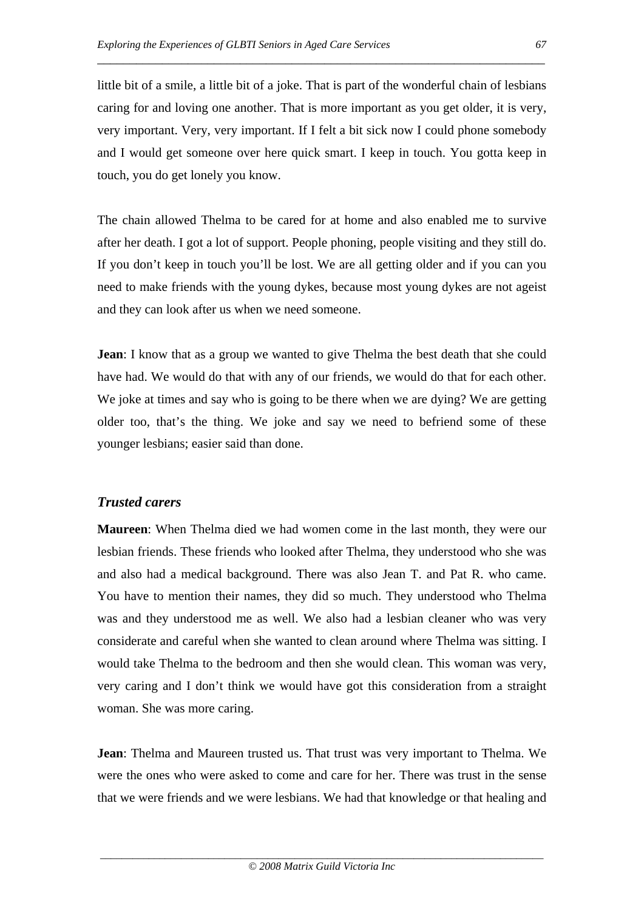little bit of a smile, a little bit of a joke. That is part of the wonderful chain of lesbians caring for and loving one another. That is more important as you get older, it is very, very important. Very, very important. If I felt a bit sick now I could phone somebody and I would get someone over here quick smart. I keep in touch. You gotta keep in touch, you do get lonely you know.

\_\_\_\_\_\_\_\_\_\_\_\_\_\_\_\_\_\_\_\_\_\_\_\_\_\_\_\_\_\_\_\_\_\_\_\_\_\_\_\_\_\_\_\_\_\_\_\_\_\_\_\_\_\_\_\_\_\_\_\_\_\_\_\_\_\_\_\_\_

The chain allowed Thelma to be cared for at home and also enabled me to survive after her death. I got a lot of support. People phoning, people visiting and they still do. If you don't keep in touch you'll be lost. We are all getting older and if you can you need to make friends with the young dykes, because most young dykes are not ageist and they can look after us when we need someone.

**Jean**: I know that as a group we wanted to give Thelma the best death that she could have had. We would do that with any of our friends, we would do that for each other. We joke at times and say who is going to be there when we are dying? We are getting older too, that's the thing. We joke and say we need to befriend some of these younger lesbians; easier said than done.

### *Trusted carers*

**Maureen**: When Thelma died we had women come in the last month, they were our lesbian friends. These friends who looked after Thelma, they understood who she was and also had a medical background. There was also Jean T. and Pat R. who came. You have to mention their names, they did so much. They understood who Thelma was and they understood me as well. We also had a lesbian cleaner who was very considerate and careful when she wanted to clean around where Thelma was sitting. I would take Thelma to the bedroom and then she would clean. This woman was very, very caring and I don't think we would have got this consideration from a straight woman. She was more caring.

**Jean**: Thelma and Maureen trusted us. That trust was very important to Thelma. We were the ones who were asked to come and care for her. There was trust in the sense that we were friends and we were lesbians. We had that knowledge or that healing and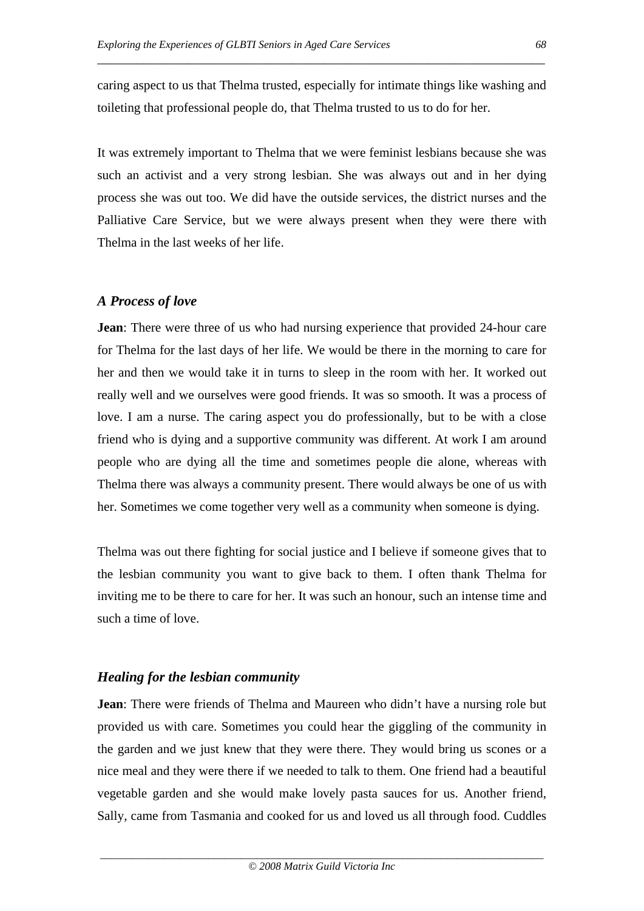caring aspect to us that Thelma trusted, especially for intimate things like washing and toileting that professional people do, that Thelma trusted to us to do for her.

\_\_\_\_\_\_\_\_\_\_\_\_\_\_\_\_\_\_\_\_\_\_\_\_\_\_\_\_\_\_\_\_\_\_\_\_\_\_\_\_\_\_\_\_\_\_\_\_\_\_\_\_\_\_\_\_\_\_\_\_\_\_\_\_\_\_\_\_\_

It was extremely important to Thelma that we were feminist lesbians because she was such an activist and a very strong lesbian. She was always out and in her dying process she was out too. We did have the outside services, the district nurses and the Palliative Care Service, but we were always present when they were there with Thelma in the last weeks of her life.

## *A Process of love*

**Jean**: There were three of us who had nursing experience that provided 24-hour care for Thelma for the last days of her life. We would be there in the morning to care for her and then we would take it in turns to sleep in the room with her. It worked out really well and we ourselves were good friends. It was so smooth. It was a process of love. I am a nurse. The caring aspect you do professionally, but to be with a close friend who is dying and a supportive community was different. At work I am around people who are dying all the time and sometimes people die alone, whereas with Thelma there was always a community present. There would always be one of us with her. Sometimes we come together very well as a community when someone is dying.

Thelma was out there fighting for social justice and I believe if someone gives that to the lesbian community you want to give back to them. I often thank Thelma for inviting me to be there to care for her. It was such an honour, such an intense time and such a time of love.

# *Healing for the lesbian community*

**Jean**: There were friends of Thelma and Maureen who didn't have a nursing role but provided us with care. Sometimes you could hear the giggling of the community in the garden and we just knew that they were there. They would bring us scones or a nice meal and they were there if we needed to talk to them. One friend had a beautiful vegetable garden and she would make lovely pasta sauces for us. Another friend, Sally, came from Tasmania and cooked for us and loved us all through food. Cuddles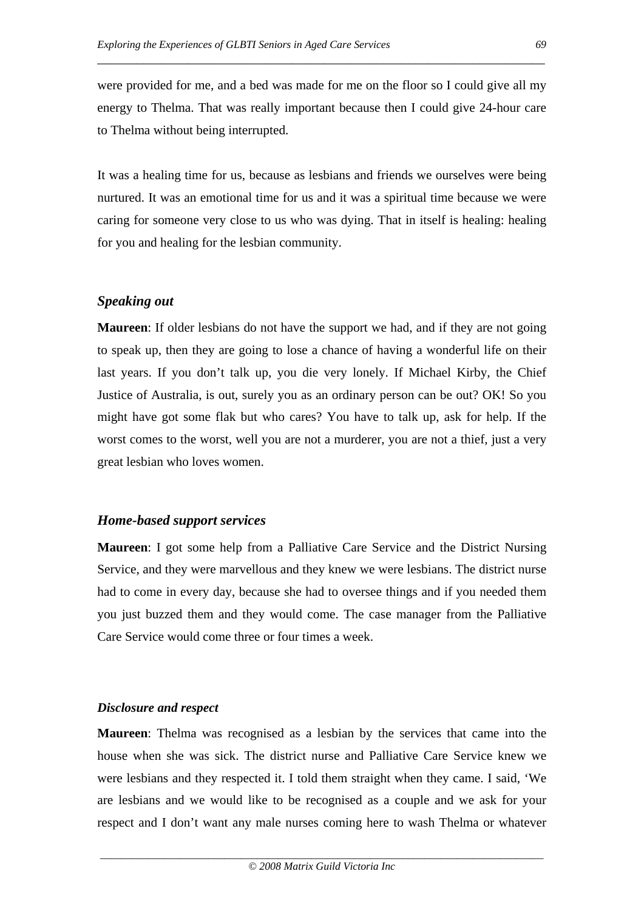were provided for me, and a bed was made for me on the floor so I could give all my energy to Thelma. That was really important because then I could give 24-hour care to Thelma without being interrupted.

\_\_\_\_\_\_\_\_\_\_\_\_\_\_\_\_\_\_\_\_\_\_\_\_\_\_\_\_\_\_\_\_\_\_\_\_\_\_\_\_\_\_\_\_\_\_\_\_\_\_\_\_\_\_\_\_\_\_\_\_\_\_\_\_\_\_\_\_\_

It was a healing time for us, because as lesbians and friends we ourselves were being nurtured. It was an emotional time for us and it was a spiritual time because we were caring for someone very close to us who was dying. That in itself is healing: healing for you and healing for the lesbian community.

## *Speaking out*

**Maureen**: If older lesbians do not have the support we had, and if they are not going to speak up, then they are going to lose a chance of having a wonderful life on their last years. If you don't talk up, you die very lonely. If Michael Kirby, the Chief Justice of Australia, is out, surely you as an ordinary person can be out? OK! So you might have got some flak but who cares? You have to talk up, ask for help. If the worst comes to the worst, well you are not a murderer, you are not a thief, just a very great lesbian who loves women.

#### *Home-based support services*

**Maureen**: I got some help from a Palliative Care Service and the District Nursing Service, and they were marvellous and they knew we were lesbians. The district nurse had to come in every day, because she had to oversee things and if you needed them you just buzzed them and they would come. The case manager from the Palliative Care Service would come three or four times a week.

#### *Disclosure and respect*

**Maureen**: Thelma was recognised as a lesbian by the services that came into the house when she was sick. The district nurse and Palliative Care Service knew we were lesbians and they respected it. I told them straight when they came. I said, 'We are lesbians and we would like to be recognised as a couple and we ask for your respect and I don't want any male nurses coming here to wash Thelma or whatever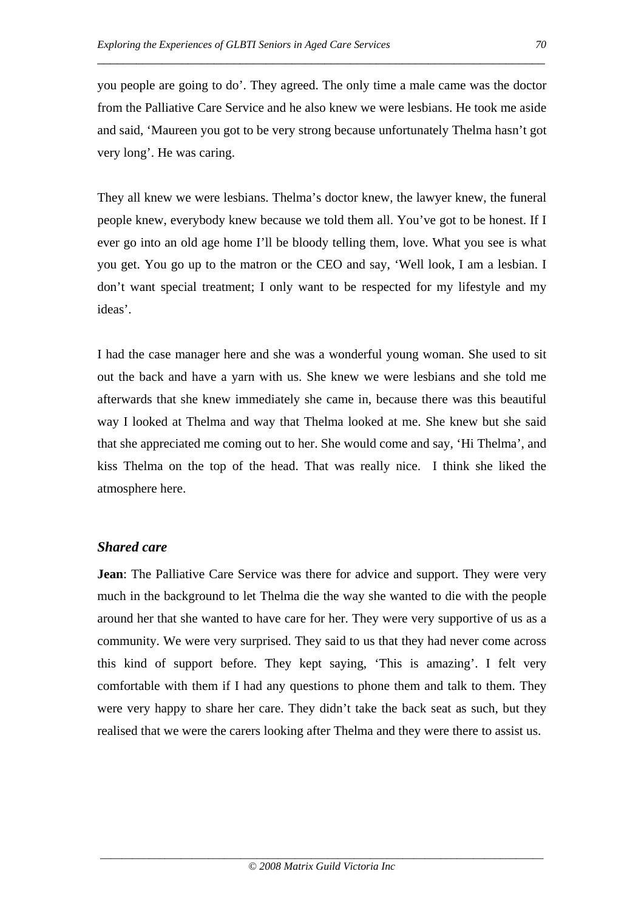you people are going to do'. They agreed. The only time a male came was the doctor from the Palliative Care Service and he also knew we were lesbians. He took me aside and said, 'Maureen you got to be very strong because unfortunately Thelma hasn't got very long'. He was caring.

\_\_\_\_\_\_\_\_\_\_\_\_\_\_\_\_\_\_\_\_\_\_\_\_\_\_\_\_\_\_\_\_\_\_\_\_\_\_\_\_\_\_\_\_\_\_\_\_\_\_\_\_\_\_\_\_\_\_\_\_\_\_\_\_\_\_\_\_\_

They all knew we were lesbians. Thelma's doctor knew, the lawyer knew, the funeral people knew, everybody knew because we told them all. You've got to be honest. If I ever go into an old age home I'll be bloody telling them, love. What you see is what you get. You go up to the matron or the CEO and say, 'Well look, I am a lesbian. I don't want special treatment; I only want to be respected for my lifestyle and my ideas'.

I had the case manager here and she was a wonderful young woman. She used to sit out the back and have a yarn with us. She knew we were lesbians and she told me afterwards that she knew immediately she came in, because there was this beautiful way I looked at Thelma and way that Thelma looked at me. She knew but she said that she appreciated me coming out to her. She would come and say, 'Hi Thelma', and kiss Thelma on the top of the head. That was really nice. I think she liked the atmosphere here.

### *Shared care*

**Jean**: The Palliative Care Service was there for advice and support. They were very much in the background to let Thelma die the way she wanted to die with the people around her that she wanted to have care for her. They were very supportive of us as a community. We were very surprised. They said to us that they had never come across this kind of support before. They kept saying, 'This is amazing'. I felt very comfortable with them if I had any questions to phone them and talk to them. They were very happy to share her care. They didn't take the back seat as such, but they realised that we were the carers looking after Thelma and they were there to assist us.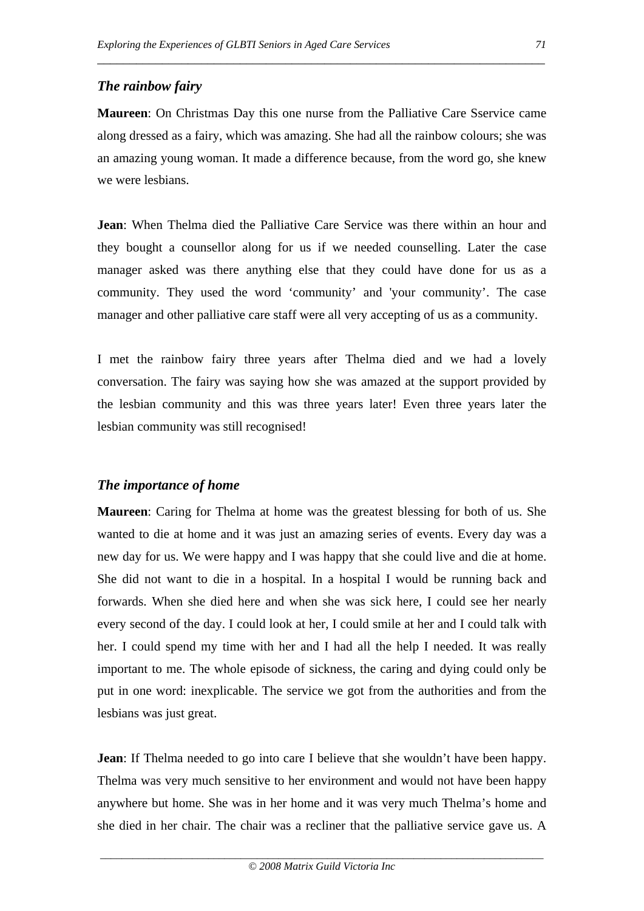## *The rainbow fairy*

**Maureen**: On Christmas Day this one nurse from the Palliative Care Sservice came along dressed as a fairy, which was amazing. She had all the rainbow colours; she was an amazing young woman. It made a difference because, from the word go, she knew we were lesbians.

\_\_\_\_\_\_\_\_\_\_\_\_\_\_\_\_\_\_\_\_\_\_\_\_\_\_\_\_\_\_\_\_\_\_\_\_\_\_\_\_\_\_\_\_\_\_\_\_\_\_\_\_\_\_\_\_\_\_\_\_\_\_\_\_\_\_\_\_\_

**Jean**: When Thelma died the Palliative Care Service was there within an hour and they bought a counsellor along for us if we needed counselling. Later the case manager asked was there anything else that they could have done for us as a community. They used the word 'community' and 'your community'. The case manager and other palliative care staff were all very accepting of us as a community.

I met the rainbow fairy three years after Thelma died and we had a lovely conversation. The fairy was saying how she was amazed at the support provided by the lesbian community and this was three years later! Even three years later the lesbian community was still recognised!

# *The importance of home*

**Maureen**: Caring for Thelma at home was the greatest blessing for both of us. She wanted to die at home and it was just an amazing series of events. Every day was a new day for us. We were happy and I was happy that she could live and die at home. She did not want to die in a hospital. In a hospital I would be running back and forwards. When she died here and when she was sick here, I could see her nearly every second of the day. I could look at her, I could smile at her and I could talk with her. I could spend my time with her and I had all the help I needed. It was really important to me. The whole episode of sickness, the caring and dying could only be put in one word: inexplicable. The service we got from the authorities and from the lesbians was just great.

**Jean**: If Thelma needed to go into care I believe that she wouldn't have been happy. Thelma was very much sensitive to her environment and would not have been happy anywhere but home. She was in her home and it was very much Thelma's home and she died in her chair. The chair was a recliner that the palliative service gave us. A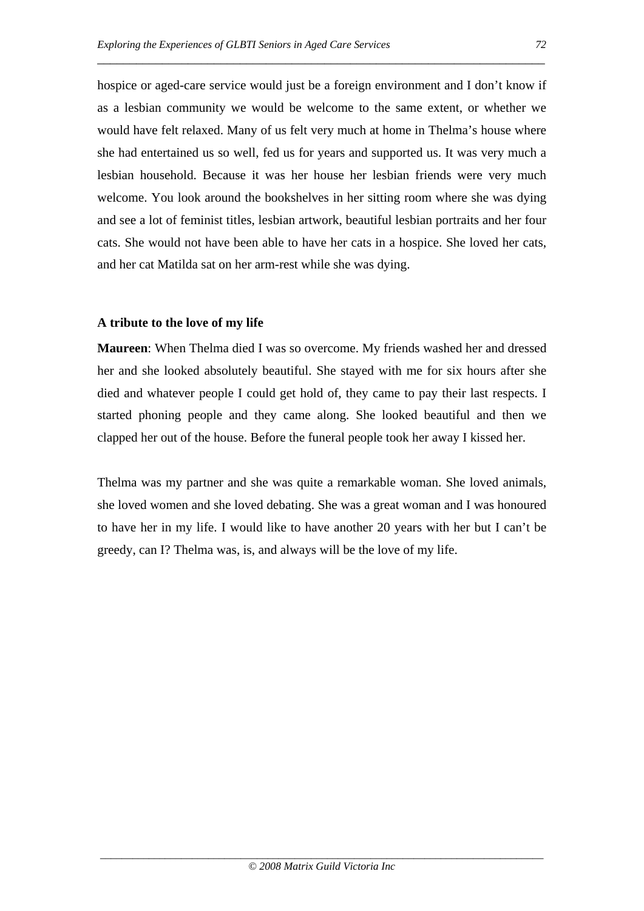hospice or aged-care service would just be a foreign environment and I don't know if as a lesbian community we would be welcome to the same extent, or whether we would have felt relaxed. Many of us felt very much at home in Thelma's house where she had entertained us so well, fed us for years and supported us. It was very much a lesbian household. Because it was her house her lesbian friends were very much welcome. You look around the bookshelves in her sitting room where she was dying and see a lot of feminist titles, lesbian artwork, beautiful lesbian portraits and her four cats. She would not have been able to have her cats in a hospice. She loved her cats, and her cat Matilda sat on her arm-rest while she was dying.

\_\_\_\_\_\_\_\_\_\_\_\_\_\_\_\_\_\_\_\_\_\_\_\_\_\_\_\_\_\_\_\_\_\_\_\_\_\_\_\_\_\_\_\_\_\_\_\_\_\_\_\_\_\_\_\_\_\_\_\_\_\_\_\_\_\_\_\_\_

### **A tribute to the love of my life**

**Maureen**: When Thelma died I was so overcome. My friends washed her and dressed her and she looked absolutely beautiful. She stayed with me for six hours after she died and whatever people I could get hold of, they came to pay their last respects. I started phoning people and they came along. She looked beautiful and then we clapped her out of the house. Before the funeral people took her away I kissed her.

Thelma was my partner and she was quite a remarkable woman. She loved animals, she loved women and she loved debating. She was a great woman and I was honoured to have her in my life. I would like to have another 20 years with her but I can't be greedy, can I? Thelma was, is, and always will be the love of my life.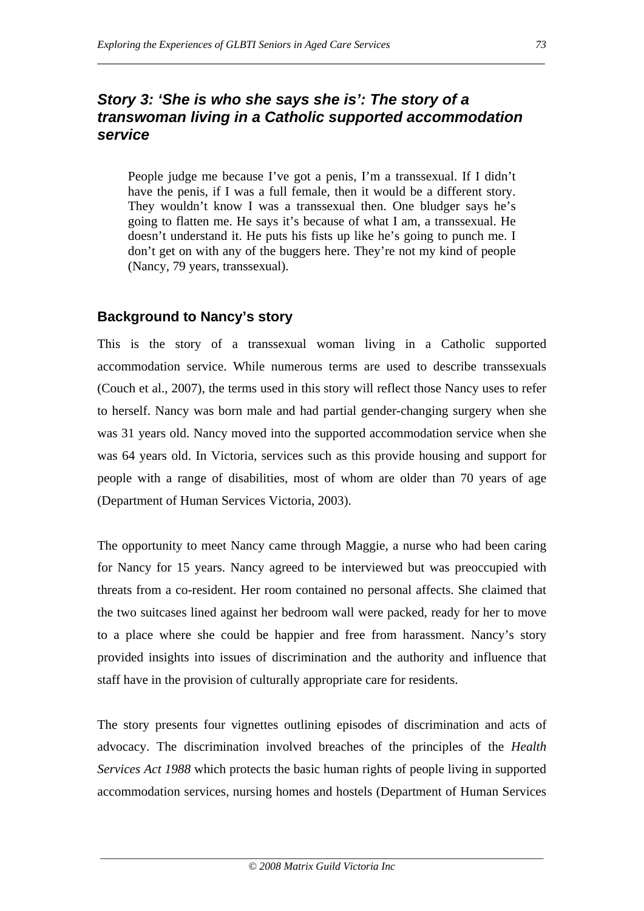# *Story 3: 'She is who she says she is': The story of a transwoman living in a Catholic supported accommodation service*

\_\_\_\_\_\_\_\_\_\_\_\_\_\_\_\_\_\_\_\_\_\_\_\_\_\_\_\_\_\_\_\_\_\_\_\_\_\_\_\_\_\_\_\_\_\_\_\_\_\_\_\_\_\_\_\_\_\_\_\_\_\_\_\_\_\_\_\_\_

People judge me because I've got a penis, I'm a transsexual. If I didn't have the penis, if I was a full female, then it would be a different story. They wouldn't know I was a transsexual then. One bludger says he's going to flatten me. He says it's because of what I am, a transsexual. He doesn't understand it. He puts his fists up like he's going to punch me. I don't get on with any of the buggers here. They're not my kind of people (Nancy, 79 years, transsexual).

## **Background to Nancy's story**

This is the story of a transsexual woman living in a Catholic supported accommodation service. While numerous terms are used to describe transsexuals (Couch et al., 2007), the terms used in this story will reflect those Nancy uses to refer to herself. Nancy was born male and had partial gender-changing surgery when she was 31 years old. Nancy moved into the supported accommodation service when she was 64 years old. In Victoria, services such as this provide housing and support for people with a range of disabilities, most of whom are older than 70 years of age (Department of Human Services Victoria, 2003).

The opportunity to meet Nancy came through Maggie, a nurse who had been caring for Nancy for 15 years. Nancy agreed to be interviewed but was preoccupied with threats from a co-resident. Her room contained no personal affects. She claimed that the two suitcases lined against her bedroom wall were packed, ready for her to move to a place where she could be happier and free from harassment. Nancy's story provided insights into issues of discrimination and the authority and influence that staff have in the provision of culturally appropriate care for residents.

The story presents four vignettes outlining episodes of discrimination and acts of advocacy. The discrimination involved breaches of the principles of the *Health Services Act 1988* which protects the basic human rights of people living in supported accommodation services, nursing homes and hostels (Department of Human Services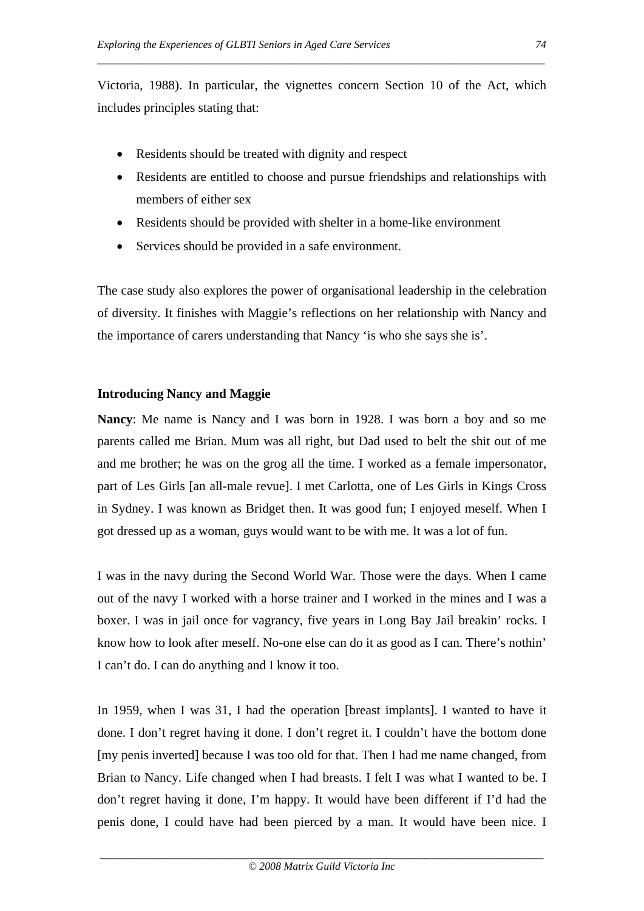Victoria, 1988). In particular, the vignettes concern Section 10 of the Act, which includes principles stating that:

\_\_\_\_\_\_\_\_\_\_\_\_\_\_\_\_\_\_\_\_\_\_\_\_\_\_\_\_\_\_\_\_\_\_\_\_\_\_\_\_\_\_\_\_\_\_\_\_\_\_\_\_\_\_\_\_\_\_\_\_\_\_\_\_\_\_\_\_\_

- Residents should be treated with dignity and respect
- Residents are entitled to choose and pursue friendships and relationships with members of either sex
- Residents should be provided with shelter in a home-like environment
- Services should be provided in a safe environment.

The case study also explores the power of organisational leadership in the celebration of diversity. It finishes with Maggie's reflections on her relationship with Nancy and the importance of carers understanding that Nancy 'is who she says she is'.

#### **Introducing Nancy and Maggie**

**Nancy**: Me name is Nancy and I was born in 1928. I was born a boy and so me parents called me Brian. Mum was all right, but Dad used to belt the shit out of me and me brother; he was on the grog all the time. I worked as a female impersonator, part of Les Girls [an all-male revue]. I met Carlotta, one of Les Girls in Kings Cross in Sydney. I was known as Bridget then. It was good fun; I enjoyed meself. When I got dressed up as a woman, guys would want to be with me. It was a lot of fun.

I was in the navy during the Second World War. Those were the days. When I came out of the navy I worked with a horse trainer and I worked in the mines and I was a boxer. I was in jail once for vagrancy, five years in Long Bay Jail breakin' rocks. I know how to look after meself. No-one else can do it as good as I can. There's nothin' I can't do. I can do anything and I know it too.

In 1959, when I was 31, I had the operation [breast implants]. I wanted to have it done. I don't regret having it done. I don't regret it. I couldn't have the bottom done [my penis inverted] because I was too old for that. Then I had me name changed, from Brian to Nancy. Life changed when I had breasts. I felt I was what I wanted to be. I don't regret having it done, I'm happy. It would have been different if I'd had the penis done, I could have had been pierced by a man. It would have been nice. I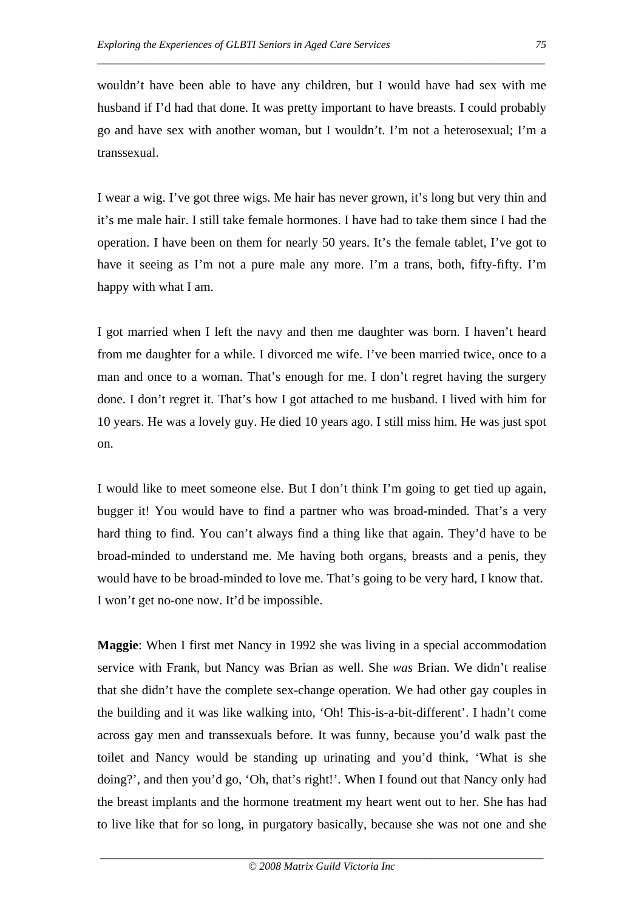wouldn't have been able to have any children, but I would have had sex with me husband if I'd had that done. It was pretty important to have breasts. I could probably go and have sex with another woman, but I wouldn't. I'm not a heterosexual; I'm a transsexual.

\_\_\_\_\_\_\_\_\_\_\_\_\_\_\_\_\_\_\_\_\_\_\_\_\_\_\_\_\_\_\_\_\_\_\_\_\_\_\_\_\_\_\_\_\_\_\_\_\_\_\_\_\_\_\_\_\_\_\_\_\_\_\_\_\_\_\_\_\_

I wear a wig. I've got three wigs. Me hair has never grown, it's long but very thin and it's me male hair. I still take female hormones. I have had to take them since I had the operation. I have been on them for nearly 50 years. It's the female tablet, I've got to have it seeing as I'm not a pure male any more. I'm a trans, both, fifty-fifty. I'm happy with what I am.

I got married when I left the navy and then me daughter was born. I haven't heard from me daughter for a while. I divorced me wife. I've been married twice, once to a man and once to a woman. That's enough for me. I don't regret having the surgery done. I don't regret it. That's how I got attached to me husband. I lived with him for 10 years. He was a lovely guy. He died 10 years ago. I still miss him. He was just spot on.

I would like to meet someone else. But I don't think I'm going to get tied up again, bugger it! You would have to find a partner who was broad-minded. That's a very hard thing to find. You can't always find a thing like that again. They'd have to be broad-minded to understand me. Me having both organs, breasts and a penis, they would have to be broad-minded to love me. That's going to be very hard, I know that. I won't get no-one now. It'd be impossible.

**Maggie**: When I first met Nancy in 1992 she was living in a special accommodation service with Frank, but Nancy was Brian as well. She *was* Brian. We didn't realise that she didn't have the complete sex-change operation. We had other gay couples in the building and it was like walking into, 'Oh! This-is-a-bit-different'. I hadn't come across gay men and transsexuals before. It was funny, because you'd walk past the toilet and Nancy would be standing up urinating and you'd think, 'What is she doing?', and then you'd go, 'Oh, that's right!'. When I found out that Nancy only had the breast implants and the hormone treatment my heart went out to her. She has had to live like that for so long, in purgatory basically, because she was not one and she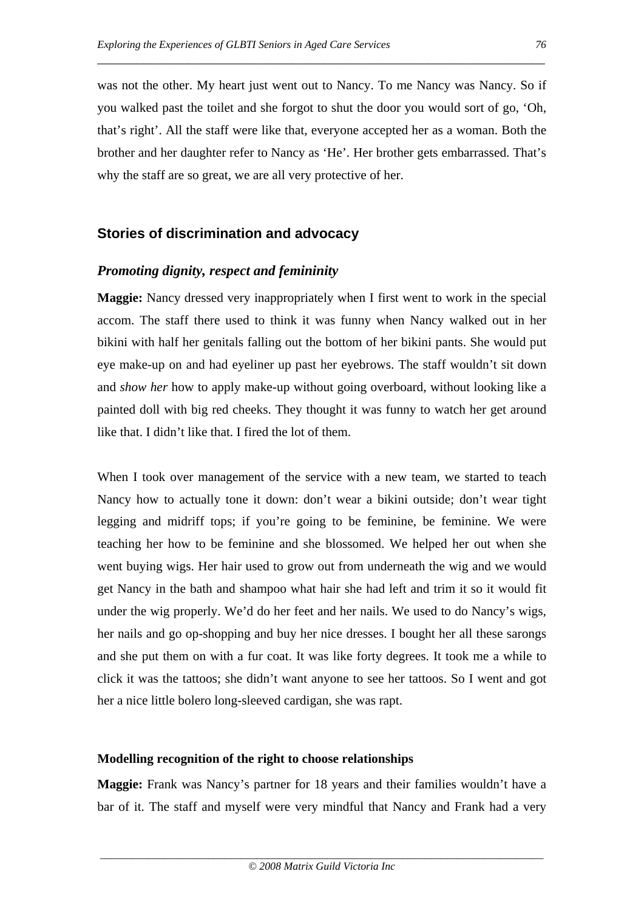was not the other. My heart just went out to Nancy. To me Nancy was Nancy. So if you walked past the toilet and she forgot to shut the door you would sort of go, 'Oh, that's right'. All the staff were like that, everyone accepted her as a woman. Both the brother and her daughter refer to Nancy as 'He'. Her brother gets embarrassed. That's why the staff are so great, we are all very protective of her.

\_\_\_\_\_\_\_\_\_\_\_\_\_\_\_\_\_\_\_\_\_\_\_\_\_\_\_\_\_\_\_\_\_\_\_\_\_\_\_\_\_\_\_\_\_\_\_\_\_\_\_\_\_\_\_\_\_\_\_\_\_\_\_\_\_\_\_\_\_

#### **Stories of discrimination and advocacy**

#### *Promoting dignity, respect and femininity*

**Maggie:** Nancy dressed very inappropriately when I first went to work in the special accom. The staff there used to think it was funny when Nancy walked out in her bikini with half her genitals falling out the bottom of her bikini pants. She would put eye make-up on and had eyeliner up past her eyebrows. The staff wouldn't sit down and *show her* how to apply make-up without going overboard, without looking like a painted doll with big red cheeks. They thought it was funny to watch her get around like that. I didn't like that. I fired the lot of them.

When I took over management of the service with a new team, we started to teach Nancy how to actually tone it down: don't wear a bikini outside; don't wear tight legging and midriff tops; if you're going to be feminine, be feminine. We were teaching her how to be feminine and she blossomed. We helped her out when she went buying wigs. Her hair used to grow out from underneath the wig and we would get Nancy in the bath and shampoo what hair she had left and trim it so it would fit under the wig properly. We'd do her feet and her nails. We used to do Nancy's wigs, her nails and go op-shopping and buy her nice dresses. I bought her all these sarongs and she put them on with a fur coat. It was like forty degrees. It took me a while to click it was the tattoos; she didn't want anyone to see her tattoos. So I went and got her a nice little bolero long-sleeved cardigan, she was rapt.

#### **Modelling recognition of the right to choose relationships**

**Maggie:** Frank was Nancy's partner for 18 years and their families wouldn't have a bar of it. The staff and myself were very mindful that Nancy and Frank had a very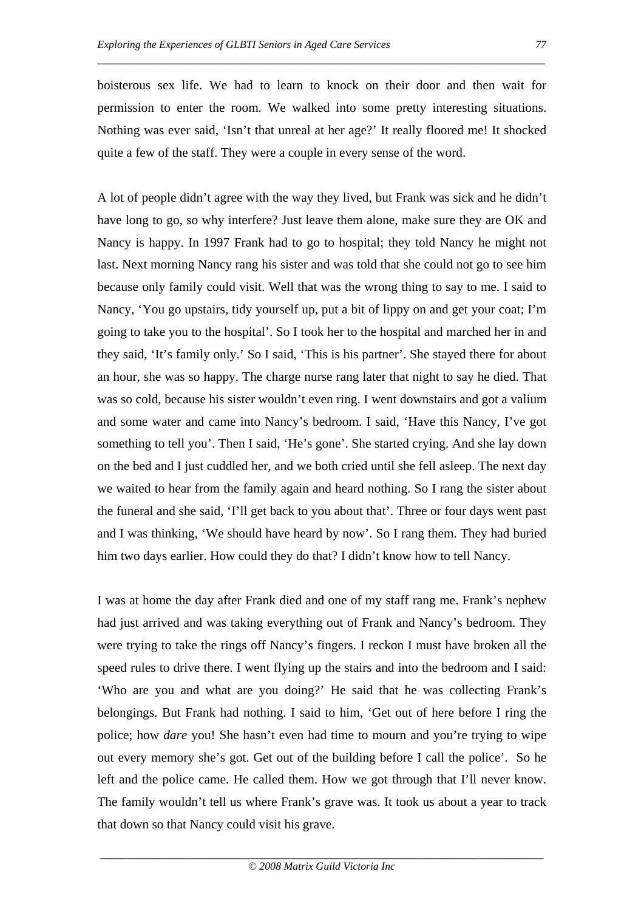boisterous sex life. We had to learn to knock on their door and then wait for permission to enter the room. We walked into some pretty interesting situations. Nothing was ever said, 'Isn't that unreal at her age?' It really floored me! It shocked quite a few of the staff. They were a couple in every sense of the word.

\_\_\_\_\_\_\_\_\_\_\_\_\_\_\_\_\_\_\_\_\_\_\_\_\_\_\_\_\_\_\_\_\_\_\_\_\_\_\_\_\_\_\_\_\_\_\_\_\_\_\_\_\_\_\_\_\_\_\_\_\_\_\_\_\_\_\_\_\_

A lot of people didn't agree with the way they lived, but Frank was sick and he didn't have long to go, so why interfere? Just leave them alone, make sure they are OK and Nancy is happy. In 1997 Frank had to go to hospital; they told Nancy he might not last. Next morning Nancy rang his sister and was told that she could not go to see him because only family could visit. Well that was the wrong thing to say to me. I said to Nancy, 'You go upstairs, tidy yourself up, put a bit of lippy on and get your coat; I'm going to take you to the hospital'. So I took her to the hospital and marched her in and they said, 'It's family only.' So I said, 'This is his partner'. She stayed there for about an hour, she was so happy. The charge nurse rang later that night to say he died. That was so cold, because his sister wouldn't even ring. I went downstairs and got a valium and some water and came into Nancy's bedroom. I said, 'Have this Nancy, I've got something to tell you'. Then I said, 'He's gone'. She started crying. And she lay down on the bed and I just cuddled her, and we both cried until she fell asleep. The next day we waited to hear from the family again and heard nothing. So I rang the sister about the funeral and she said, 'I'll get back to you about that'. Three or four days went past and I was thinking, 'We should have heard by now'. So I rang them. They had buried him two days earlier. How could they do that? I didn't know how to tell Nancy.

I was at home the day after Frank died and one of my staff rang me. Frank's nephew had just arrived and was taking everything out of Frank and Nancy's bedroom. They were trying to take the rings off Nancy's fingers. I reckon I must have broken all the speed rules to drive there. I went flying up the stairs and into the bedroom and I said: 'Who are you and what are you doing?' He said that he was collecting Frank's belongings. But Frank had nothing. I said to him, 'Get out of here before I ring the police; how *dare* you! She hasn't even had time to mourn and you're trying to wipe out every memory she's got. Get out of the building before I call the police'. So he left and the police came. He called them. How we got through that I'll never know. The family wouldn't tell us where Frank's grave was. It took us about a year to track that down so that Nancy could visit his grave.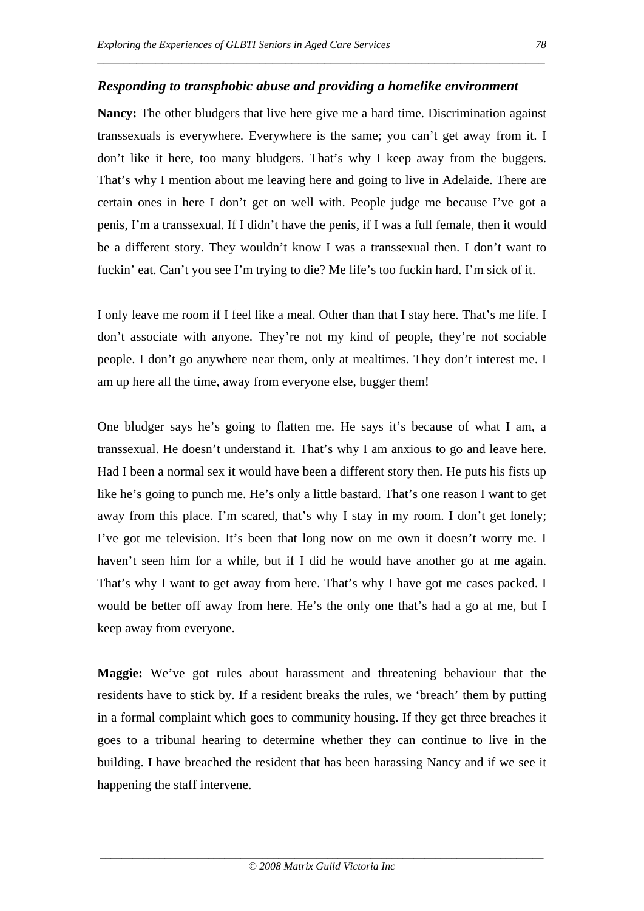#### *Responding to transphobic abuse and providing a homelike environment*

\_\_\_\_\_\_\_\_\_\_\_\_\_\_\_\_\_\_\_\_\_\_\_\_\_\_\_\_\_\_\_\_\_\_\_\_\_\_\_\_\_\_\_\_\_\_\_\_\_\_\_\_\_\_\_\_\_\_\_\_\_\_\_\_\_\_\_\_\_

**Nancy:** The other bludgers that live here give me a hard time. Discrimination against transsexuals is everywhere. Everywhere is the same; you can't get away from it. I don't like it here, too many bludgers. That's why I keep away from the buggers. That's why I mention about me leaving here and going to live in Adelaide. There are certain ones in here I don't get on well with. People judge me because I've got a penis, I'm a transsexual. If I didn't have the penis, if I was a full female, then it would be a different story. They wouldn't know I was a transsexual then. I don't want to fuckin' eat. Can't you see I'm trying to die? Me life's too fuckin hard. I'm sick of it.

I only leave me room if I feel like a meal. Other than that I stay here. That's me life. I don't associate with anyone. They're not my kind of people, they're not sociable people. I don't go anywhere near them, only at mealtimes. They don't interest me. I am up here all the time, away from everyone else, bugger them!

One bludger says he's going to flatten me. He says it's because of what I am, a transsexual. He doesn't understand it. That's why I am anxious to go and leave here. Had I been a normal sex it would have been a different story then. He puts his fists up like he's going to punch me. He's only a little bastard. That's one reason I want to get away from this place. I'm scared, that's why I stay in my room. I don't get lonely; I've got me television. It's been that long now on me own it doesn't worry me. I haven't seen him for a while, but if I did he would have another go at me again. That's why I want to get away from here. That's why I have got me cases packed. I would be better off away from here. He's the only one that's had a go at me, but I keep away from everyone.

**Maggie:** We've got rules about harassment and threatening behaviour that the residents have to stick by. If a resident breaks the rules, we 'breach' them by putting in a formal complaint which goes to community housing. If they get three breaches it goes to a tribunal hearing to determine whether they can continue to live in the building. I have breached the resident that has been harassing Nancy and if we see it happening the staff intervene.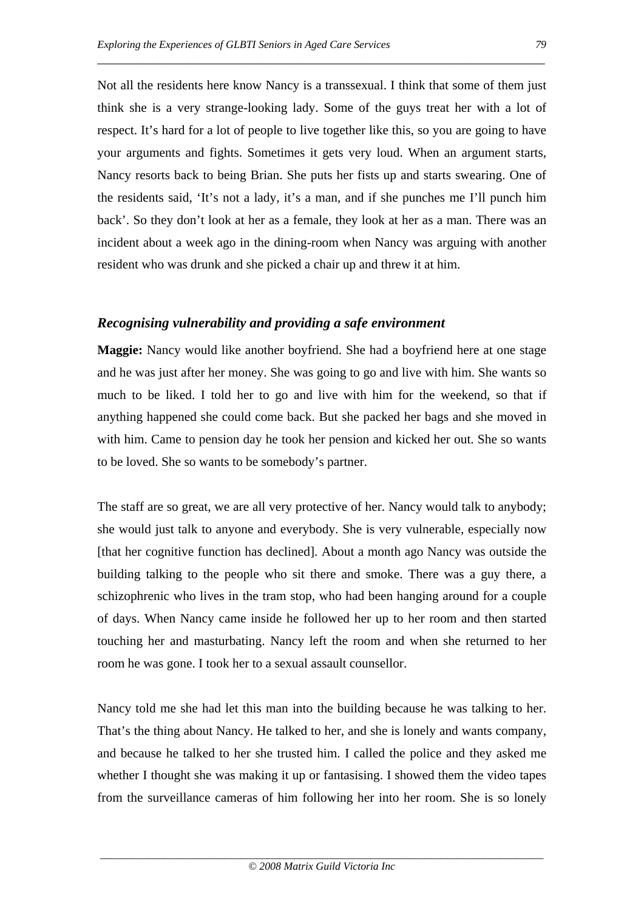Not all the residents here know Nancy is a transsexual. I think that some of them just think she is a very strange-looking lady. Some of the guys treat her with a lot of respect. It's hard for a lot of people to live together like this, so you are going to have your arguments and fights. Sometimes it gets very loud. When an argument starts, Nancy resorts back to being Brian. She puts her fists up and starts swearing. One of the residents said, 'It's not a lady, it's a man, and if she punches me I'll punch him back'. So they don't look at her as a female, they look at her as a man. There was an incident about a week ago in the dining-room when Nancy was arguing with another resident who was drunk and she picked a chair up and threw it at him.

\_\_\_\_\_\_\_\_\_\_\_\_\_\_\_\_\_\_\_\_\_\_\_\_\_\_\_\_\_\_\_\_\_\_\_\_\_\_\_\_\_\_\_\_\_\_\_\_\_\_\_\_\_\_\_\_\_\_\_\_\_\_\_\_\_\_\_\_\_

#### *Recognising vulnerability and providing a safe environment*

**Maggie:** Nancy would like another boyfriend. She had a boyfriend here at one stage and he was just after her money. She was going to go and live with him. She wants so much to be liked. I told her to go and live with him for the weekend, so that if anything happened she could come back. But she packed her bags and she moved in with him. Came to pension day he took her pension and kicked her out. She so wants to be loved. She so wants to be somebody's partner.

The staff are so great, we are all very protective of her. Nancy would talk to anybody; she would just talk to anyone and everybody. She is very vulnerable, especially now [that her cognitive function has declined]. About a month ago Nancy was outside the building talking to the people who sit there and smoke. There was a guy there, a schizophrenic who lives in the tram stop, who had been hanging around for a couple of days. When Nancy came inside he followed her up to her room and then started touching her and masturbating. Nancy left the room and when she returned to her room he was gone. I took her to a sexual assault counsellor.

Nancy told me she had let this man into the building because he was talking to her. That's the thing about Nancy. He talked to her, and she is lonely and wants company, and because he talked to her she trusted him. I called the police and they asked me whether I thought she was making it up or fantasising. I showed them the video tapes from the surveillance cameras of him following her into her room. She is so lonely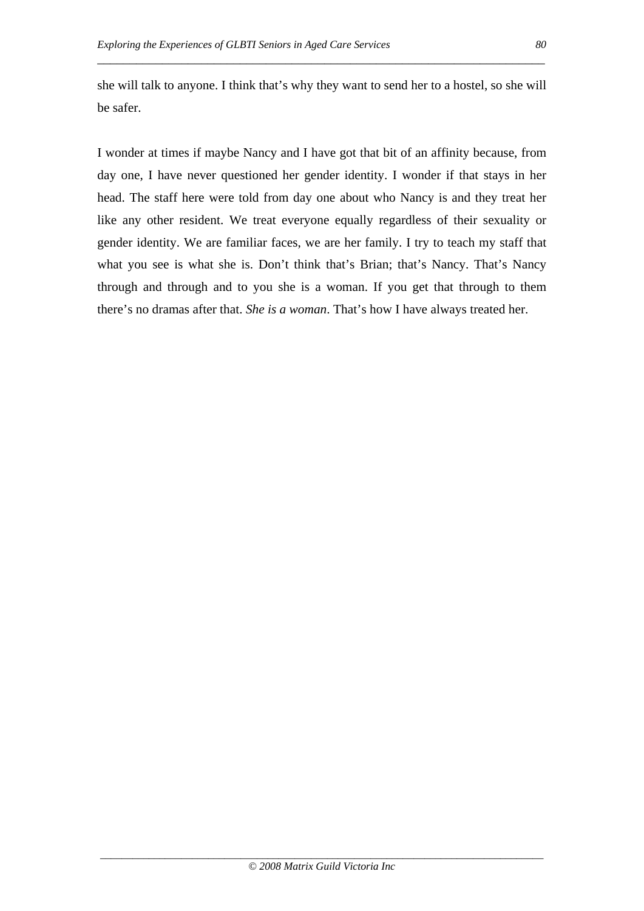she will talk to anyone. I think that's why they want to send her to a hostel, so she will be safer.

\_\_\_\_\_\_\_\_\_\_\_\_\_\_\_\_\_\_\_\_\_\_\_\_\_\_\_\_\_\_\_\_\_\_\_\_\_\_\_\_\_\_\_\_\_\_\_\_\_\_\_\_\_\_\_\_\_\_\_\_\_\_\_\_\_\_\_\_\_

I wonder at times if maybe Nancy and I have got that bit of an affinity because, from day one, I have never questioned her gender identity. I wonder if that stays in her head. The staff here were told from day one about who Nancy is and they treat her like any other resident. We treat everyone equally regardless of their sexuality or gender identity. We are familiar faces, we are her family. I try to teach my staff that what you see is what she is. Don't think that's Brian; that's Nancy. That's Nancy through and through and to you she is a woman. If you get that through to them there's no dramas after that. *She is a woman*. That's how I have always treated her.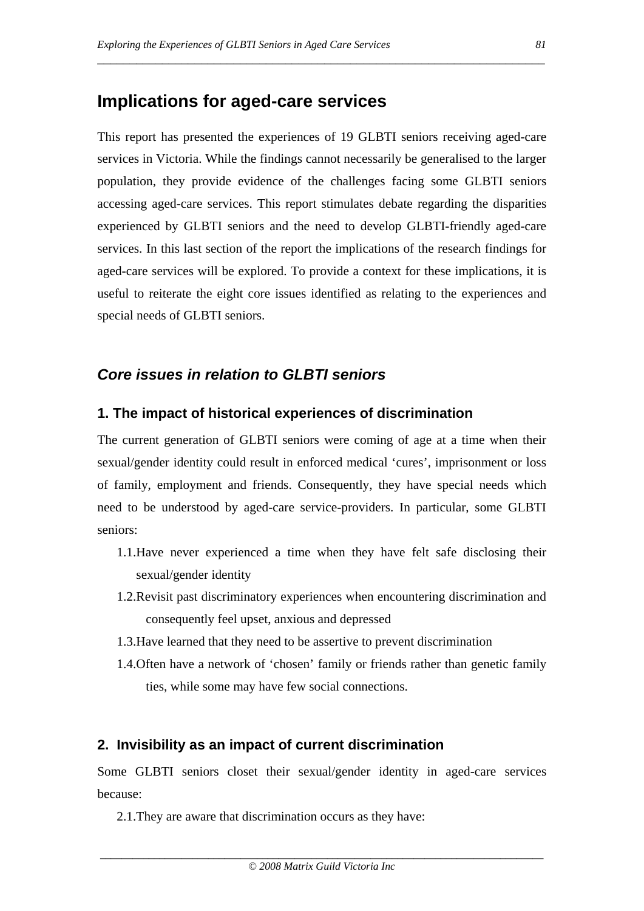# **Implications for aged-care services**

This report has presented the experiences of 19 GLBTI seniors receiving aged-care services in Victoria. While the findings cannot necessarily be generalised to the larger population, they provide evidence of the challenges facing some GLBTI seniors accessing aged-care services. This report stimulates debate regarding the disparities experienced by GLBTI seniors and the need to develop GLBTI-friendly aged-care services. In this last section of the report the implications of the research findings for aged-care services will be explored. To provide a context for these implications, it is useful to reiterate the eight core issues identified as relating to the experiences and special needs of GLBTI seniors.

\_\_\_\_\_\_\_\_\_\_\_\_\_\_\_\_\_\_\_\_\_\_\_\_\_\_\_\_\_\_\_\_\_\_\_\_\_\_\_\_\_\_\_\_\_\_\_\_\_\_\_\_\_\_\_\_\_\_\_\_\_\_\_\_\_\_\_\_\_

# *Core issues in relation to GLBTI seniors*

## **1. The impact of historical experiences of discrimination**

The current generation of GLBTI seniors were coming of age at a time when their sexual/gender identity could result in enforced medical 'cures', imprisonment or loss of family, employment and friends. Consequently, they have special needs which need to be understood by aged-care service-providers. In particular, some GLBTI seniors:

- 1.1.Have never experienced a time when they have felt safe disclosing their sexual/gender identity
- 1.2.Revisit past discriminatory experiences when encountering discrimination and consequently feel upset, anxious and depressed
- 1.3.Have learned that they need to be assertive to prevent discrimination
- 1.4.Often have a network of 'chosen' family or friends rather than genetic family ties, while some may have few social connections.

## **2. Invisibility as an impact of current discrimination**

Some GLBTI seniors closet their sexual/gender identity in aged-care services because:

2.1.They are aware that discrimination occurs as they have: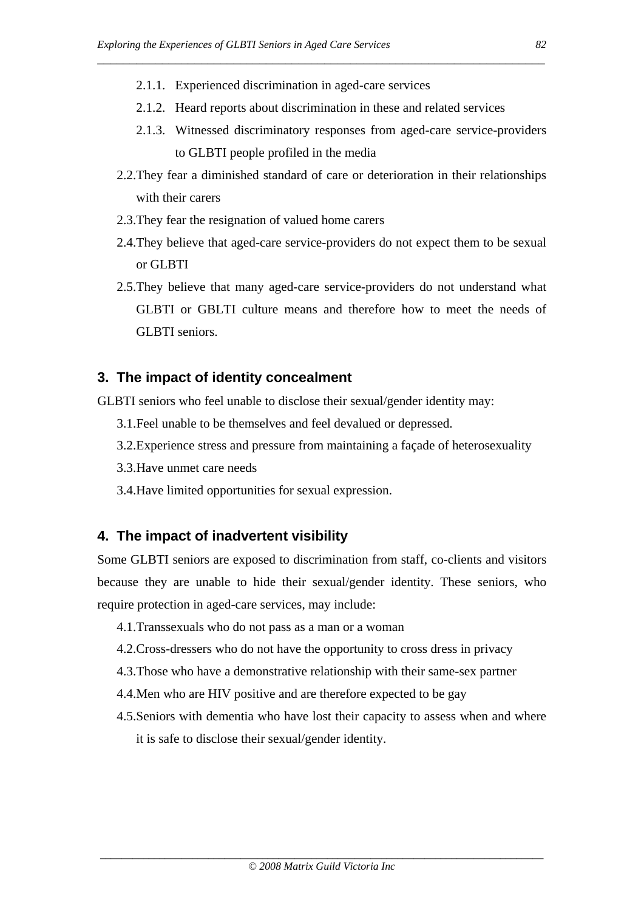- 2.1.1. Experienced discrimination in aged-care services
- 2.1.2. Heard reports about discrimination in these and related services

\_\_\_\_\_\_\_\_\_\_\_\_\_\_\_\_\_\_\_\_\_\_\_\_\_\_\_\_\_\_\_\_\_\_\_\_\_\_\_\_\_\_\_\_\_\_\_\_\_\_\_\_\_\_\_\_\_\_\_\_\_\_\_\_\_\_\_\_\_

- 2.1.3. Witnessed discriminatory responses from aged-care service-providers to GLBTI people profiled in the media
- 2.2.They fear a diminished standard of care or deterioration in their relationships with their carers
- 2.3.They fear the resignation of valued home carers
- 2.4.They believe that aged-care service-providers do not expect them to be sexual or GLBTI
- 2.5.They believe that many aged-care service-providers do not understand what GLBTI or GBLTI culture means and therefore how to meet the needs of GLBTI seniors.

#### **3. The impact of identity concealment**

GLBTI seniors who feel unable to disclose their sexual/gender identity may:

- 3.1.Feel unable to be themselves and feel devalued or depressed.
- 3.2.Experience stress and pressure from maintaining a façade of heterosexuality
- 3.3.Have unmet care needs
- 3.4.Have limited opportunities for sexual expression.

#### **4. The impact of inadvertent visibility**

Some GLBTI seniors are exposed to discrimination from staff, co-clients and visitors because they are unable to hide their sexual/gender identity. These seniors, who require protection in aged-care services, may include:

- 4.1.Transsexuals who do not pass as a man or a woman
- 4.2.Cross-dressers who do not have the opportunity to cross dress in privacy
- 4.3.Those who have a demonstrative relationship with their same-sex partner
- 4.4.Men who are HIV positive and are therefore expected to be gay
- 4.5.Seniors with dementia who have lost their capacity to assess when and where it is safe to disclose their sexual/gender identity.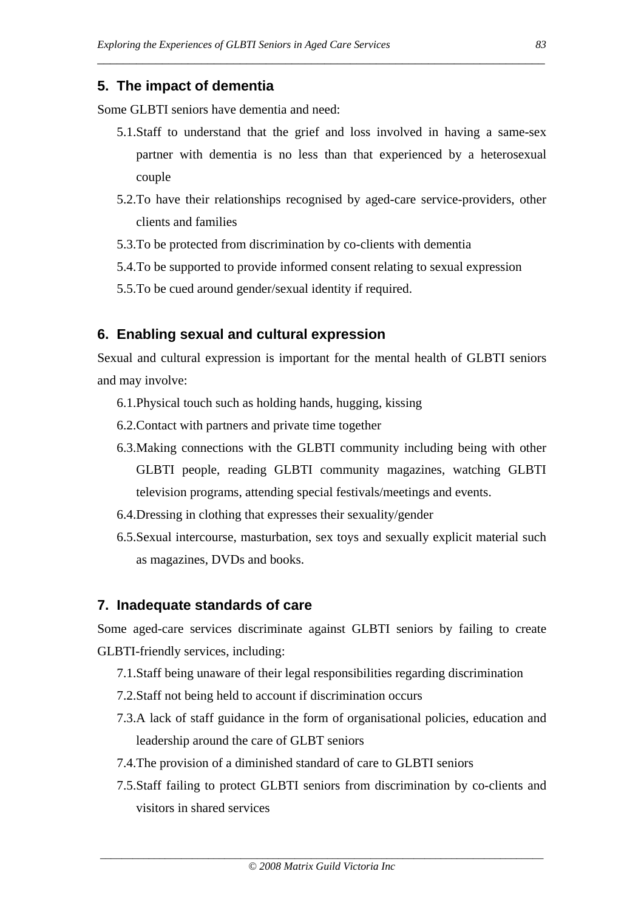## **5. The impact of dementia**

Some GLBTI seniors have dementia and need:

5.1.Staff to understand that the grief and loss involved in having a same-sex partner with dementia is no less than that experienced by a heterosexual couple

\_\_\_\_\_\_\_\_\_\_\_\_\_\_\_\_\_\_\_\_\_\_\_\_\_\_\_\_\_\_\_\_\_\_\_\_\_\_\_\_\_\_\_\_\_\_\_\_\_\_\_\_\_\_\_\_\_\_\_\_\_\_\_\_\_\_\_\_\_

- 5.2.To have their relationships recognised by aged-care service-providers, other clients and families
- 5.3.To be protected from discrimination by co-clients with dementia
- 5.4.To be supported to provide informed consent relating to sexual expression
- 5.5.To be cued around gender/sexual identity if required.

## **6. Enabling sexual and cultural expression**

Sexual and cultural expression is important for the mental health of GLBTI seniors and may involve:

- 6.1.Physical touch such as holding hands, hugging, kissing
- 6.2.Contact with partners and private time together
- 6.3.Making connections with the GLBTI community including being with other GLBTI people, reading GLBTI community magazines, watching GLBTI television programs, attending special festivals/meetings and events.
- 6.4.Dressing in clothing that expresses their sexuality/gender
- 6.5.Sexual intercourse, masturbation, sex toys and sexually explicit material such as magazines, DVDs and books.

## **7. Inadequate standards of care**

Some aged-care services discriminate against GLBTI seniors by failing to create GLBTI-friendly services, including:

- 7.1.Staff being unaware of their legal responsibilities regarding discrimination
- 7.2.Staff not being held to account if discrimination occurs
- 7.3.A lack of staff guidance in the form of organisational policies, education and leadership around the care of GLBT seniors
- 7.4.The provision of a diminished standard of care to GLBTI seniors
- 7.5.Staff failing to protect GLBTI seniors from discrimination by co-clients and visitors in shared services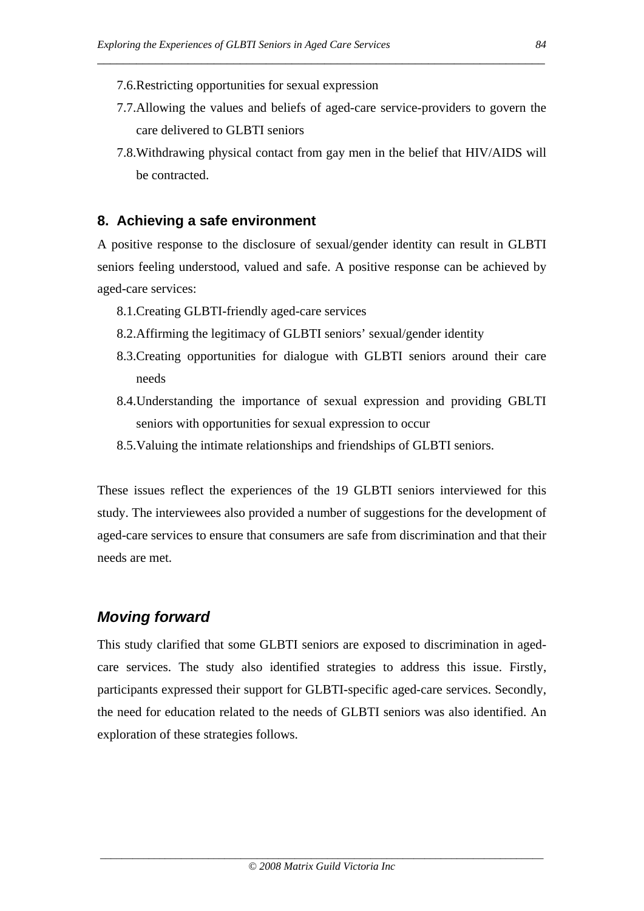- 7.6.Restricting opportunities for sexual expression
- 7.7.Allowing the values and beliefs of aged-care service-providers to govern the care delivered to GLBTI seniors

\_\_\_\_\_\_\_\_\_\_\_\_\_\_\_\_\_\_\_\_\_\_\_\_\_\_\_\_\_\_\_\_\_\_\_\_\_\_\_\_\_\_\_\_\_\_\_\_\_\_\_\_\_\_\_\_\_\_\_\_\_\_\_\_\_\_\_\_\_

7.8.Withdrawing physical contact from gay men in the belief that HIV/AIDS will be contracted.

## **8. Achieving a safe environment**

A positive response to the disclosure of sexual/gender identity can result in GLBTI seniors feeling understood, valued and safe. A positive response can be achieved by aged-care services:

- 8.1.Creating GLBTI-friendly aged-care services
- 8.2.Affirming the legitimacy of GLBTI seniors' sexual/gender identity
- 8.3.Creating opportunities for dialogue with GLBTI seniors around their care needs
- 8.4.Understanding the importance of sexual expression and providing GBLTI seniors with opportunities for sexual expression to occur
- 8.5.Valuing the intimate relationships and friendships of GLBTI seniors.

These issues reflect the experiences of the 19 GLBTI seniors interviewed for this study. The interviewees also provided a number of suggestions for the development of aged-care services to ensure that consumers are safe from discrimination and that their needs are met.

# *Moving forward*

This study clarified that some GLBTI seniors are exposed to discrimination in agedcare services. The study also identified strategies to address this issue. Firstly, participants expressed their support for GLBTI-specific aged-care services. Secondly, the need for education related to the needs of GLBTI seniors was also identified. An exploration of these strategies follows.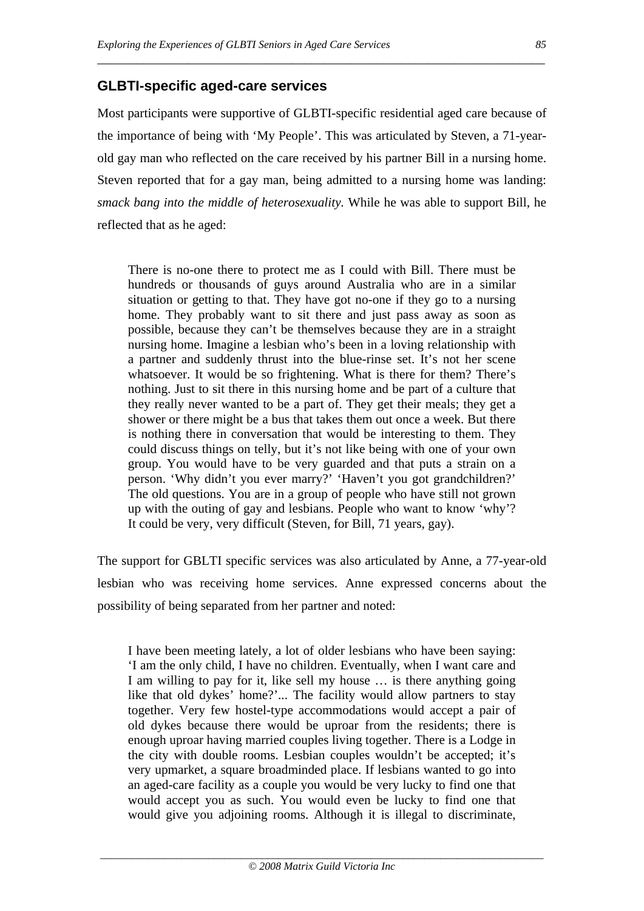# **GLBTI-specific aged-care services**

Most participants were supportive of GLBTI-specific residential aged care because of the importance of being with 'My People'. This was articulated by Steven, a 71-yearold gay man who reflected on the care received by his partner Bill in a nursing home. Steven reported that for a gay man, being admitted to a nursing home was landing: *smack bang into the middle of heterosexuality.* While he was able to support Bill, he reflected that as he aged:

\_\_\_\_\_\_\_\_\_\_\_\_\_\_\_\_\_\_\_\_\_\_\_\_\_\_\_\_\_\_\_\_\_\_\_\_\_\_\_\_\_\_\_\_\_\_\_\_\_\_\_\_\_\_\_\_\_\_\_\_\_\_\_\_\_\_\_\_\_

There is no-one there to protect me as I could with Bill. There must be hundreds or thousands of guys around Australia who are in a similar situation or getting to that. They have got no-one if they go to a nursing home. They probably want to sit there and just pass away as soon as possible, because they can't be themselves because they are in a straight nursing home. Imagine a lesbian who's been in a loving relationship with a partner and suddenly thrust into the blue-rinse set. It's not her scene whatsoever. It would be so frightening. What is there for them? There's nothing. Just to sit there in this nursing home and be part of a culture that they really never wanted to be a part of. They get their meals; they get a shower or there might be a bus that takes them out once a week. But there is nothing there in conversation that would be interesting to them. They could discuss things on telly, but it's not like being with one of your own group. You would have to be very guarded and that puts a strain on a person. 'Why didn't you ever marry?' 'Haven't you got grandchildren?' The old questions. You are in a group of people who have still not grown up with the outing of gay and lesbians. People who want to know 'why'? It could be very, very difficult (Steven, for Bill, 71 years, gay).

The support for GBLTI specific services was also articulated by Anne, a 77-year-old lesbian who was receiving home services. Anne expressed concerns about the possibility of being separated from her partner and noted:

I have been meeting lately, a lot of older lesbians who have been saying: 'I am the only child, I have no children. Eventually, when I want care and I am willing to pay for it, like sell my house … is there anything going like that old dykes' home?'... The facility would allow partners to stay together. Very few hostel-type accommodations would accept a pair of old dykes because there would be uproar from the residents; there is enough uproar having married couples living together. There is a Lodge in the city with double rooms. Lesbian couples wouldn't be accepted; it's very upmarket, a square broadminded place. If lesbians wanted to go into an aged-care facility as a couple you would be very lucky to find one that would accept you as such. You would even be lucky to find one that would give you adjoining rooms. Although it is illegal to discriminate,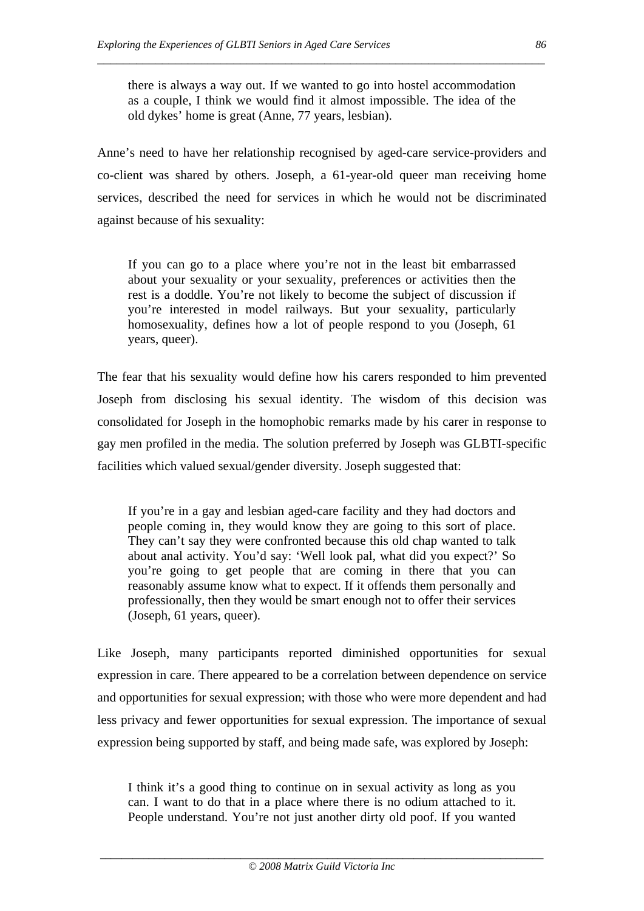there is always a way out. If we wanted to go into hostel accommodation as a couple, I think we would find it almost impossible. The idea of the old dykes' home is great (Anne, 77 years, lesbian).

\_\_\_\_\_\_\_\_\_\_\_\_\_\_\_\_\_\_\_\_\_\_\_\_\_\_\_\_\_\_\_\_\_\_\_\_\_\_\_\_\_\_\_\_\_\_\_\_\_\_\_\_\_\_\_\_\_\_\_\_\_\_\_\_\_\_\_\_\_

Anne's need to have her relationship recognised by aged-care service-providers and co-client was shared by others. Joseph, a 61-year-old queer man receiving home services, described the need for services in which he would not be discriminated against because of his sexuality:

If you can go to a place where you're not in the least bit embarrassed about your sexuality or your sexuality, preferences or activities then the rest is a doddle. You're not likely to become the subject of discussion if you're interested in model railways. But your sexuality, particularly homosexuality, defines how a lot of people respond to you (Joseph, 61 years, queer).

The fear that his sexuality would define how his carers responded to him prevented Joseph from disclosing his sexual identity. The wisdom of this decision was consolidated for Joseph in the homophobic remarks made by his carer in response to gay men profiled in the media. The solution preferred by Joseph was GLBTI-specific facilities which valued sexual/gender diversity. Joseph suggested that:

If you're in a gay and lesbian aged-care facility and they had doctors and people coming in, they would know they are going to this sort of place. They can't say they were confronted because this old chap wanted to talk about anal activity. You'd say: 'Well look pal, what did you expect?' So you're going to get people that are coming in there that you can reasonably assume know what to expect. If it offends them personally and professionally, then they would be smart enough not to offer their services (Joseph, 61 years, queer).

Like Joseph, many participants reported diminished opportunities for sexual expression in care. There appeared to be a correlation between dependence on service and opportunities for sexual expression; with those who were more dependent and had less privacy and fewer opportunities for sexual expression. The importance of sexual expression being supported by staff, and being made safe, was explored by Joseph:

I think it's a good thing to continue on in sexual activity as long as you can. I want to do that in a place where there is no odium attached to it. People understand. You're not just another dirty old poof. If you wanted

*\_\_\_\_\_\_\_\_\_\_\_\_\_\_\_\_\_\_\_\_\_\_\_\_\_\_\_\_\_\_\_\_\_\_\_\_\_\_\_\_\_\_\_\_\_\_\_\_\_\_\_\_\_\_\_\_\_\_\_\_\_\_\_\_\_\_\_\_\_\_\_\_\_\_\_\_\_\_\_\_\_\_*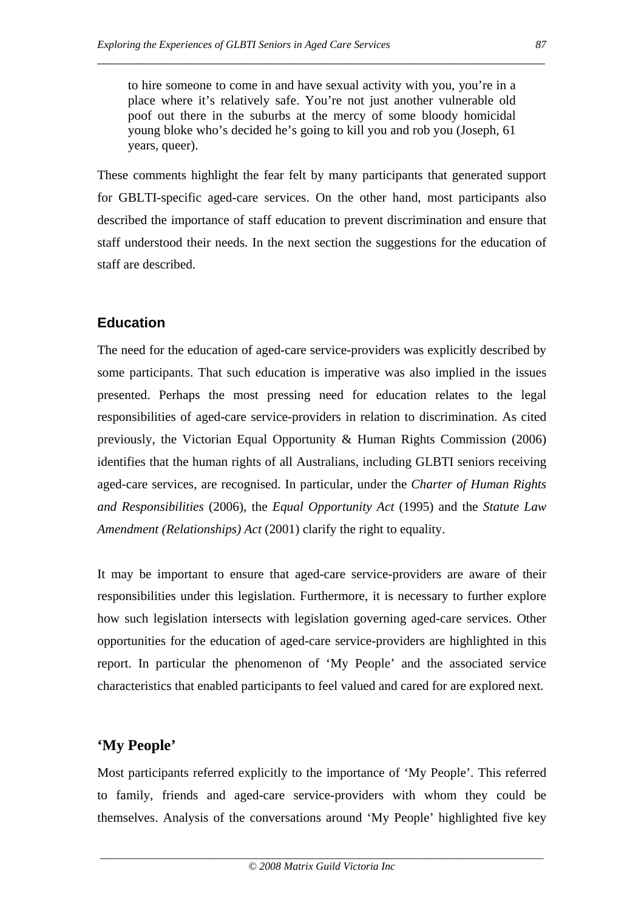to hire someone to come in and have sexual activity with you, you're in a place where it's relatively safe. You're not just another vulnerable old poof out there in the suburbs at the mercy of some bloody homicidal young bloke who's decided he's going to kill you and rob you (Joseph, 61 years, queer).

\_\_\_\_\_\_\_\_\_\_\_\_\_\_\_\_\_\_\_\_\_\_\_\_\_\_\_\_\_\_\_\_\_\_\_\_\_\_\_\_\_\_\_\_\_\_\_\_\_\_\_\_\_\_\_\_\_\_\_\_\_\_\_\_\_\_\_\_\_

These comments highlight the fear felt by many participants that generated support for GBLTI-specific aged-care services. On the other hand, most participants also described the importance of staff education to prevent discrimination and ensure that staff understood their needs. In the next section the suggestions for the education of staff are described.

## **Education**

The need for the education of aged-care service-providers was explicitly described by some participants. That such education is imperative was also implied in the issues presented. Perhaps the most pressing need for education relates to the legal responsibilities of aged-care service-providers in relation to discrimination. As cited previously, the Victorian Equal Opportunity & Human Rights Commission (2006) identifies that the human rights of all Australians, including GLBTI seniors receiving aged-care services, are recognised. In particular, under the *Charter of Human Rights and Responsibilities* (2006), the *Equal Opportunity Act* (1995) and the *Statute Law Amendment (Relationships) Act* (2001) clarify the right to equality.

It may be important to ensure that aged-care service-providers are aware of their responsibilities under this legislation. Furthermore, it is necessary to further explore how such legislation intersects with legislation governing aged-care services. Other opportunities for the education of aged-care service-providers are highlighted in this report. In particular the phenomenon of 'My People' and the associated service characteristics that enabled participants to feel valued and cared for are explored next.

## **'My People'**

Most participants referred explicitly to the importance of 'My People'. This referred to family, friends and aged-care service-providers with whom they could be themselves. Analysis of the conversations around 'My People' highlighted five key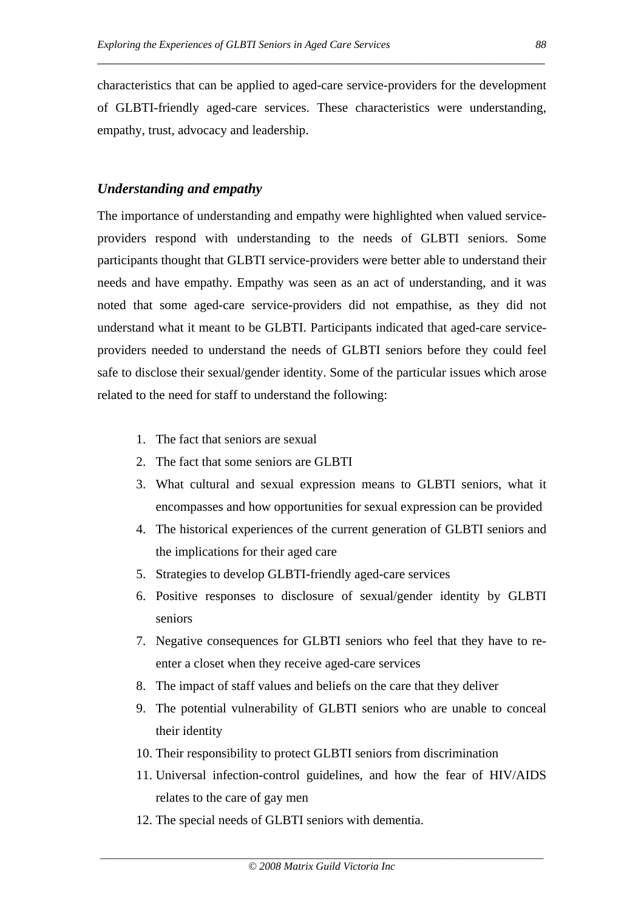characteristics that can be applied to aged-care service-providers for the development of GLBTI-friendly aged-care services. These characteristics were understanding, empathy, trust, advocacy and leadership.

\_\_\_\_\_\_\_\_\_\_\_\_\_\_\_\_\_\_\_\_\_\_\_\_\_\_\_\_\_\_\_\_\_\_\_\_\_\_\_\_\_\_\_\_\_\_\_\_\_\_\_\_\_\_\_\_\_\_\_\_\_\_\_\_\_\_\_\_\_

#### *Understanding and empathy*

The importance of understanding and empathy were highlighted when valued serviceproviders respond with understanding to the needs of GLBTI seniors. Some participants thought that GLBTI service-providers were better able to understand their needs and have empathy. Empathy was seen as an act of understanding, and it was noted that some aged-care service-providers did not empathise, as they did not understand what it meant to be GLBTI. Participants indicated that aged-care serviceproviders needed to understand the needs of GLBTI seniors before they could feel safe to disclose their sexual/gender identity. Some of the particular issues which arose related to the need for staff to understand the following:

- 1. The fact that seniors are sexual
- 2. The fact that some seniors are GLBTI
- 3. What cultural and sexual expression means to GLBTI seniors, what it encompasses and how opportunities for sexual expression can be provided
- 4. The historical experiences of the current generation of GLBTI seniors and the implications for their aged care
- 5. Strategies to develop GLBTI-friendly aged-care services
- 6. Positive responses to disclosure of sexual/gender identity by GLBTI seniors
- 7. Negative consequences for GLBTI seniors who feel that they have to reenter a closet when they receive aged-care services
- 8. The impact of staff values and beliefs on the care that they deliver
- 9. The potential vulnerability of GLBTI seniors who are unable to conceal their identity
- 10. Their responsibility to protect GLBTI seniors from discrimination
- 11. Universal infection-control guidelines, and how the fear of HIV/AIDS relates to the care of gay men
- 12. The special needs of GLBTI seniors with dementia.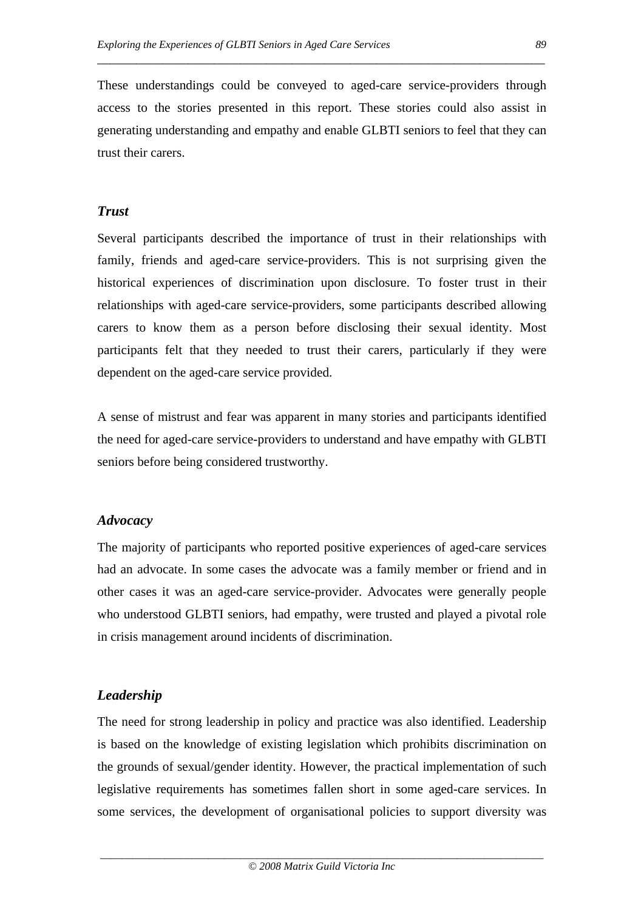These understandings could be conveyed to aged-care service-providers through access to the stories presented in this report. These stories could also assist in generating understanding and empathy and enable GLBTI seniors to feel that they can trust their carers.

\_\_\_\_\_\_\_\_\_\_\_\_\_\_\_\_\_\_\_\_\_\_\_\_\_\_\_\_\_\_\_\_\_\_\_\_\_\_\_\_\_\_\_\_\_\_\_\_\_\_\_\_\_\_\_\_\_\_\_\_\_\_\_\_\_\_\_\_\_

#### *Trust*

Several participants described the importance of trust in their relationships with family, friends and aged-care service-providers. This is not surprising given the historical experiences of discrimination upon disclosure. To foster trust in their relationships with aged-care service-providers, some participants described allowing carers to know them as a person before disclosing their sexual identity. Most participants felt that they needed to trust their carers, particularly if they were dependent on the aged-care service provided.

A sense of mistrust and fear was apparent in many stories and participants identified the need for aged-care service-providers to understand and have empathy with GLBTI seniors before being considered trustworthy.

#### *Advocacy*

The majority of participants who reported positive experiences of aged-care services had an advocate. In some cases the advocate was a family member or friend and in other cases it was an aged-care service-provider. Advocates were generally people who understood GLBTI seniors, had empathy, were trusted and played a pivotal role in crisis management around incidents of discrimination.

## *Leadership*

The need for strong leadership in policy and practice was also identified. Leadership is based on the knowledge of existing legislation which prohibits discrimination on the grounds of sexual/gender identity. However, the practical implementation of such legislative requirements has sometimes fallen short in some aged-care services. In some services, the development of organisational policies to support diversity was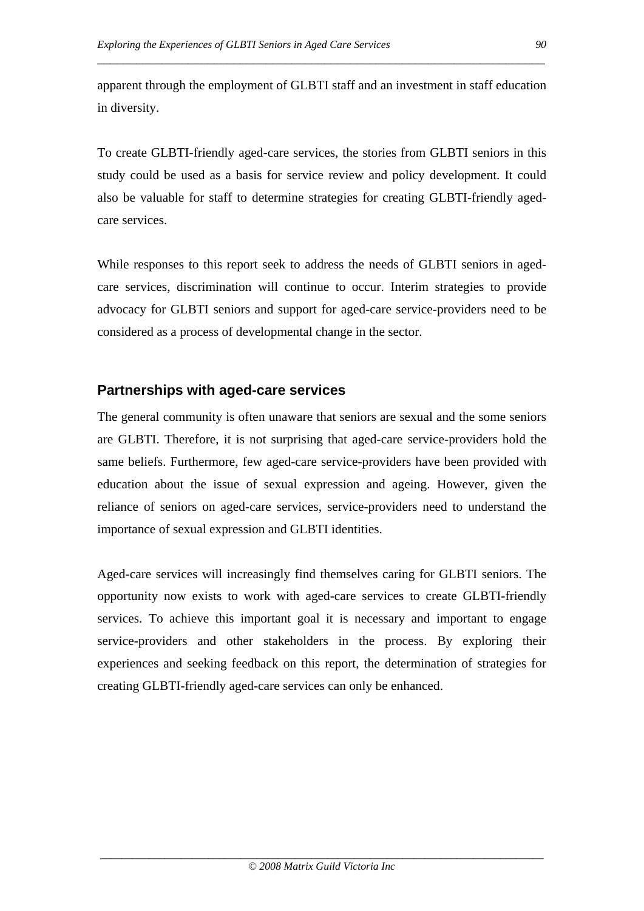apparent through the employment of GLBTI staff and an investment in staff education in diversity.

\_\_\_\_\_\_\_\_\_\_\_\_\_\_\_\_\_\_\_\_\_\_\_\_\_\_\_\_\_\_\_\_\_\_\_\_\_\_\_\_\_\_\_\_\_\_\_\_\_\_\_\_\_\_\_\_\_\_\_\_\_\_\_\_\_\_\_\_\_

To create GLBTI-friendly aged-care services, the stories from GLBTI seniors in this study could be used as a basis for service review and policy development. It could also be valuable for staff to determine strategies for creating GLBTI-friendly agedcare services.

While responses to this report seek to address the needs of GLBTI seniors in agedcare services, discrimination will continue to occur. Interim strategies to provide advocacy for GLBTI seniors and support for aged-care service-providers need to be considered as a process of developmental change in the sector.

## **Partnerships with aged-care services**

The general community is often unaware that seniors are sexual and the some seniors are GLBTI. Therefore, it is not surprising that aged-care service-providers hold the same beliefs. Furthermore, few aged-care service-providers have been provided with education about the issue of sexual expression and ageing. However, given the reliance of seniors on aged-care services, service-providers need to understand the importance of sexual expression and GLBTI identities.

Aged-care services will increasingly find themselves caring for GLBTI seniors. The opportunity now exists to work with aged-care services to create GLBTI-friendly services. To achieve this important goal it is necessary and important to engage service-providers and other stakeholders in the process. By exploring their experiences and seeking feedback on this report, the determination of strategies for creating GLBTI-friendly aged-care services can only be enhanced.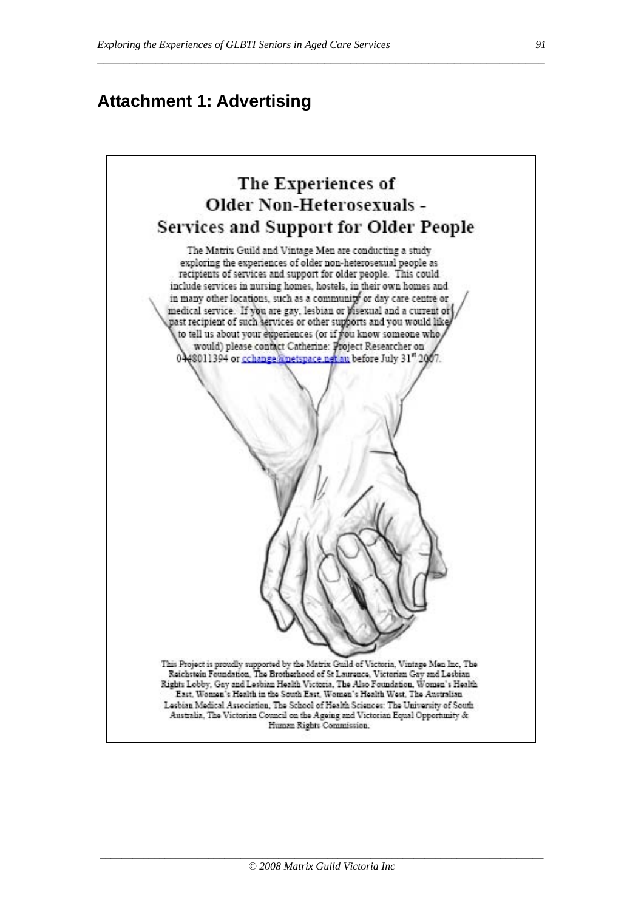\_\_\_\_\_\_\_\_\_\_\_\_\_\_\_\_\_\_\_\_\_\_\_\_\_\_\_\_\_\_\_\_\_\_\_\_\_\_\_\_\_\_\_\_\_\_\_\_\_\_\_\_\_\_\_\_\_\_\_\_\_\_\_\_\_\_\_\_\_

# **Attachment 1: Advertising**

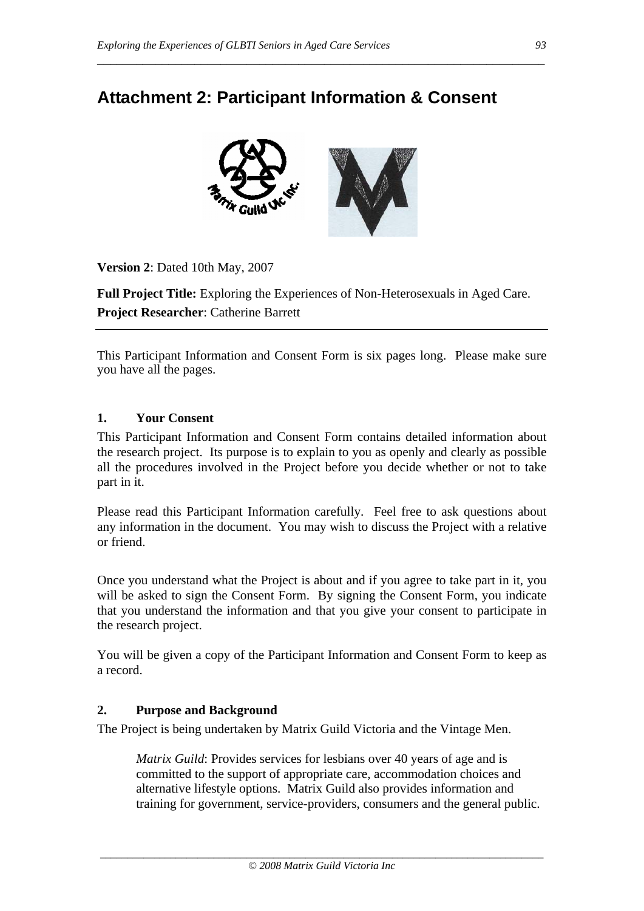# **Attachment 2: Participant Information & Consent**

\_\_\_\_\_\_\_\_\_\_\_\_\_\_\_\_\_\_\_\_\_\_\_\_\_\_\_\_\_\_\_\_\_\_\_\_\_\_\_\_\_\_\_\_\_\_\_\_\_\_\_\_\_\_\_\_\_\_\_\_\_\_\_\_\_\_\_\_\_



**Version 2**: Dated 10th May, 2007

**Full Project Title:** Exploring the Experiences of Non-Heterosexuals in Aged Care. **Project Researcher**: Catherine Barrett

This Participant Information and Consent Form is six pages long. Please make sure you have all the pages.

#### **1. Your Consent**

This Participant Information and Consent Form contains detailed information about the research project. Its purpose is to explain to you as openly and clearly as possible all the procedures involved in the Project before you decide whether or not to take part in it.

Please read this Participant Information carefully. Feel free to ask questions about any information in the document. You may wish to discuss the Project with a relative or friend.

Once you understand what the Project is about and if you agree to take part in it, you will be asked to sign the Consent Form. By signing the Consent Form, you indicate that you understand the information and that you give your consent to participate in the research project.

You will be given a copy of the Participant Information and Consent Form to keep as a record.

#### **2. Purpose and Background**

The Project is being undertaken by Matrix Guild Victoria and the Vintage Men.

*Matrix Guild*: Provides services for lesbians over 40 years of age and is committed to the support of appropriate care, accommodation choices and alternative lifestyle options. Matrix Guild also provides information and training for government, service-providers, consumers and the general public.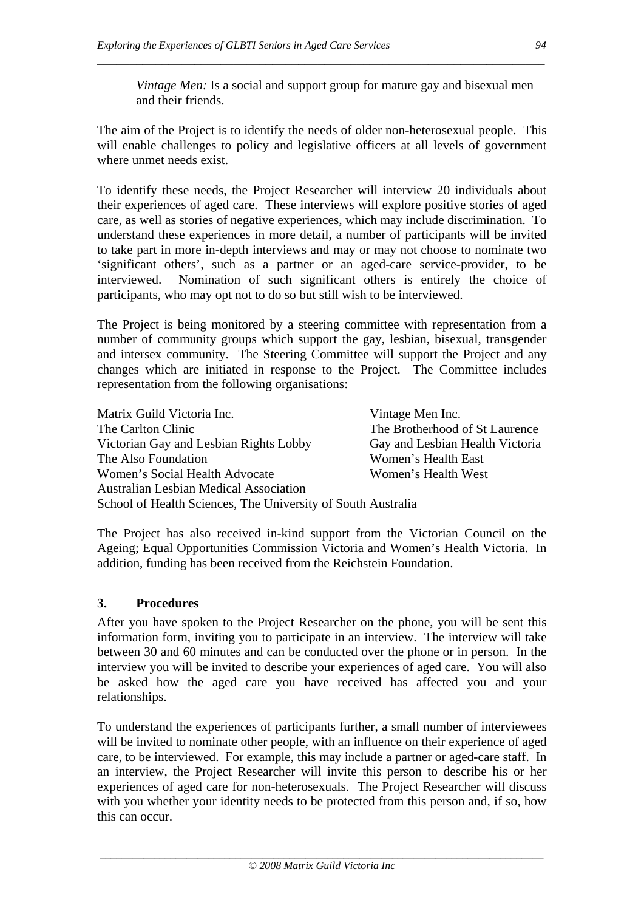*Vintage Men:* Is a social and support group for mature gay and bisexual men and their friends.

The aim of the Project is to identify the needs of older non-heterosexual people. This will enable challenges to policy and legislative officers at all levels of government where unmet needs exist.

\_\_\_\_\_\_\_\_\_\_\_\_\_\_\_\_\_\_\_\_\_\_\_\_\_\_\_\_\_\_\_\_\_\_\_\_\_\_\_\_\_\_\_\_\_\_\_\_\_\_\_\_\_\_\_\_\_\_\_\_\_\_\_\_\_\_\_\_\_

To identify these needs, the Project Researcher will interview 20 individuals about their experiences of aged care. These interviews will explore positive stories of aged care, as well as stories of negative experiences, which may include discrimination. To understand these experiences in more detail, a number of participants will be invited to take part in more in-depth interviews and may or may not choose to nominate two 'significant others', such as a partner or an aged-care service-provider, to be interviewed. Nomination of such significant others is entirely the choice of participants, who may opt not to do so but still wish to be interviewed.

The Project is being monitored by a steering committee with representation from a number of community groups which support the gay, lesbian, bisexual, transgender and intersex community. The Steering Committee will support the Project and any changes which are initiated in response to the Project. The Committee includes representation from the following organisations:

Matrix Guild Victoria Inc. Vintage Men Inc. The Carlton Clinic The Brotherhood of St Laurence Victorian Gay and Lesbian Rights Lobby Gay and Lesbian Health Victoria The Also Foundation Women's Health East Women's Social Health Advocate Women's Health West Australian Lesbian Medical Association School of Health Sciences, The University of South Australia

The Project has also received in-kind support from the Victorian Council on the Ageing; Equal Opportunities Commission Victoria and Women's Health Victoria. In addition, funding has been received from the Reichstein Foundation.

#### **3. Procedures**

After you have spoken to the Project Researcher on the phone, you will be sent this information form, inviting you to participate in an interview. The interview will take between 30 and 60 minutes and can be conducted over the phone or in person. In the interview you will be invited to describe your experiences of aged care. You will also be asked how the aged care you have received has affected you and your relationships.

To understand the experiences of participants further, a small number of interviewees will be invited to nominate other people, with an influence on their experience of aged care, to be interviewed. For example, this may include a partner or aged-care staff. In an interview, the Project Researcher will invite this person to describe his or her experiences of aged care for non-heterosexuals. The Project Researcher will discuss with you whether your identity needs to be protected from this person and, if so, how this can occur.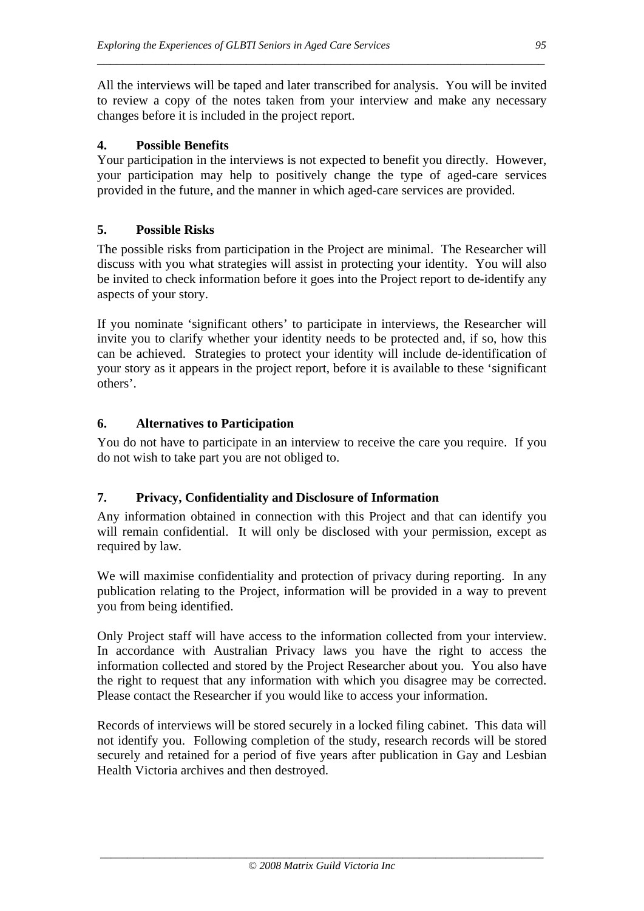All the interviews will be taped and later transcribed for analysis. You will be invited to review a copy of the notes taken from your interview and make any necessary changes before it is included in the project report.

\_\_\_\_\_\_\_\_\_\_\_\_\_\_\_\_\_\_\_\_\_\_\_\_\_\_\_\_\_\_\_\_\_\_\_\_\_\_\_\_\_\_\_\_\_\_\_\_\_\_\_\_\_\_\_\_\_\_\_\_\_\_\_\_\_\_\_\_\_

#### **4. Possible Benefits**

Your participation in the interviews is not expected to benefit you directly. However, your participation may help to positively change the type of aged-care services provided in the future, and the manner in which aged-care services are provided.

#### **5. Possible Risks**

The possible risks from participation in the Project are minimal. The Researcher will discuss with you what strategies will assist in protecting your identity. You will also be invited to check information before it goes into the Project report to de-identify any aspects of your story.

If you nominate 'significant others' to participate in interviews, the Researcher will invite you to clarify whether your identity needs to be protected and, if so, how this can be achieved. Strategies to protect your identity will include de-identification of your story as it appears in the project report, before it is available to these 'significant others'.

#### **6. Alternatives to Participation**

You do not have to participate in an interview to receive the care you require. If you do not wish to take part you are not obliged to.

#### **7. Privacy, Confidentiality and Disclosure of Information**

Any information obtained in connection with this Project and that can identify you will remain confidential. It will only be disclosed with your permission, except as required by law*.* 

We will maximise confidentiality and protection of privacy during reporting. In any publication relating to the Project, information will be provided in a way to prevent you from being identified.

Only Project staff will have access to the information collected from your interview. In accordance with Australian Privacy laws you have the right to access the information collected and stored by the Project Researcher about you. You also have the right to request that any information with which you disagree may be corrected. Please contact the Researcher if you would like to access your information.

Records of interviews will be stored securely in a locked filing cabinet. This data will not identify you. Following completion of the study, research records will be stored securely and retained for a period of five years after publication in Gay and Lesbian Health Victoria archives and then destroyed.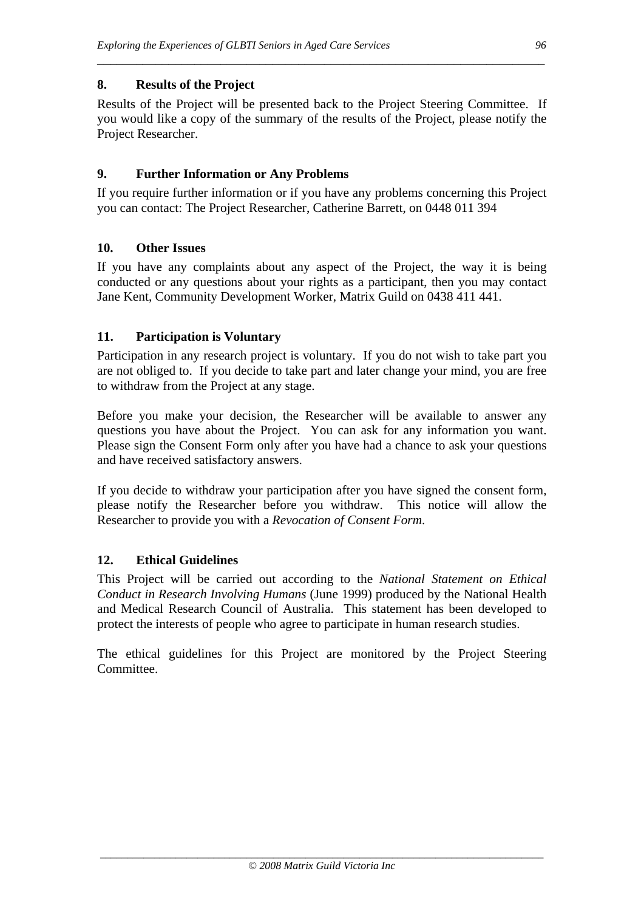#### **8. Results of the Project**

Results of the Project will be presented back to the Project Steering Committee. If you would like a copy of the summary of the results of the Project, please notify the Project Researcher.

\_\_\_\_\_\_\_\_\_\_\_\_\_\_\_\_\_\_\_\_\_\_\_\_\_\_\_\_\_\_\_\_\_\_\_\_\_\_\_\_\_\_\_\_\_\_\_\_\_\_\_\_\_\_\_\_\_\_\_\_\_\_\_\_\_\_\_\_\_

#### **9. Further Information or Any Problems**

If you require further information or if you have any problems concerning this Project you can contact: The Project Researcher, Catherine Barrett, on 0448 011 394

#### **10. Other Issues**

If you have any complaints about any aspect of the Project, the way it is being conducted or any questions about your rights as a participant, then you may contact Jane Kent, Community Development Worker, Matrix Guild on 0438 411 441.

#### **11. Participation is Voluntary**

Participation in any research project is voluntary. If you do not wish to take part you are not obliged to. If you decide to take part and later change your mind, you are free to withdraw from the Project at any stage.

Before you make your decision, the Researcher will be available to answer any questions you have about the Project. You can ask for any information you want. Please sign the Consent Form only after you have had a chance to ask your questions and have received satisfactory answers.

If you decide to withdraw your participation after you have signed the consent form, please notify the Researcher before you withdraw. This notice will allow the Researcher to provide you with a *Revocation of Consent Form*.

#### **12. Ethical Guidelines**

This Project will be carried out according to the *National Statement on Ethical Conduct in Research Involving Humans* (June 1999) produced by the National Health and Medical Research Council of Australia. This statement has been developed to protect the interests of people who agree to participate in human research studies.

The ethical guidelines for this Project are monitored by the Project Steering Committee.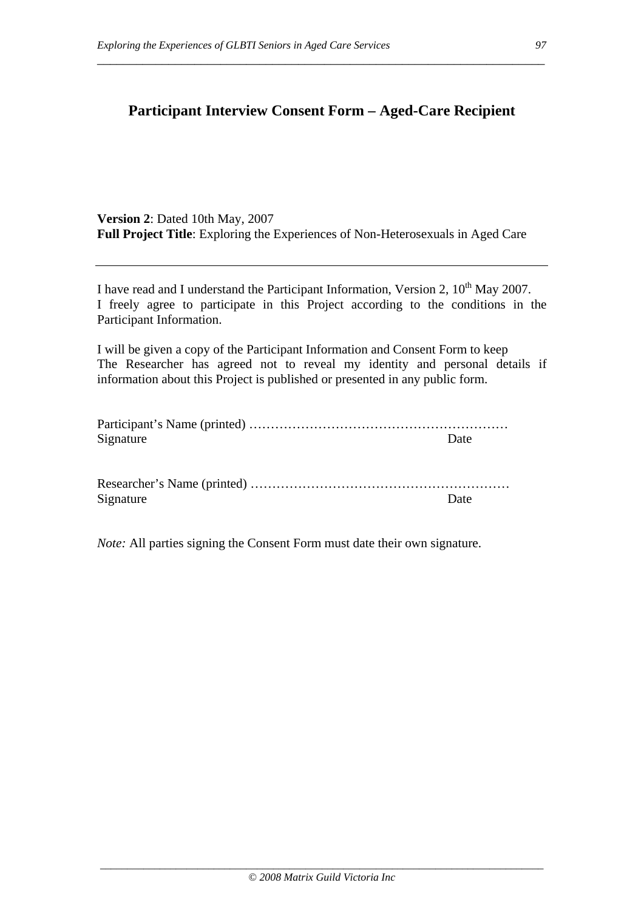# **Participant Interview Consent Form – Aged-Care Recipient**

\_\_\_\_\_\_\_\_\_\_\_\_\_\_\_\_\_\_\_\_\_\_\_\_\_\_\_\_\_\_\_\_\_\_\_\_\_\_\_\_\_\_\_\_\_\_\_\_\_\_\_\_\_\_\_\_\_\_\_\_\_\_\_\_\_\_\_\_\_

**Version 2**: Dated 10th May, 2007 **Full Project Title**: Exploring the Experiences of Non-Heterosexuals in Aged Care

I have read and I understand the Participant Information, Version 2,  $10^{th}$  May 2007. I freely agree to participate in this Project according to the conditions in the Participant Information.

I will be given a copy of the Participant Information and Consent Form to keep The Researcher has agreed not to reveal my identity and personal details if information about this Project is published or presented in any public form.

| Signature | Date |
|-----------|------|

| Signature | Date |
|-----------|------|

*Note:* All parties signing the Consent Form must date their own signature.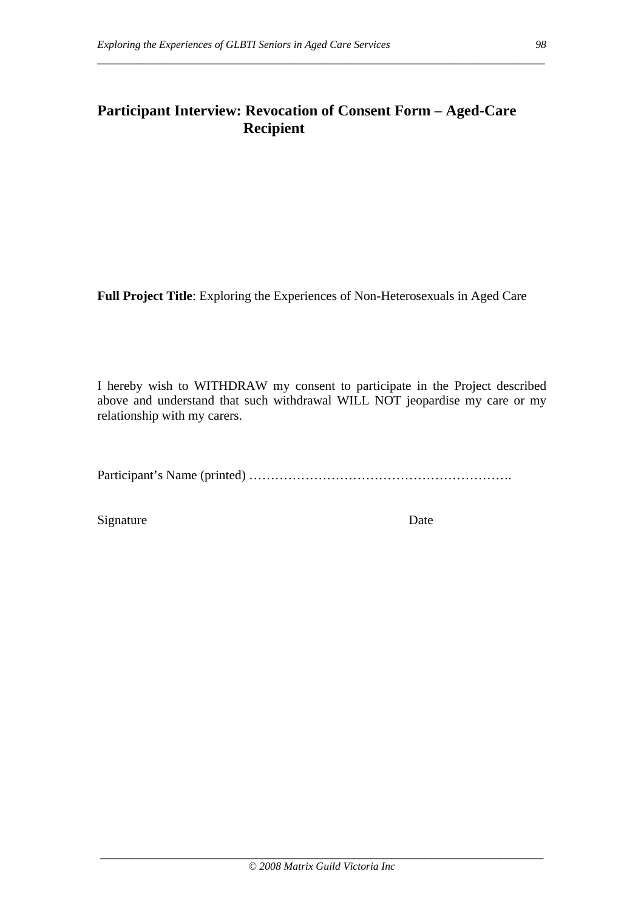## **Participant Interview: Revocation of Consent Form – Aged-Care Recipient**

\_\_\_\_\_\_\_\_\_\_\_\_\_\_\_\_\_\_\_\_\_\_\_\_\_\_\_\_\_\_\_\_\_\_\_\_\_\_\_\_\_\_\_\_\_\_\_\_\_\_\_\_\_\_\_\_\_\_\_\_\_\_\_\_\_\_\_\_\_

**Full Project Title**: Exploring the Experiences of Non-Heterosexuals in Aged Care

I hereby wish to WITHDRAW my consent to participate in the Project described above and understand that such withdrawal WILL NOT jeopardise my care or my relationship with my carers.

Participant's Name (printed) …………………………………………………….

Signature Date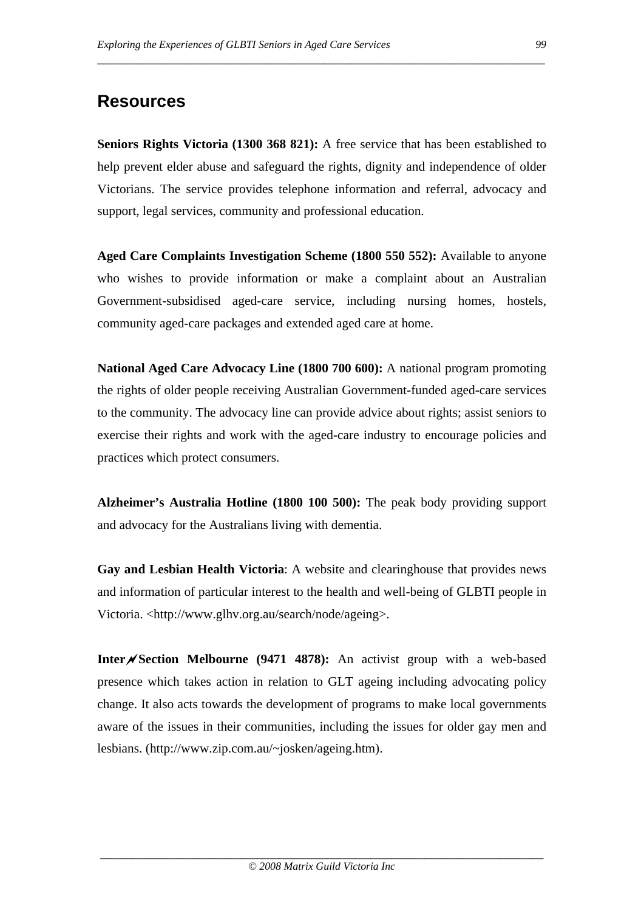# **Resources**

**Seniors Rights Victoria (1300 368 821):** A free service that has been established to help prevent elder abuse and safeguard the rights, dignity and independence of older Victorians. The service provides telephone information and referral, advocacy and support, legal services, community and professional education.

\_\_\_\_\_\_\_\_\_\_\_\_\_\_\_\_\_\_\_\_\_\_\_\_\_\_\_\_\_\_\_\_\_\_\_\_\_\_\_\_\_\_\_\_\_\_\_\_\_\_\_\_\_\_\_\_\_\_\_\_\_\_\_\_\_\_\_\_\_

**Aged Care Complaints Investigation Scheme (1800 550 552):** Available to anyone who wishes to provide information or make a complaint about an Australian Government-subsidised aged-care service, including nursing homes, hostels, community aged-care packages and extended aged care at home.

**National Aged Care Advocacy Line (1800 700 600):** A national program promoting the rights of older people receiving Australian Government-funded aged-care services to the community. The advocacy line can provide advice about rights; assist seniors to exercise their rights and work with the aged-care industry to encourage policies and practices which protect consumers.

**Alzheimer's Australia Hotline (1800 100 500):** The peak body providing support and advocacy for the Australians living with dementia.

**Gay and Lesbian Health Victoria**: A website and clearinghouse that provides news and information of particular interest to the health and well-being of GLBTI people in Victoria. <http://www.glhv.org.au/search/node/ageing>.

**Inter/**Section Melbourne (9471 4878): An activist group with a web-based presence which takes action in relation to GLT ageing including advocating policy change. It also acts towards the development of programs to make local governments aware of the issues in their communities, including the issues for older gay men and lesbians. (http://www.zip.com.au/~josken/ageing.htm).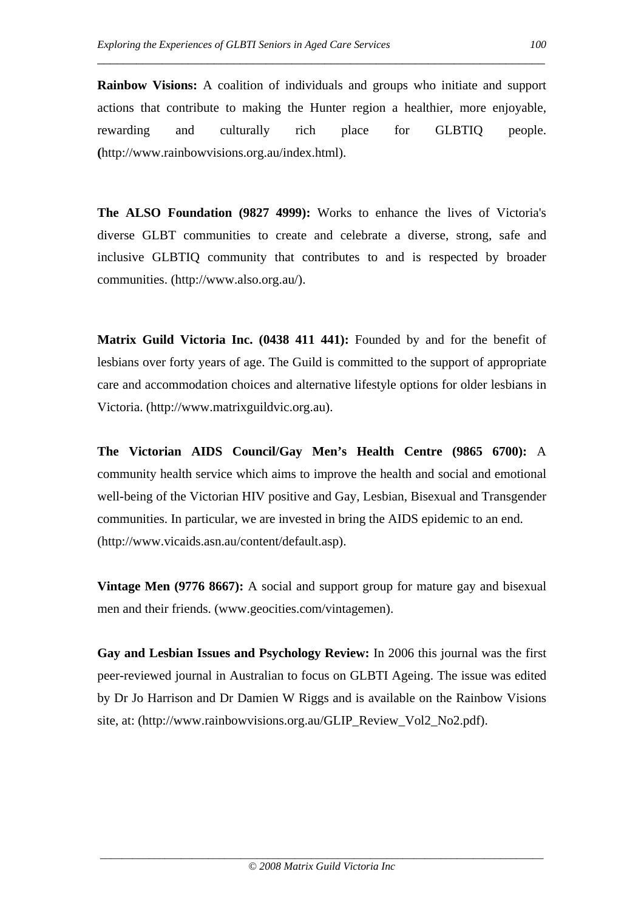**Rainbow Visions:** A coalition of individuals and groups who initiate and support actions that contribute to making the Hunter region a healthier, more enjoyable, rewarding and culturally rich place for GLBTIQ people. **(**http://www.rainbowvisions.org.au/index.html).

\_\_\_\_\_\_\_\_\_\_\_\_\_\_\_\_\_\_\_\_\_\_\_\_\_\_\_\_\_\_\_\_\_\_\_\_\_\_\_\_\_\_\_\_\_\_\_\_\_\_\_\_\_\_\_\_\_\_\_\_\_\_\_\_\_\_\_\_\_

**The ALSO Foundation (9827 4999):** Works to enhance the lives of Victoria's diverse GLBT communities to create and celebrate a diverse, strong, safe and inclusive GLBTIQ community that contributes to and is respected by broader communities. (http://www.also.org.au/).

**Matrix Guild Victoria Inc. (0438 411 441):** Founded by and for the benefit of lesbians over forty years of age. The Guild is committed to the support of appropriate care and accommodation choices and alternative lifestyle options for older lesbians in Victoria. (http://www.matrixguildvic.org.au).

**The Victorian AIDS Council/Gay Men's Health Centre (9865 6700):** A community health service which aims to improve the health and social and emotional well-being of the Victorian HIV positive and Gay, Lesbian, Bisexual and Transgender communities. In particular, we are invested in bring the AIDS epidemic to an end. (http://www.vicaids.asn.au/content/default.asp).

**Vintage Men (9776 8667):** A social and support group for mature gay and bisexual men and their friends. (www.geocities.com/vintagemen).

**Gay and Lesbian Issues and Psychology Review:** In 2006 this journal was the first peer-reviewed journal in Australian to focus on GLBTI Ageing. The issue was edited by Dr Jo Harrison and Dr Damien W Riggs and is available on the Rainbow Visions site, at: (http://www.rainbowvisions.org.au/GLIP\_Review\_Vol2\_No2.pdf).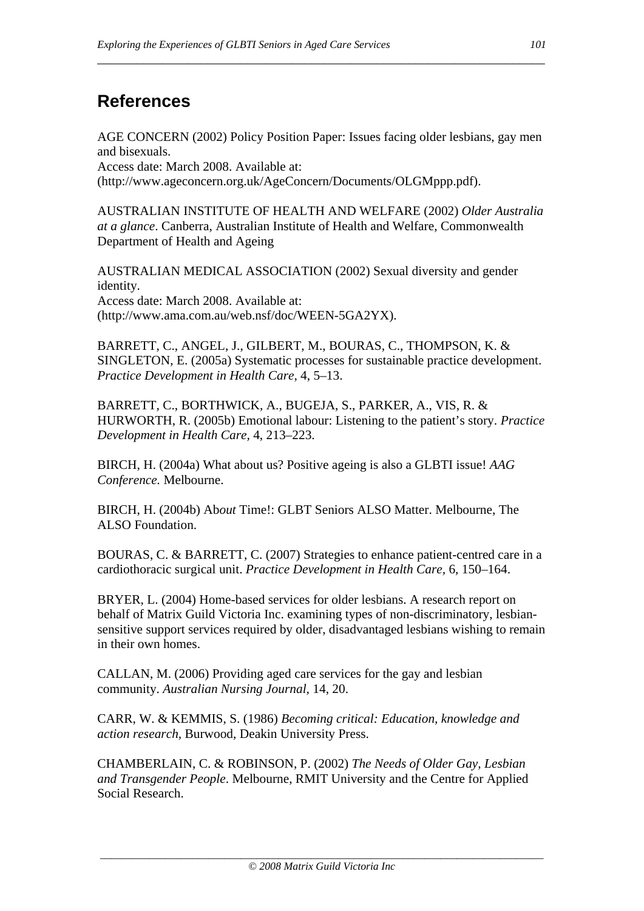# **References**

AGE CONCERN (2002) Policy Position Paper: Issues facing older lesbians, gay men and bisexuals.

\_\_\_\_\_\_\_\_\_\_\_\_\_\_\_\_\_\_\_\_\_\_\_\_\_\_\_\_\_\_\_\_\_\_\_\_\_\_\_\_\_\_\_\_\_\_\_\_\_\_\_\_\_\_\_\_\_\_\_\_\_\_\_\_\_\_\_\_\_

Access date: March 2008. Available at: (http://www.ageconcern.org.uk/AgeConcern/Documents/OLGMppp.pdf).

AUSTRALIAN INSTITUTE OF HEALTH AND WELFARE (2002) *Older Australia at a glance*. Canberra, Australian Institute of Health and Welfare, Commonwealth Department of Health and Ageing

AUSTRALIAN MEDICAL ASSOCIATION (2002) Sexual diversity and gender identity. Access date: March 2008. Available at: (http://www.ama.com.au/web.nsf/doc/WEEN-5GA2YX).

BARRETT, C., ANGEL, J., GILBERT, M., BOURAS, C., THOMPSON, K. & SINGLETON, E. (2005a) Systematic processes for sustainable practice development. *Practice Development in Health Care,* 4, 5–13.

BARRETT, C., BORTHWICK, A., BUGEJA, S., PARKER, A., VIS, R. & HURWORTH, R. (2005b) Emotional labour: Listening to the patient's story. *Practice Development in Health Care,* 4, 213–223.

BIRCH, H. (2004a) What about us? Positive ageing is also a GLBTI issue! *AAG Conference.* Melbourne.

BIRCH, H. (2004b) Ab*out* Time!: GLBT Seniors ALSO Matter. Melbourne, The ALSO Foundation.

BOURAS, C. & BARRETT, C. (2007) Strategies to enhance patient-centred care in a cardiothoracic surgical unit. *Practice Development in Health Care,* 6, 150–164.

BRYER, L. (2004) Home-based services for older lesbians. A research report on behalf of Matrix Guild Victoria Inc. examining types of non-discriminatory, lesbiansensitive support services required by older, disadvantaged lesbians wishing to remain in their own homes.

CALLAN, M. (2006) Providing aged care services for the gay and lesbian community. *Australian Nursing Journal,* 14, 20.

CARR, W. & KEMMIS, S. (1986) *Becoming critical: Education, knowledge and action research,* Burwood, Deakin University Press.

CHAMBERLAIN, C. & ROBINSON, P. (2002) *The Needs of Older Gay, Lesbian and Transgender People*. Melbourne, RMIT University and the Centre for Applied Social Research.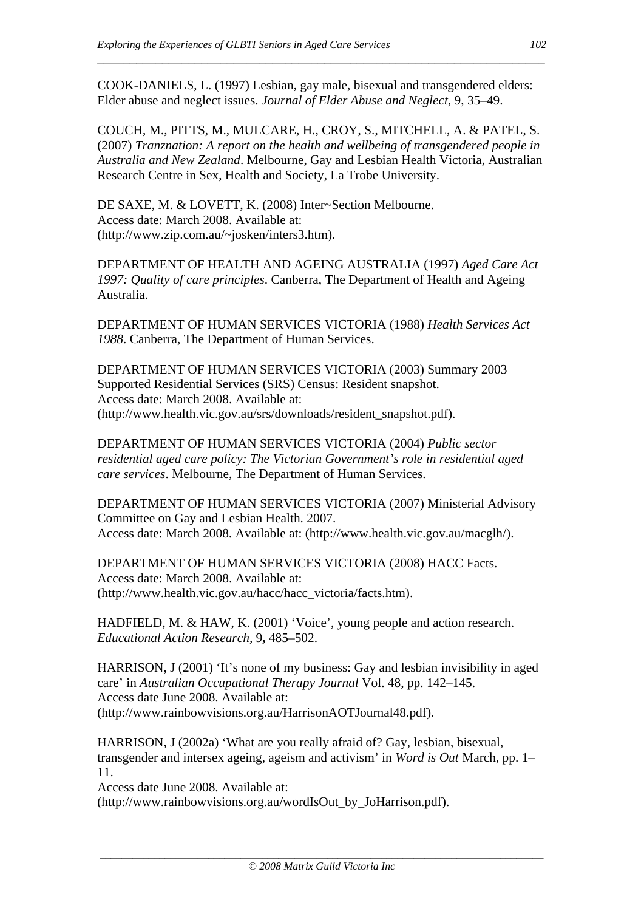COOK-DANIELS, L. (1997) Lesbian, gay male, bisexual and transgendered elders: Elder abuse and neglect issues. *Journal of Elder Abuse and Neglect,* 9, 35–49.

\_\_\_\_\_\_\_\_\_\_\_\_\_\_\_\_\_\_\_\_\_\_\_\_\_\_\_\_\_\_\_\_\_\_\_\_\_\_\_\_\_\_\_\_\_\_\_\_\_\_\_\_\_\_\_\_\_\_\_\_\_\_\_\_\_\_\_\_\_

COUCH, M., PITTS, M., MULCARE, H., CROY, S., MITCHELL, A. & PATEL, S. (2007) *Tranznation: A report on the health and wellbeing of transgendered people in Australia and New Zealand*. Melbourne, Gay and Lesbian Health Victoria, Australian Research Centre in Sex, Health and Society, La Trobe University.

DE SAXE, M. & LOVETT, K. (2008) Inter~Section Melbourne. Access date: March 2008. Available at: (http://www.zip.com.au/~josken/inters3.htm).

DEPARTMENT OF HEALTH AND AGEING AUSTRALIA (1997) *Aged Care Act 1997: Quality of care principles*. Canberra, The Department of Health and Ageing Australia.

DEPARTMENT OF HUMAN SERVICES VICTORIA (1988) *Health Services Act 1988*. Canberra, The Department of Human Services.

DEPARTMENT OF HUMAN SERVICES VICTORIA (2003) Summary 2003 Supported Residential Services (SRS) Census: Resident snapshot. Access date: March 2008. Available at: (http://www.health.vic.gov.au/srs/downloads/resident\_snapshot.pdf).

DEPARTMENT OF HUMAN SERVICES VICTORIA (2004) *Public sector residential aged care policy: The Victorian Government's role in residential aged care services*. Melbourne, The Department of Human Services.

DEPARTMENT OF HUMAN SERVICES VICTORIA (2007) Ministerial Advisory Committee on Gay and Lesbian Health. 2007. Access date: March 2008. Available at: (http://www.health.vic.gov.au/macglh/).

DEPARTMENT OF HUMAN SERVICES VICTORIA (2008) HACC Facts. Access date: March 2008. Available at: (http://www.health.vic.gov.au/hacc/hacc\_victoria/facts.htm).

HADFIELD, M. & HAW, K. (2001) 'Voice', young people and action research. *Educational Action Research,* 9**,** 485–502.

HARRISON, J (2001) 'It's none of my business: Gay and lesbian invisibility in aged care' in *Australian Occupational Therapy Journal* Vol. 48, pp. 142–145. Access date June 2008. Available at: (http://www.rainbowvisions.org.au/HarrisonAOTJournal48.pdf).

HARRISON, J (2002a) 'What are you really afraid of? Gay, lesbian, bisexual, transgender and intersex ageing, ageism and activism' in *Word is Out* March, pp. 1– 11.

Access date June 2008. Available at: (http://www.rainbowvisions.org.au/wordIsOut\_by\_JoHarrison.pdf).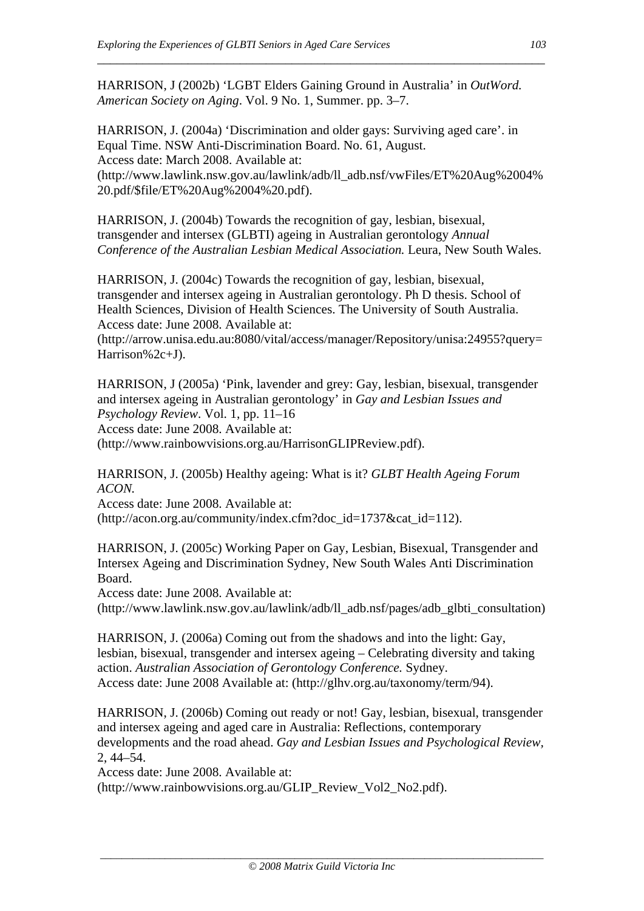HARRISON, J (2002b) 'LGBT Elders Gaining Ground in Australia' in *OutWord. American Society on Aging*. Vol. 9 No. 1, Summer. pp. 3–7.

\_\_\_\_\_\_\_\_\_\_\_\_\_\_\_\_\_\_\_\_\_\_\_\_\_\_\_\_\_\_\_\_\_\_\_\_\_\_\_\_\_\_\_\_\_\_\_\_\_\_\_\_\_\_\_\_\_\_\_\_\_\_\_\_\_\_\_\_\_

HARRISON, J. (2004a) 'Discrimination and older gays: Surviving aged care'. in Equal Time. NSW Anti-Discrimination Board. No. 61, August. Access date: March 2008. Available at: (http://www.lawlink.nsw.gov.au/lawlink/adb/ll\_adb.nsf/vwFiles/ET%20Aug%2004% 20.pdf/\$file/ET%20Aug%2004%20.pdf).

HARRISON, J. (2004b) Towards the recognition of gay, lesbian, bisexual, transgender and intersex (GLBTI) ageing in Australian gerontology *Annual Conference of the Australian Lesbian Medical Association.* Leura, New South Wales.

HARRISON, J. (2004c) Towards the recognition of gay, lesbian, bisexual, transgender and intersex ageing in Australian gerontology. Ph D thesis. School of Health Sciences, Division of Health Sciences. The University of South Australia. Access date: June 2008. Available at:

(http://arrow.unisa.edu.au:8080/vital/access/manager/Repository/unisa:24955?query= Harrison%2c+J).

HARRISON, J (2005a) 'Pink, lavender and grey: Gay, lesbian, bisexual, transgender and intersex ageing in Australian gerontology' in *Gay and Lesbian Issues and Psychology Review*. Vol. 1, pp. 11–16 Access date: June 2008. Available at: (http://www.rainbowvisions.org.au/HarrisonGLIPReview.pdf).

HARRISON, J. (2005b) Healthy ageing: What is it? *GLBT Health Ageing Forum ACON.* 

Access date: June 2008. Available at: (http://acon.org.au/community/index.cfm?doc\_id=1737&cat\_id=112).

HARRISON, J. (2005c) Working Paper on Gay, Lesbian, Bisexual, Transgender and Intersex Ageing and Discrimination Sydney, New South Wales Anti Discrimination Board.

Access date: June 2008. Available at:

(http://www.lawlink.nsw.gov.au/lawlink/adb/ll\_adb.nsf/pages/adb\_glbti\_consultation)

HARRISON, J. (2006a) Coming out from the shadows and into the light: Gay, lesbian, bisexual, transgender and intersex ageing – Celebrating diversity and taking action. *Australian Association of Gerontology Conference.* Sydney. Access date: June 2008 Available at: (http://glhv.org.au/taxonomy/term/94).

HARRISON, J. (2006b) Coming out ready or not! Gay, lesbian, bisexual, transgender and intersex ageing and aged care in Australia: Reflections, contemporary developments and the road ahead. *Gay and Lesbian Issues and Psychological Review,* 2, 44–54.

Access date: June 2008. Available at:

(http://www.rainbowvisions.org.au/GLIP\_Review\_Vol2\_No2.pdf).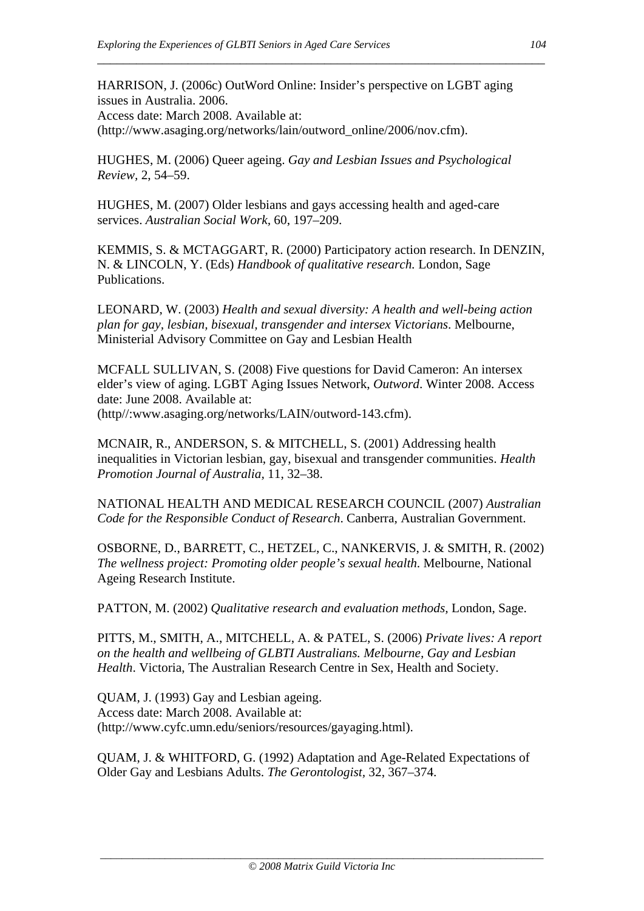HARRISON, J. (2006c) OutWord Online: Insider's perspective on LGBT aging issues in Australia. 2006. Access date: March 2008. Available at: (http://www.asaging.org/networks/lain/outword\_online/2006/nov.cfm).

\_\_\_\_\_\_\_\_\_\_\_\_\_\_\_\_\_\_\_\_\_\_\_\_\_\_\_\_\_\_\_\_\_\_\_\_\_\_\_\_\_\_\_\_\_\_\_\_\_\_\_\_\_\_\_\_\_\_\_\_\_\_\_\_\_\_\_\_\_

HUGHES, M. (2006) Queer ageing. *Gay and Lesbian Issues and Psychological Review,* 2, 54–59.

HUGHES, M. (2007) Older lesbians and gays accessing health and aged-care services. *Australian Social Work,* 60, 197–209.

KEMMIS, S. & MCTAGGART, R. (2000) Participatory action research. In DENZIN, N. & LINCOLN, Y. (Eds) *Handbook of qualitative research.* London, Sage Publications.

LEONARD, W. (2003) *Health and sexual diversity: A health and well-being action plan for gay, lesbian, bisexual, transgender and intersex Victorians*. Melbourne, Ministerial Advisory Committee on Gay and Lesbian Health

MCFALL SULLIVAN, S. (2008) Five questions for David Cameron: An intersex elder's view of aging. LGBT Aging Issues Network, *Outword*. Winter 2008. Access date: June 2008. Available at: (http//:www.asaging.org/networks/LAIN/outword-143.cfm).

MCNAIR, R., ANDERSON, S. & MITCHELL, S. (2001) Addressing health inequalities in Victorian lesbian, gay, bisexual and transgender communities. *Health Promotion Journal of Australia,* 11, 32–38.

NATIONAL HEALTH AND MEDICAL RESEARCH COUNCIL (2007) *Australian Code for the Responsible Conduct of Research*. Canberra, Australian Government.

OSBORNE, D., BARRETT, C., HETZEL, C., NANKERVIS, J. & SMITH, R. (2002) *The wellness project: Promoting older people's sexual health*. Melbourne, National Ageing Research Institute.

PATTON, M. (2002) *Qualitative research and evaluation methods,* London, Sage.

PITTS, M., SMITH, A., MITCHELL, A. & PATEL, S. (2006) *Private lives: A report on the health and wellbeing of GLBTI Australians. Melbourne, Gay and Lesbian Health*. Victoria, The Australian Research Centre in Sex, Health and Society.

QUAM, J. (1993) Gay and Lesbian ageing. Access date: March 2008. Available at: (http://www.cyfc.umn.edu/seniors/resources/gayaging.html).

QUAM, J. & WHITFORD, G. (1992) Adaptation and Age-Related Expectations of Older Gay and Lesbians Adults. *The Gerontologist,* 32, 367–374.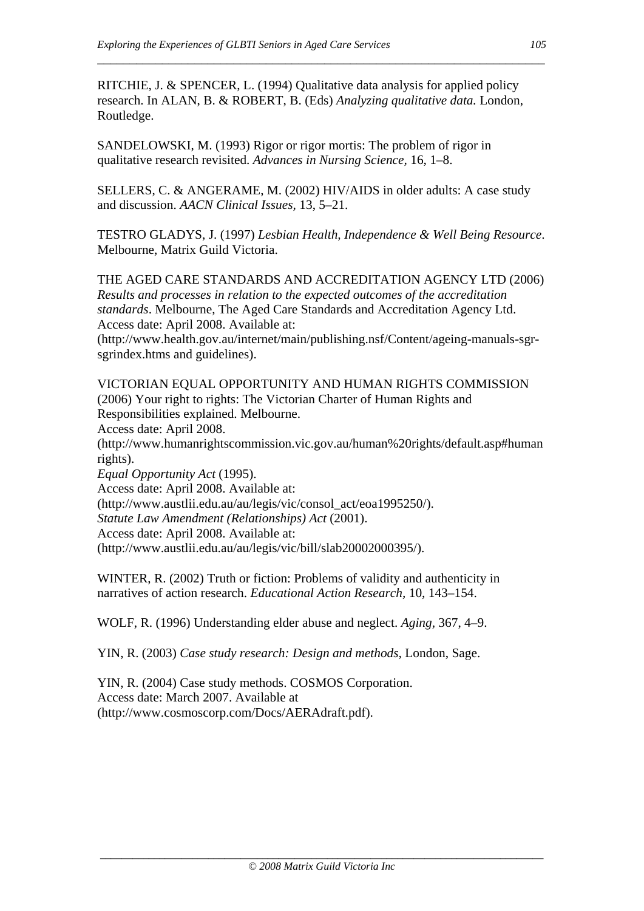RITCHIE, J. & SPENCER, L. (1994) Qualitative data analysis for applied policy research. In ALAN, B. & ROBERT, B. (Eds) *Analyzing qualitative data.* London, Routledge.

\_\_\_\_\_\_\_\_\_\_\_\_\_\_\_\_\_\_\_\_\_\_\_\_\_\_\_\_\_\_\_\_\_\_\_\_\_\_\_\_\_\_\_\_\_\_\_\_\_\_\_\_\_\_\_\_\_\_\_\_\_\_\_\_\_\_\_\_\_

SANDELOWSKI, M. (1993) Rigor or rigor mortis: The problem of rigor in qualitative research revisited. *Advances in Nursing Science,* 16, 1–8.

SELLERS, C. & ANGERAME, M. (2002) HIV/AIDS in older adults: A case study and discussion. *AACN Clinical Issues,* 13, 5–21.

TESTRO GLADYS, J. (1997) *Lesbian Health, Independence & Well Being Resource*. Melbourne, Matrix Guild Victoria.

THE AGED CARE STANDARDS AND ACCREDITATION AGENCY LTD (2006) *Results and processes in relation to the expected outcomes of the accreditation standards*. Melbourne, The Aged Care Standards and Accreditation Agency Ltd. Access date: April 2008. Available at: (http://www.health.gov.au/internet/main/publishing.nsf/Content/ageing-manuals-sgrsgrindex.htms and guidelines).

VICTORIAN EQUAL OPPORTUNITY AND HUMAN RIGHTS COMMISSION (2006) Your right to rights: The Victorian Charter of Human Rights and Responsibilities explained. Melbourne. Access date: April 2008. (http://www.humanrightscommission.vic.gov.au/human%20rights/default.asp#human rights). *Equal Opportunity Act* (1995). Access date: April 2008. Available at: (http://www.austlii.edu.au/au/legis/vic/consol\_act/eoa1995250/). *Statute Law Amendment (Relationships) Act* (2001). Access date: April 2008. Available at:

(http://www.austlii.edu.au/au/legis/vic/bill/slab20002000395/).

WINTER, R. (2002) Truth or fiction: Problems of validity and authenticity in narratives of action research. *Educational Action Research,* 10, 143–154.

WOLF, R. (1996) Understanding elder abuse and neglect. *Aging,* 367, 4–9.

YIN, R. (2003) *Case study research: Design and methods,* London, Sage.

YIN, R. (2004) Case study methods. COSMOS Corporation. Access date: March 2007. Available at (http://www.cosmoscorp.com/Docs/AERAdraft.pdf).